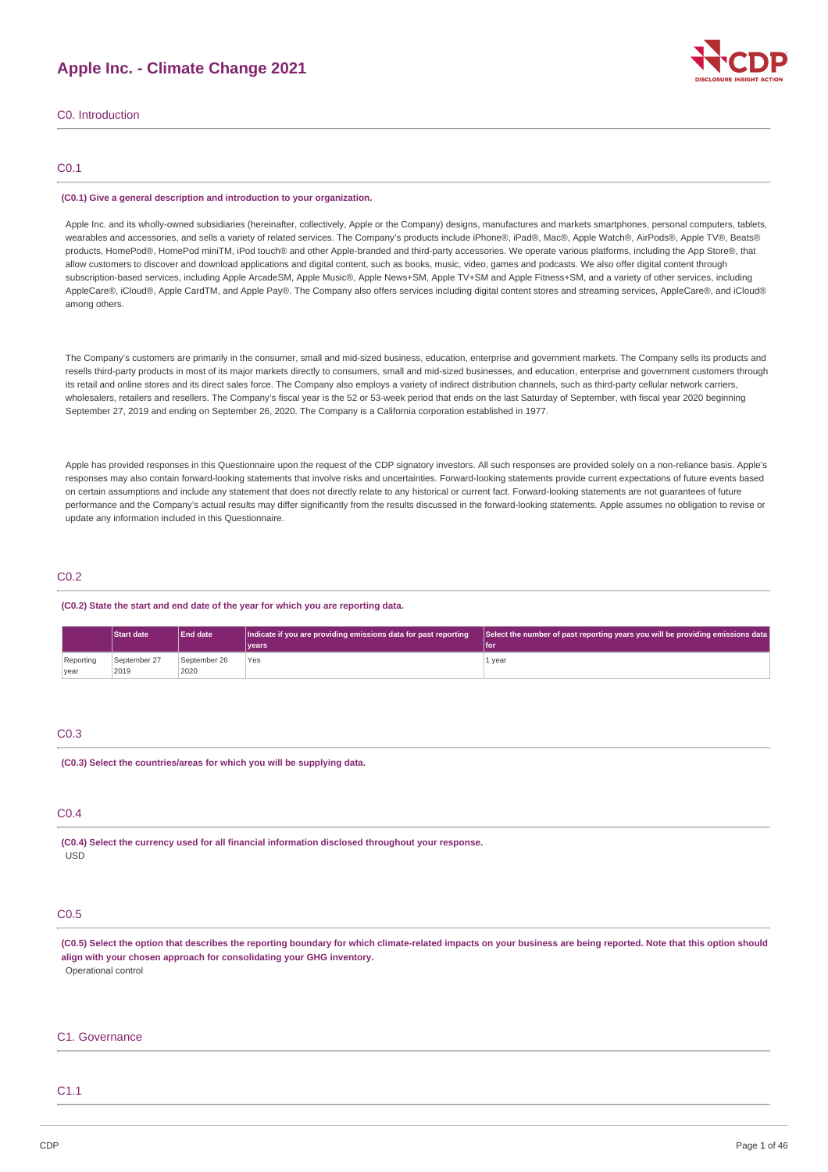# **Apple Inc. - Climate Change 2021**



C0. Introduction

### C0.1

#### **(C0.1) Give a general description and introduction to your organization.**

Apple Inc. and its wholly-owned subsidiaries (hereinafter, collectively, Apple or the Company) designs, manufactures and markets smartphones, personal computers, tablets, wearables and accessories, and sells a variety of related services. The Company's products include iPhone®, iPad®, Mac®, Apple Watch®, AirPods®, Apple TV®, Beats® products, HomePod®, HomePod miniTM, iPod touch® and other Apple-branded and third-party accessories. We operate various platforms, including the App Store®, that allow customers to discover and download applications and digital content, such as books, music, video, games and podcasts. We also offer digital content through subscription-based services, including Apple ArcadeSM, Apple Music®, Apple News+SM, Apple TV+SM and Apple Fitness+SM, and a variety of other services, including AppleCare®, iCloud®, Apple CardTM, and Apple Pay®. The Company also offers services including digital content stores and streaming services, AppleCare®, and iCloud® among others.

The Company's customers are primarily in the consumer, small and mid-sized business, education, enterprise and government markets. The Company sells its products and resells third-party products in most of its major markets directly to consumers, small and mid-sized businesses, and education, enterprise and government customers through its retail and online stores and its direct sales force. The Company also employs a variety of indirect distribution channels, such as third-party cellular network carriers, wholesalers, retailers and resellers. The Company's fiscal year is the 52 or 53-week period that ends on the last Saturday of September, with fiscal year 2020 beginning September 27, 2019 and ending on September 26, 2020. The Company is a California corporation established in 1977.

Apple has provided responses in this Questionnaire upon the request of the CDP signatory investors. All such responses are provided solely on a non-reliance basis. Apple's responses may also contain forward-looking statements that involve risks and uncertainties. Forward-looking statements provide current expectations of future events based on certain assumptions and include any statement that does not directly relate to any historical or current fact. Forward-looking statements are not guarantees of future performance and the Company's actual results may differ significantly from the results discussed in the forward-looking statements. Apple assumes no obligation to revise or update any information included in this Questionnaire.

# C0.2

### **(C0.2) State the start and end date of the year for which you are reporting data.**

|           | <b>Start date</b> | <b>End date</b> | Indicate if you are providing emissions data for past reporting | Select the number of past reporting years you will be providing emissions data |
|-----------|-------------------|-----------------|-----------------------------------------------------------------|--------------------------------------------------------------------------------|
|           |                   |                 | Ivears                                                          | l for                                                                          |
| Reporting | September 27      | September 26    | Yes                                                             | 1 year                                                                         |
| year      | 2019              | 2020            |                                                                 |                                                                                |

### C0.3

**(C0.3) Select the countries/areas for which you will be supplying data.**

### C0.4

**(C0.4) Select the currency used for all financial information disclosed throughout your response.** USD

# C0.5

(C0.5) Select the option that describes the reporting boundary for which climate-related impacts on your business are being reported. Note that this option should **align with your chosen approach for consolidating your GHG inventory.** Operational control

#### C1. Governance

# C1.1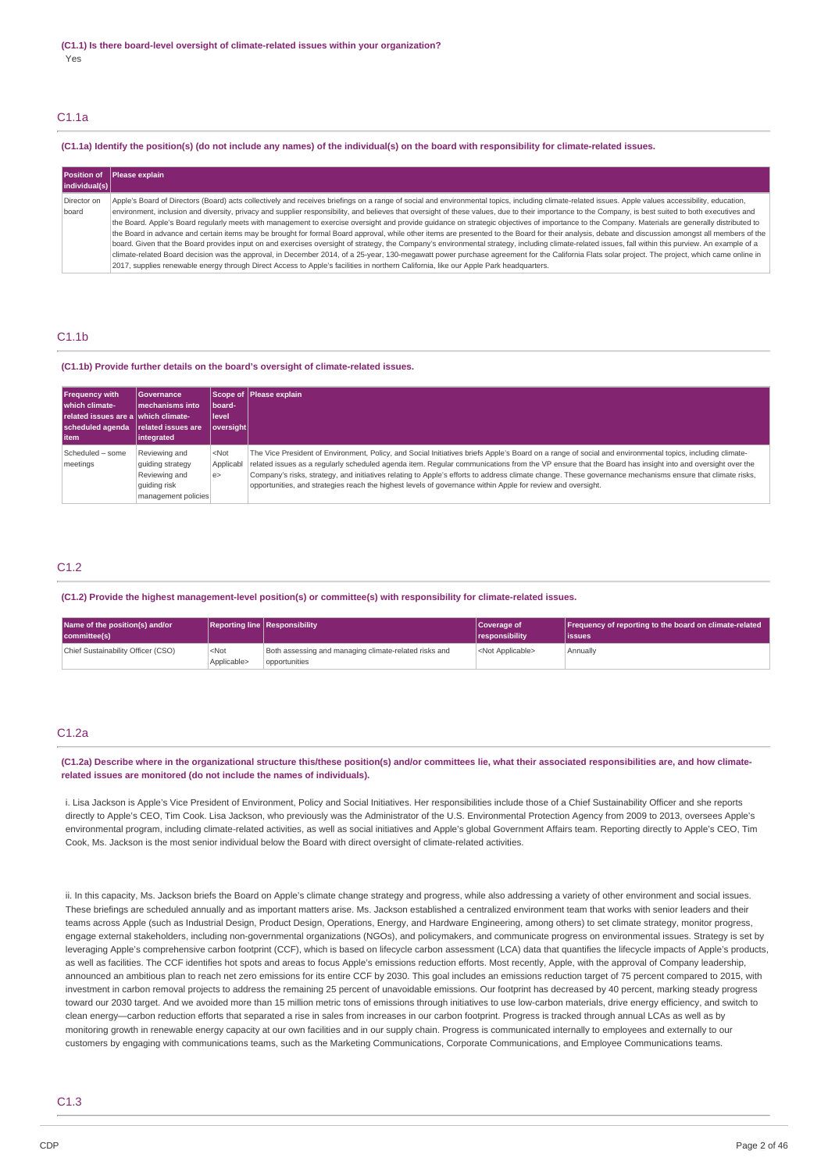### C1.1a

#### (C1.1a) Identify the position(s) (do not include any names) of the individual(s) on the board with responsibility for climate-related issues.

| individual(s) | Position of Please explain                                                                                                                                                                            |
|---------------|-------------------------------------------------------------------------------------------------------------------------------------------------------------------------------------------------------|
| Director on   | Apple's Board of Directors (Board) acts collectively and receives briefings on a range of social and environmental topics, including climate-related issues. Apple values accessibility, education,   |
| board         | environment, inclusion and diversity, privacy and supplier responsibility, and believes that oversight of these values, due to their importance to the Company, is best suited to both executives and |
|               | the Board. Apple's Board regularly meets with management to exercise oversight and provide quidance on strategic objectives of importance to the Company. Materials are generally distributed to      |
|               | the Board in advance and certain items may be brought for formal Board approval, while other items are presented to the Board for their analysis, debate and discussion amongst all members of the    |
|               | board. Given that the Board provides input on and exercises oversight of strategy, the Company's environmental strategy, including climate-related issues, fall within this purview. An example of a  |
|               | climate-related Board decision was the approval, in December 2014, of a 25-year, 130-megawatt power purchase agreement for the California Flats solar project. The project, which came online in      |
|               | 2017, supplies renewable energy through Direct Access to Apple's facilities in northern California, like our Apple Park headquarters.                                                                 |

### C1.1b

#### **(C1.1b) Provide further details on the board's oversight of climate-related issues.**

| <b>Frequency with</b><br>I which climate-<br>related issues are a which climate-<br>scheduled agenda related issues are<br>l item | <b>Governance</b><br>Imechanisms into<br> integrated                                      | board-<br>l level<br>  oversight | <b>Scope of Please explain</b>                                                                                                                                                                                                                                                                                                                                                                                                                                                                                                                                                                         |
|-----------------------------------------------------------------------------------------------------------------------------------|-------------------------------------------------------------------------------------------|----------------------------------|--------------------------------------------------------------------------------------------------------------------------------------------------------------------------------------------------------------------------------------------------------------------------------------------------------------------------------------------------------------------------------------------------------------------------------------------------------------------------------------------------------------------------------------------------------------------------------------------------------|
| Scheduled - some<br>meetings                                                                                                      | Reviewing and<br>quiding strategy<br>Reviewing and<br>quiding risk<br>management policies | $<$ Not<br>l e>                  | The Vice President of Environment, Policy, and Social Initiatives briefs Apple's Board on a range of social and environmental topics, including climate-<br>Applicabl related issues as a regularly scheduled agenda item. Regular communications from the VP ensure that the Board has insight into and oversight over the<br>Company's risks, strategy, and initiatives relating to Apple's efforts to address climate change. These governance mechanisms ensure that climate risks,<br>opportunities, and strategies reach the highest levels of governance within Apple for review and oversight. |

### C1.2

#### **(C1.2) Provide the highest management-level position(s) or committee(s) with responsibility for climate-related issues.**

| Name of the position(s) and/or     |                        | Reporting line Responsibility<br>Coverage of                           |                           | <b>Frequency of reporting to the board on climate-related</b> |  |
|------------------------------------|------------------------|------------------------------------------------------------------------|---------------------------|---------------------------------------------------------------|--|
| committee(s)                       |                        |                                                                        | <b>Tresponsibility</b>    | lissues                                                       |  |
| Chief Sustainability Officer (CSO) | $<$ Not<br>Applicable> | Both assessing and managing climate-related risks and<br>opportunities | <not applicable=""></not> | Annually                                                      |  |

### C1.2a

### (C1.2a) Describe where in the organizational structure this/these position(s) and/or committees lie, what their associated responsibilities are, and how climate**related issues are monitored (do not include the names of individuals).**

i. Lisa Jackson is Apple's Vice President of Environment, Policy and Social Initiatives. Her responsibilities include those of a Chief Sustainability Officer and she reports directly to Apple's CEO, Tim Cook. Lisa Jackson, who previously was the Administrator of the U.S. Environmental Protection Agency from 2009 to 2013, oversees Apple's environmental program, including climate-related activities, as well as social initiatives and Apple's global Government Affairs team. Reporting directly to Apple's CEO, Tim Cook, Ms. Jackson is the most senior individual below the Board with direct oversight of climate-related activities.

ii. In this capacity, Ms. Jackson briefs the Board on Apple's climate change strategy and progress, while also addressing a variety of other environment and social issues. These briefings are scheduled annually and as important matters arise. Ms. Jackson established a centralized environment team that works with senior leaders and their teams across Apple (such as Industrial Design, Product Design, Operations, Energy, and Hardware Engineering, among others) to set climate strategy, monitor progress, engage external stakeholders, including non-governmental organizations (NGOs), and policymakers, and communicate progress on environmental issues. Strategy is set by leveraging Apple's comprehensive carbon footprint (CCF), which is based on lifecycle carbon assessment (LCA) data that quantifies the lifecycle impacts of Apple's products, as well as facilities. The CCF identifies hot spots and areas to focus Apple's emissions reduction efforts. Most recently, Apple, with the approval of Company leadership, announced an ambitious plan to reach net zero emissions for its entire CCF by 2030. This goal includes an emissions reduction target of 75 percent compared to 2015, with investment in carbon removal projects to address the remaining 25 percent of unavoidable emissions. Our footprint has decreased by 40 percent, marking steady progress toward our 2030 target. And we avoided more than 15 million metric tons of emissions through initiatives to use low-carbon materials, drive energy efficiency, and switch to clean energy—carbon reduction efforts that separated a rise in sales from increases in our carbon footprint. Progress is tracked through annual LCAs as well as by monitoring growth in renewable energy capacity at our own facilities and in our supply chain. Progress is communicated internally to employees and externally to our customers by engaging with communications teams, such as the Marketing Communications, Corporate Communications, and Employee Communications teams.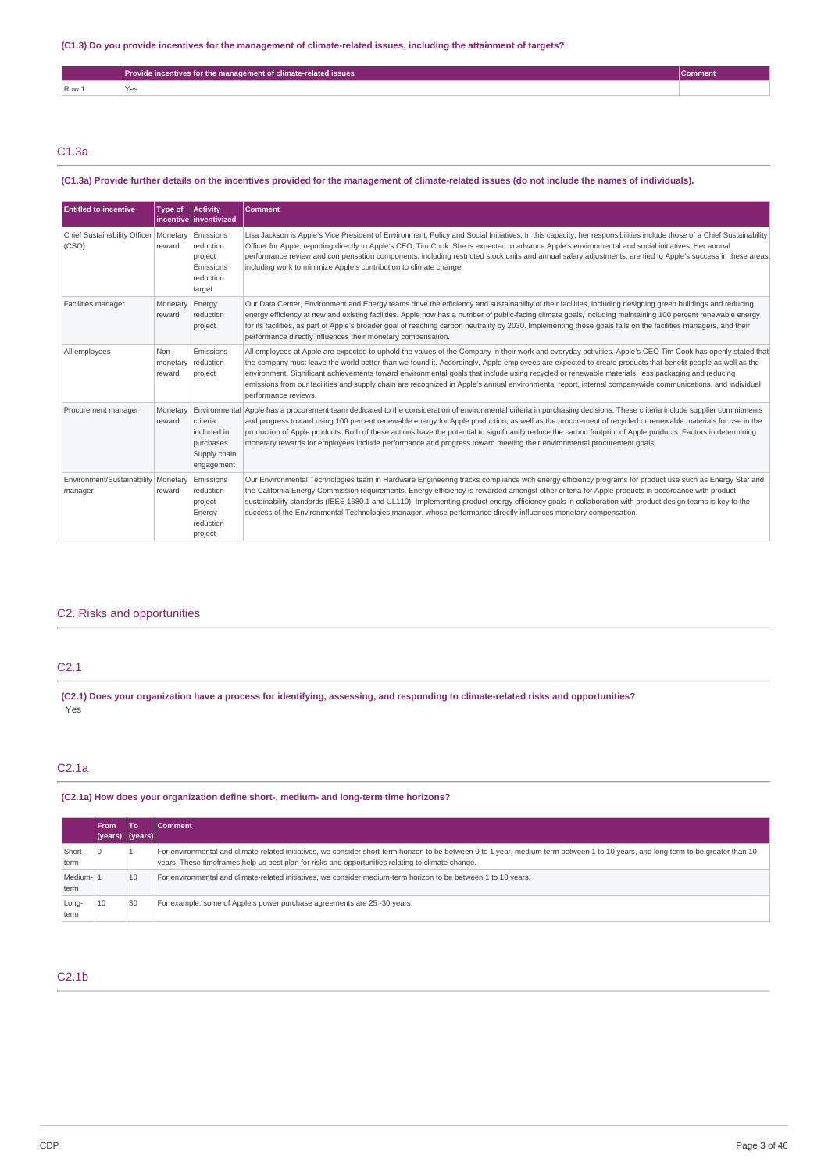|       | <b>Provide incentives for the management of climate-related issues</b> | comment |
|-------|------------------------------------------------------------------------|---------|
| Row 1 | 'Yes                                                                   |         |

# C1.3a

### (C1.3a) Provide further details on the incentives provided for the management of climate-related issues (do not include the names of individuals).

| <b>Entitled to incentive</b>                                 | <b>Type of</b>             | <b>Activity</b><br>incentive inventivized                           | Comment                                                                                                                                                                                                                                                                                                                                                                                                                                                                                                                                                                                                                                                          |
|--------------------------------------------------------------|----------------------------|---------------------------------------------------------------------|------------------------------------------------------------------------------------------------------------------------------------------------------------------------------------------------------------------------------------------------------------------------------------------------------------------------------------------------------------------------------------------------------------------------------------------------------------------------------------------------------------------------------------------------------------------------------------------------------------------------------------------------------------------|
| Chief Sustainability Officer   Monetary   Emissions<br>(CSO) | reward                     | reduction<br>project<br>Emissions<br>reduction<br>target            | Lisa Jackson is Apple's Vice President of Environment, Policy and Social Initiatives. In this capacity, her responsibilities include those of a Chief Sustainability<br>Officer for Apple, reporting directly to Apple's CEO, Tim Cook. She is expected to advance Apple's environmental and social initiatives. Her annual<br>performance review and compensation components, including restricted stock units and annual salary adjustments, are tied to Apple's success in these areas,<br>including work to minimize Apple's contribution to climate change.                                                                                                 |
| Facilities manager                                           | Monetary<br>reward         | Energy<br>reduction<br>project                                      | Our Data Center, Environment and Energy teams drive the efficiency and sustainability of their facilities, including designing green buildings and reducing<br>energy efficiency at new and existing facilities. Apple now has a number of public-facing climate goals, including maintaining 100 percent renewable energy<br>for its facilities, as part of Apple's broader goal of reaching carbon neutrality by 2030. Implementing these goals falls on the facilities managers, and their<br>performance directly influences their monetary compensation.                                                                                                    |
| All employees                                                | Non-<br>monetary<br>reward | Emissions<br>reduction<br>project                                   | All employees at Apple are expected to uphold the values of the Company in their work and everyday activities. Apple's CEO Tim Cook has openly stated that<br>the company must leave the world better than we found it. Accordingly, Apple employees are expected to create products that benefit people as well as the<br>environment. Significant achievements toward environmental goals that include using recycled or renewable materials, less packaging and reducing<br>emissions from our facilities and supply chain are recognized in Apple's annual environmental report, internal companywide communications, and individual<br>performance reviews. |
| Procurement manager                                          | Monetary<br>reward         | criteria<br>included in<br>purchases<br>Supply chain<br>engagement  | Environmental Apple has a procurement team dedicated to the consideration of environmental criteria in purchasing decisions. These criteria include supplier commitments<br>and progress toward using 100 percent renewable energy for Apple production, as well as the procurement of recycled or renewable materials for use in the<br>production of Apple products. Both of these actions have the potential to significantly reduce the carbon footprint of Apple products. Factors in determining<br>monetary rewards for employees include performance and progress toward meeting their environmental procurement goals.                                  |
| Environment/Sustainability   Monetary<br>manager             | reward                     | Emissions<br>reduction<br>project<br>Energy<br>reduction<br>project | Our Environmental Technologies team in Hardware Engineering tracks compliance with energy efficiency programs for product use such as Energy Star and<br>the California Energy Commission requirements. Energy efficiency is rewarded amongst other criteria for Apple products in accordance with product<br>sustainability standards (IEEE 1680.1 and UL110). Implementing product energy efficiency goals in collaboration with product design teams is key to the<br>success of the Environmental Technologies manager, whose performance directly influences monetary compensation.                                                                         |

### C2. Risks and opportunities

# C2.1

(C2.1) Does your organization have a process for identifying, assessing, and responding to climate-related risks and opportunities? Yes

# C2.1a

### **(C2.1a) How does your organization define short-, medium- and long-term time horizons?**

|                  | <b>From</b>     | <b>To</b> | <b>Comment</b>                                                                                                                                                                                                                                                                           |
|------------------|-----------------|-----------|------------------------------------------------------------------------------------------------------------------------------------------------------------------------------------------------------------------------------------------------------------------------------------------|
|                  | (vears) (vears) |           |                                                                                                                                                                                                                                                                                          |
| Short-<br>term   |                 |           | For environmental and climate-related initiatives, we consider short-term horizon to be between 0 to 1 year, medium-term between 1 to 10 years, and long term to be greater than 10<br>years. These timeframes help us best plan for risks and opportunities relating to climate change. |
| Medium-1<br>term |                 | 10        | For environmental and climate-related initiatives, we consider medium-term horizon to be between 1 to 10 years.                                                                                                                                                                          |
| Long-<br>term    | 10              | 30        | For example, some of Apple's power purchase agreements are 25 -30 years.                                                                                                                                                                                                                 |

# C2.1b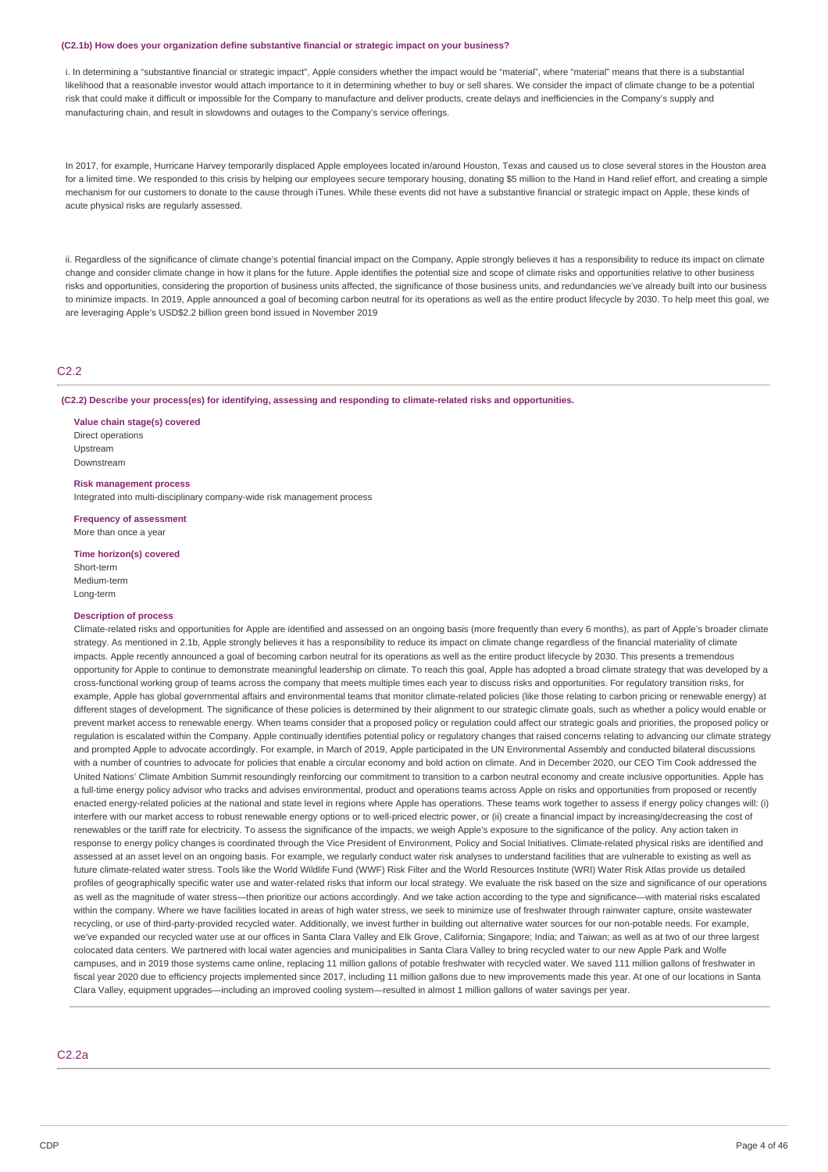#### **(C2.1b) How does your organization define substantive financial or strategic impact on your business?**

i. In determining a "substantive financial or strategic impact", Apple considers whether the impact would be "material", where "material" means that there is a substantial likelihood that a reasonable investor would attach importance to it in determining whether to buy or sell shares. We consider the impact of climate change to be a potential risk that could make it difficult or impossible for the Company to manufacture and deliver products, create delays and inefficiencies in the Company's supply and manufacturing chain, and result in slowdowns and outages to the Company's service offerings.

In 2017, for example, Hurricane Harvey temporarily displaced Apple employees located in/around Houston, Texas and caused us to close several stores in the Houston area for a limited time. We responded to this crisis by helping our employees secure temporary housing, donating \$5 million to the Hand in Hand relief effort, and creating a simple mechanism for our customers to donate to the cause through iTunes. While these events did not have a substantive financial or strategic impact on Apple, these kinds of acute physical risks are regularly assessed.

ii. Regardless of the significance of climate change's potential financial impact on the Company, Apple strongly believes it has a responsibility to reduce its impact on climate change and consider climate change in how it plans for the future. Apple identifies the potential size and scope of climate risks and opportunities relative to other business risks and opportunities, considering the proportion of business units affected, the significance of those business units, and redundancies we've already built into our business to minimize impacts. In 2019, Apple announced a goal of becoming carbon neutral for its operations as well as the entire product lifecycle by 2030. To help meet this goal, we are leveraging Apple's USD\$2.2 billion green bond issued in November 2019

### C<sub>2.2</sub>

**(C2.2) Describe your process(es) for identifying, assessing and responding to climate-related risks and opportunities.**

**Value chain stage(s) covered** Direct operations Upstream Downstream

**Risk management process**

Integrated into multi-disciplinary company-wide risk management process

**Frequency of assessment** More than once a year

**Time horizon(s) covered**

Short-term Medium-term Long-term

#### **Description of process**

Climate-related risks and opportunities for Apple are identified and assessed on an ongoing basis (more frequently than every 6 months), as part of Apple's broader climate strategy. As mentioned in 2.1b, Apple strongly believes it has a responsibility to reduce its impact on climate change regardless of the financial materiality of climate impacts. Apple recently announced a goal of becoming carbon neutral for its operations as well as the entire product lifecycle by 2030. This presents a tremendous opportunity for Apple to continue to demonstrate meaningful leadership on climate. To reach this goal, Apple has adopted a broad climate strategy that was developed by a cross-functional working group of teams across the company that meets multiple times each year to discuss risks and opportunities. For regulatory transition risks, for example. Apple has global governmental affairs and environmental teams that monitor climate-related policies (like those relating to carbon pricing or renewable energy) at different stages of development. The significance of these policies is determined by their alignment to our strategic climate goals, such as whether a policy would enable or prevent market access to renewable energy. When teams consider that a proposed policy or regulation could affect our strategic goals and priorities, the proposed policy or regulation is escalated within the Company. Apple continually identifies potential policy or regulatory changes that raised concerns relating to advancing our climate strategy and prompted Apple to advocate accordingly. For example, in March of 2019, Apple participated in the UN Environmental Assembly and conducted bilateral discussions with a number of countries to advocate for policies that enable a circular economy and bold action on climate. And in December 2020, our CEO Tim Cook addressed the United Nations' Climate Ambition Summit resoundingly reinforcing our commitment to transition to a carbon neutral economy and create inclusive opportunities. Apple has a full-time energy policy advisor who tracks and advises environmental, product and operations teams across Apple on risks and opportunities from proposed or recently enacted energy-related policies at the national and state level in regions where Apple has operations. These teams work together to assess if energy policy changes will: (i) interfere with our market access to robust renewable energy options or to well-priced electric power, or (ii) create a financial impact by increasing/decreasing the cost of renewables or the tariff rate for electricity. To assess the significance of the impacts, we weigh Apple's exposure to the significance of the policy. Any action taken in response to energy policy changes is coordinated through the Vice President of Environment, Policy and Social Initiatives. Climate-related physical risks are identified and assessed at an asset level on an ongoing basis. For example, we regularly conduct water risk analyses to understand facilities that are vulnerable to existing as well as future climate-related water stress. Tools like the World Wildlife Fund (WWF) Risk Filter and the World Resources Institute (WRI) Water Risk Atlas provide us detailed profiles of geographically specific water use and water-related risks that inform our local strategy. We evaluate the risk based on the size and significance of our operations as well as the magnitude of water stress—then prioritize our actions accordingly. And we take action according to the type and significance—with material risks escalated within the company. Where we have facilities located in areas of high water stress, we seek to minimize use of freshwater through rainwater capture, onsite wastewater recycling, or use of third-party-provided recycled water. Additionally, we invest further in building out alternative water sources for our non-potable needs. For example, we've expanded our recycled water use at our offices in Santa Clara Valley and Elk Grove, California; Singapore; India; and Taiwan; as well as at two of our three largest colocated data centers. We partnered with local water agencies and municipalities in Santa Clara Valley to bring recycled water to our new Apple Park and Wolfe campuses, and in 2019 those systems came online, replacing 11 million gallons of potable freshwater with recycled water. We saved 111 million gallons of freshwater in fiscal year 2020 due to efficiency projects implemented since 2017, including 11 million gallons due to new improvements made this year. At one of our locations in Santa Clara Valley, equipment upgrades—including an improved cooling system—resulted in almost 1 million gallons of water savings per year.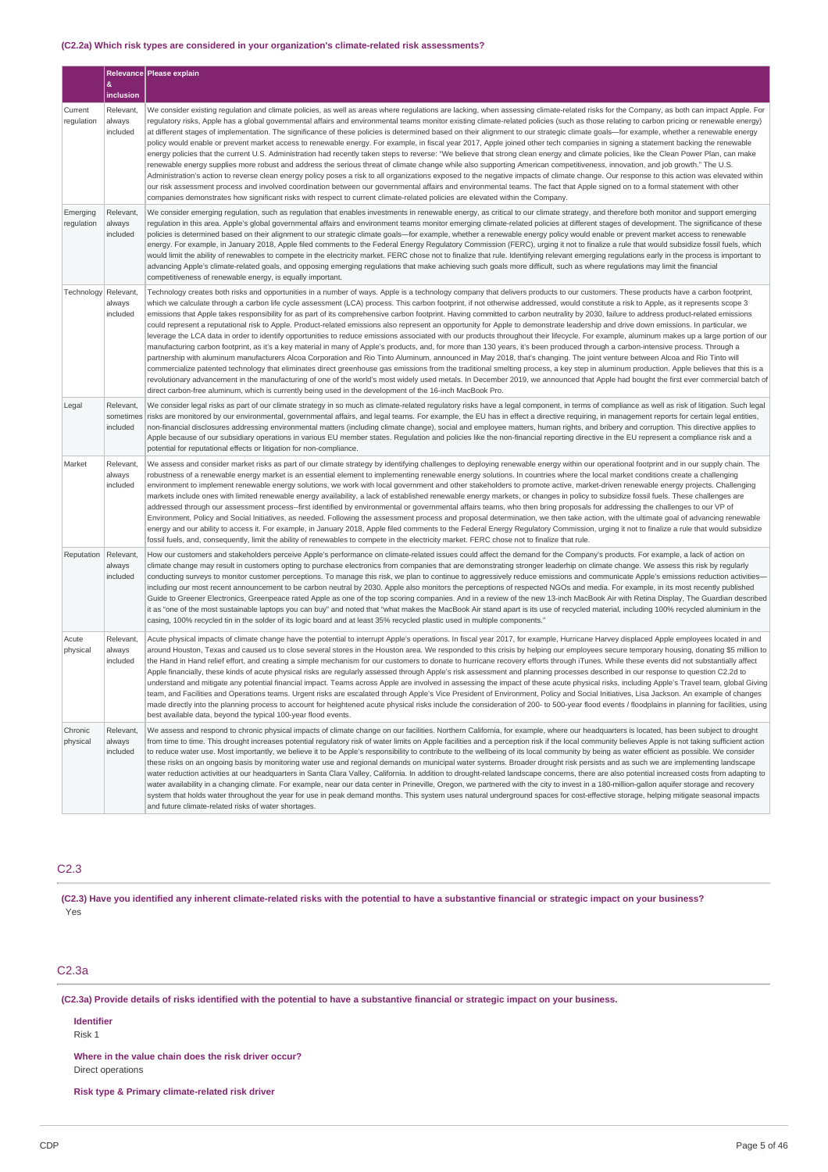### **(C2.2a) Which risk types are considered in your organization's climate-related risk assessments?**

|                        |                                    | Relevance Please explain                                                                                                                                                                                                                                                                                                                                                                                                                                                                                                                                                                                                                                                                                                                                                                                                                                                                                                                                                                                                                                                                                                                                                                                                                                                                                                                                                                                                                                                                                                                                                                                                                                                                                                                                                                                                                   |
|------------------------|------------------------------------|--------------------------------------------------------------------------------------------------------------------------------------------------------------------------------------------------------------------------------------------------------------------------------------------------------------------------------------------------------------------------------------------------------------------------------------------------------------------------------------------------------------------------------------------------------------------------------------------------------------------------------------------------------------------------------------------------------------------------------------------------------------------------------------------------------------------------------------------------------------------------------------------------------------------------------------------------------------------------------------------------------------------------------------------------------------------------------------------------------------------------------------------------------------------------------------------------------------------------------------------------------------------------------------------------------------------------------------------------------------------------------------------------------------------------------------------------------------------------------------------------------------------------------------------------------------------------------------------------------------------------------------------------------------------------------------------------------------------------------------------------------------------------------------------------------------------------------------------|
|                        | &<br>inclusion                     |                                                                                                                                                                                                                                                                                                                                                                                                                                                                                                                                                                                                                                                                                                                                                                                                                                                                                                                                                                                                                                                                                                                                                                                                                                                                                                                                                                                                                                                                                                                                                                                                                                                                                                                                                                                                                                            |
| Current<br>regulation  | Relevant.<br>always<br>included    | We consider existing regulation and climate policies, as well as areas where regulations are lacking, when assessing climate-related risks for the Company, as both can impact Apple. For<br>regulatory risks, Apple has a global governmental affairs and environmental teams monitor existing climate-related policies (such as those relating to carbon pricing or renewable energy)<br>at different stages of implementation. The significance of these policies is determined based on their alignment to our strategic climate goals-for example, whether a renewable energy<br>policy would enable or prevent market access to renewable energy. For example, in fiscal year 2017, Apple joined other tech companies in signing a statement backing the renewable<br>energy policies that the current U.S. Administration had recently taken steps to reverse: "We believe that strong clean energy and climate policies, like the Clean Power Plan, can make<br>renewable energy supplies more robust and address the serious threat of climate change while also supporting American competitiveness, innovation, and job growth." The U.S.<br>Administration's action to reverse clean energy policy poses a risk to all organizations exposed to the negative impacts of climate change. Our response to this action was elevated within<br>our risk assessment process and involved coordination between our governmental affairs and environmental teams. The fact that Apple signed on to a formal statement with other<br>companies demonstrates how significant risks with respect to current climate-related policies are elevated within the Company.                                                                                                                                                                    |
| Emerging<br>regulation | Relevant,<br>always<br>included    | We consider emerging regulation, such as regulation that enables investments in renewable energy, as critical to our climate strategy, and therefore both monitor and support emerging<br>requlation in this area. Apple's global governmental affairs and environment teams monitor emerging climate-related policies at different stages of development. The significance of these<br>policies is determined based on their alignment to our strategic climate goals-for example, whether a renewable energy policy would enable or prevent market access to renewable<br>energy. For example, in January 2018, Apple filed comments to the Federal Energy Regulatory Commission (FERC), urging it not to finalize a rule that would subsidize fossil fuels, which<br>would limit the ability of renewables to compete in the electricity market. FERC chose not to finalize that rule. Identifying relevant emerging regulations early in the process is important to<br>advancing Apple's climate-related goals, and opposing emerging regulations that make achieving such goals more difficult, such as where regulations may limit the financial<br>competitiveness of renewable energy, is equally important.                                                                                                                                                                                                                                                                                                                                                                                                                                                                                                                                                                                                                      |
| Technology             | Relevant,<br>always<br>included    | Technology creates both risks and opportunities in a number of ways. Apple is a technology company that delivers products to our customers. These products have a carbon footprint,<br>which we calculate through a carbon life cycle assessment (LCA) process. This carbon footprint, if not otherwise addressed, would constitute a risk to Apple, as it represents scope 3<br>emissions that Apple takes responsibility for as part of its comprehensive carbon footprint. Having committed to carbon neutrality by 2030, failure to address product-related emissions<br>could represent a reputational risk to Apple. Product-related emissions also represent an opportunity for Apple to demonstrate leadership and drive down emissions. In particular, we<br>leverage the LCA data in order to identify opportunities to reduce emissions associated with our products throughout their lifecycle. For example, aluminum makes up a large portion of our<br>manufacturing carbon footprint, as it's a key material in many of Apple's products, and, for more than 130 years, it's been produced through a carbon-intensive process. Through a<br>partnership with aluminum manufacturers Alcoa Corporation and Rio Tinto Aluminum, announced in May 2018, that's changing. The joint venture between Alcoa and Rio Tinto will<br>commercialize patented technology that eliminates direct greenhouse gas emissions from the traditional smelting process, a key step in aluminum production. Apple believes that this is a<br>revolutionary advancement in the manufacturing of one of the world's most widely used metals. In December 2019, we announced that Apple had bought the first ever commercial batch of<br>direct carbon-free aluminum, which is currently being used in the development of the 16-inch MacBook Pro. |
| Legal                  | Relevant,<br>sometimes<br>included | We consider legal risks as part of our climate strategy in so much as climate-related regulatory risks have a legal component, in terms of compliance as well as risk of litigation. Such legal<br>risks are monitored by our environmental, governmental affairs, and legal teams. For example, the EU has in effect a directive requiring, in management reports for certain legal entities,<br>non-financial disclosures addressing environmental matters (including climate change), social and employee matters, human rights, and bribery and corruption. This directive applies to<br>Apple because of our subsidiary operations in various EU member states. Regulation and policies like the non-financial reporting directive in the EU represent a compliance risk and a<br>potential for reputational effects or litigation for non-compliance.                                                                                                                                                                                                                                                                                                                                                                                                                                                                                                                                                                                                                                                                                                                                                                                                                                                                                                                                                                                |
| Market                 | Relevant,<br>always<br>included    | We assess and consider market risks as part of our climate strategy by identifying challenges to deploying renewable energy within our operational footprint and in our supply chain. The<br>robustness of a renewable energy market is an essential element to implementing renewable energy solutions. In countries where the local market conditions create a challenging<br>environment to implement renewable energy solutions, we work with local government and other stakeholders to promote active, market-driven renewable energy projects. Challenging<br>markets include ones with limited renewable energy availability, a lack of established renewable energy markets, or changes in policy to subsidize fossil fuels. These challenges are<br>addressed through our assessment process--first identified by environmental or governmental affairs teams, who then bring proposals for addressing the challenges to our VP of<br>Environment, Policy and Social Initiatives, as needed. Following the assessment process and proposal determination, we then take action, with the ultimate goal of advancing renewable<br>energy and our ability to access it. For example, in January 2018, Apple filed comments to the Federal Energy Regulatory Commission, urging it not to finalize a rule that would subsidize<br>fossil fuels, and, consequently, limit the ability of renewables to compete in the electricity market. FERC chose not to finalize that rule.                                                                                                                                                                                                                                                                                                                                                       |
| Reputation             | Relevant,<br>always<br>included    | How our customers and stakeholders perceive Apple's performance on climate-related issues could affect the demand for the Company's products. For example, a lack of action on<br>climate change may result in customers opting to purchase electronics from companies that are demonstrating stronger leaderhip on climate change. We assess this risk by regularly<br>conducting surveys to monitor customer perceptions. To manage this risk, we plan to continue to aggressively reduce emissions and communicate Apple's emissions reduction activities-<br>including our most recent announcement to be carbon neutral by 2030. Apple also monitors the perceptions of respected NGOs and media. For example, in its most recently published<br>Guide to Greener Electronics, Greenpeace rated Apple as one of the top scoring companies. And in a review of the new 13-inch MacBook Air with Retina Display, The Guardian described<br>it as "one of the most sustainable laptops you can buy" and noted that "what makes the MacBook Air stand apart is its use of recycled material, including 100% recycled aluminium in the<br>casing, 100% recycled tin in the solder of its logic board and at least 35% recycled plastic used in multiple components."                                                                                                                                                                                                                                                                                                                                                                                                                                                                                                                                                                       |
| Acute<br>physical      | Relevant.<br>always<br>included    | Acute physical impacts of climate change have the potential to interrupt Apple's operations. In fiscal year 2017, for example, Hurricane Harvey displaced Apple employees located in and<br>around Houston, Texas and caused us to close several stores in the Houston area. We responded to this crisis by helping our employees secure temporary housing, donating \$5 million to<br>the Hand in Hand relief effort, and creating a simple mechanism for our customers to donate to hurricane recovery efforts through iTunes. While these events did not substantially affect<br>Apple financially, these kinds of acute physical risks are regularly assessed through Apple's risk assessment and planning processes described in our response to question C2.2d to<br>understand and mitigate any potential financial impact. Teams across Apple are involved in assessing the impact of these acute physical risks, including Apple's Travel team, global Giving<br>team, and Facilities and Operations teams. Urgent risks are escalated through Apple's Vice President of Environment, Policy and Social Initiatives, Lisa Jackson. An example of changes<br>made directly into the planning process to account for heightened acute physical risks include the consideration of 200- to 500-year flood events / floodplains in planning for facilities, using<br>best available data, beyond the typical 100-year flood events.                                                                                                                                                                                                                                                                                                                                                                                                   |
| Chronic<br>physical    | Relevant,<br>always<br>included    | We assess and respond to chronic physical impacts of climate change on our facilities. Northern California, for example, where our headquarters is located, has been subject to drought<br>from time to time. This drought increases potential regulatory risk of water limits on Apple facilities and a perception risk if the local community believes Apple is not taking sufficient action<br>to reduce water use. Most importantly, we believe it to be Apple's responsibility to contribute to the wellbeing of its local community by being as water efficient as possible. We consider<br>these risks on an ongoing basis by monitoring water use and regional demands on municipal water systems. Broader drought risk persists and as such we are implementing landscape<br>water reduction activities at our headquarters in Santa Clara Valley, California. In addition to drought-related landscape concerns, there are also potential increased costs from adapting to<br>water availability in a changing climate. For example, near our data center in Prineville, Oregon, we partnered with the city to invest in a 180-million-gallon aquifer storage and recovery<br>system that holds water throughout the year for use in peak demand months. This system uses natural underground spaces for cost-effective storage, helping mitigate seasonal impacts<br>and future climate-related risks of water shortages.                                                                                                                                                                                                                                                                                                                                                                                                       |

# C2.3

(C2.3) Have you identified any inherent climate-related risks with the potential to have a substantive financial or strategic impact on your business? Yes

# C2.3a

(C2.3a) Provide details of risks identified with the potential to have a substantive financial or strategic impact on your business.

**Identifier**

Risk 1

**Where in the value chain does the risk driver occur?** Direct operations

**Risk type & Primary climate-related risk driver**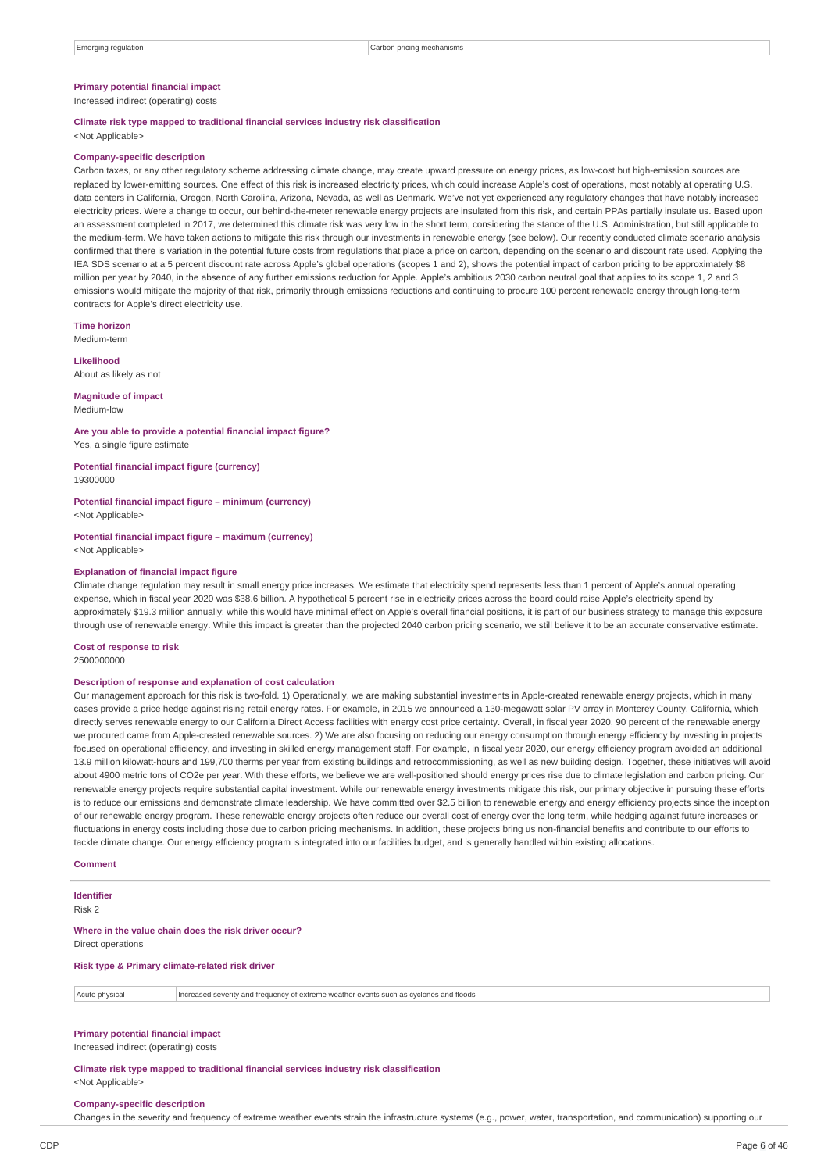### **Primary potential financial impact**

Increased indirect (operating) costs

# **Climate risk type mapped to traditional financial services industry risk classification**

<Not Applicable>

#### **Company-specific description**

Carbon taxes, or any other regulatory scheme addressing climate change, may create upward pressure on energy prices, as low-cost but high-emission sources are replaced by lower-emitting sources. One effect of this risk is increased electricity prices, which could increase Apple's cost of operations, most notably at operating U.S. data centers in California, Oregon, North Carolina, Arizona, Nevada, as well as Denmark. We've not yet experienced any regulatory changes that have notably increased electricity prices. Were a change to occur, our behind-the-meter renewable energy projects are insulated from this risk, and certain PPAs partially insulate us. Based upon an assessment completed in 2017, we determined this climate risk was very low in the short term, considering the stance of the U.S. Administration, but still applicable to the medium-term. We have taken actions to mitigate this risk through our investments in renewable energy (see below). Our recently conducted climate scenario analysis confirmed that there is variation in the potential future costs from regulations that place a price on carbon, depending on the scenario and discount rate used. Applying the IEA SDS scenario at a 5 percent discount rate across Apple's global operations (scopes 1 and 2), shows the potential impact of carbon pricing to be approximately \$8 million per year by 2040, in the absence of any further emissions reduction for Apple. Apple's ambitious 2030 carbon neutral goal that applies to its scope 1, 2 and 3 emissions would mitigate the majority of that risk, primarily through emissions reductions and continuing to procure 100 percent renewable energy through long-term contracts for Apple's direct electricity use.

**Time horizon** Medium-term

**Likelihood** About as likely as not

#### **Magnitude of impact** Medium-low

**Are you able to provide a potential financial impact figure?** Yes, a single figure estimate

**Potential financial impact figure (currency)** 19300000

**Potential financial impact figure – minimum (currency)** <Not Applicable>

**Potential financial impact figure – maximum (currency)** <Not Applicable>

#### **Explanation of financial impact figure**

Climate change regulation may result in small energy price increases. We estimate that electricity spend represents less than 1 percent of Apple's annual operating expense, which in fiscal year 2020 was \$38.6 billion. A hypothetical 5 percent rise in electricity prices across the board could raise Apple's electricity spend by approximately \$19.3 million annually; while this would have minimal effect on Apple's overall financial positions, it is part of our business strategy to manage this exposure through use of renewable energy. While this impact is greater than the projected 2040 carbon pricing scenario, we still believe it to be an accurate conservative estimate.

#### **Cost of response to risk**

2500000000

#### **Description of response and explanation of cost calculation**

Our management approach for this risk is two-fold. 1) Operationally, we are making substantial investments in Apple-created renewable energy projects, which in many cases provide a price hedge against rising retail energy rates. For example, in 2015 we announced a 130-megawatt solar PV array in Monterey County, California, which directly serves renewable energy to our California Direct Access facilities with energy cost price certainty. Overall, in fiscal year 2020, 90 percent of the renewable energy we procured came from Apple-created renewable sources. 2) We are also focusing on reducing our energy consumption through energy efficiency by investing in projects focused on operational efficiency, and investing in skilled energy management staff. For example, in fiscal year 2020, our energy efficiency program avoided an additional 13.9 million kilowatt-hours and 199,700 therms per year from existing buildings and retrocommissioning, as well as new building design. Together, these initiatives will avoid about 4900 metric tons of CO2e per year. With these efforts, we believe we are well-positioned should energy prices rise due to climate legislation and carbon pricing. Our renewable energy projects require substantial capital investment. While our renewable energy investments mitigate this risk, our primary objective in pursuing these efforts is to reduce our emissions and demonstrate climate leadership. We have committed over \$2.5 billion to renewable energy and energy efficiency projects since the inception of our renewable energy program. These renewable energy projects often reduce our overall cost of energy over the long term, while hedging against future increases or fluctuations in energy costs including those due to carbon pricing mechanisms. In addition, these projects bring us non-financial benefits and contribute to our efforts to tackle climate change. Our energy efficiency program is integrated into our facilities budget, and is generally handled within existing allocations.

#### **Comment**

### **Identifier**

Risk 2

### **Where in the value chain does the risk driver occur?**

Direct operations

**Risk type & Primary climate-related risk driver**

Acute physical **Increased severity and frequency of extreme weather events such as cyclones and floods** 

#### **Primary potential financial impact**

Increased indirect (operating) costs

**Climate risk type mapped to traditional financial services industry risk classification** <Not Applicable>

#### **Company-specific description**

Changes in the severity and frequency of extreme weather events strain the infrastructure systems (e.g., power, water, transportation, and communication) supporting our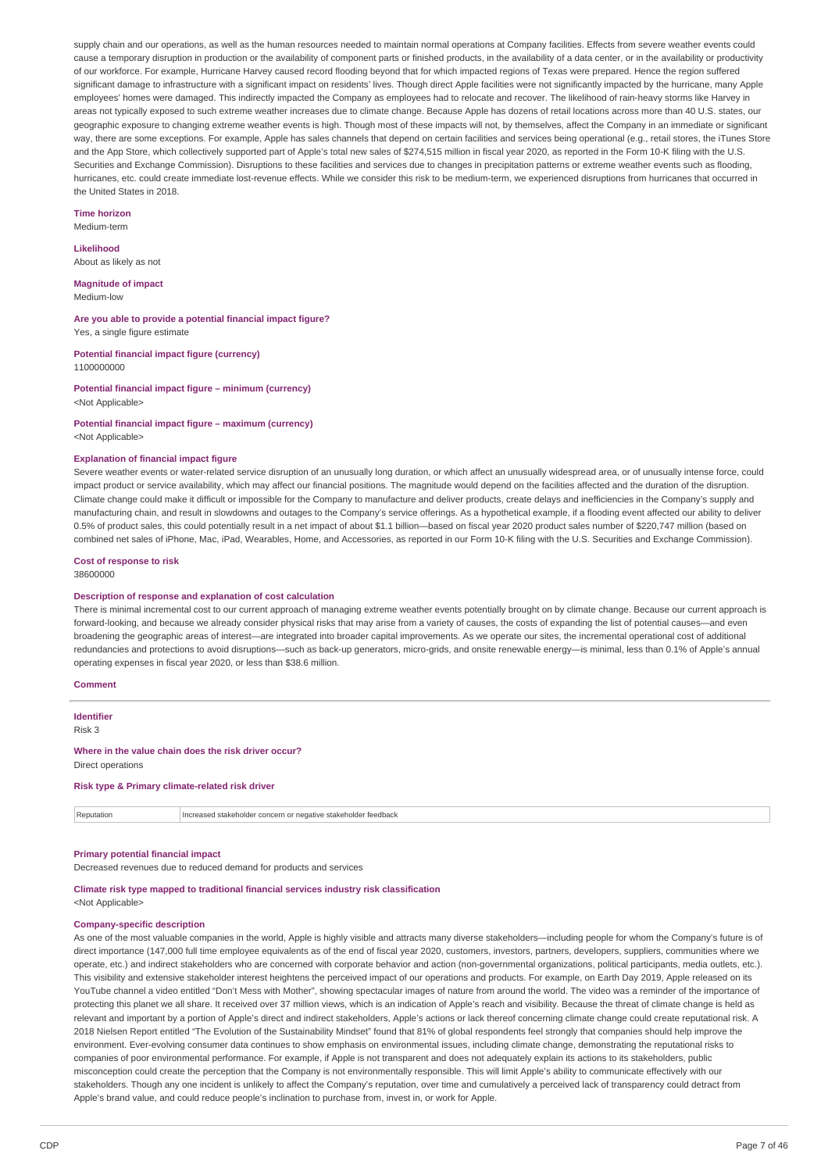supply chain and our operations, as well as the human resources needed to maintain normal operations at Company facilities. Effects from severe weather events could cause a temporary disruption in production or the availability of component parts or finished products, in the availability of a data center, or in the availability or productivity of our workforce. For example, Hurricane Harvey caused record flooding beyond that for which impacted regions of Texas were prepared. Hence the region suffered significant damage to infrastructure with a significant impact on residents' lives. Though direct Apple facilities were not significantly impacted by the hurricane, many Apple employees' homes were damaged. This indirectly impacted the Company as employees had to relocate and recover. The likelihood of rain-heavy storms like Harvey in areas not typically exposed to such extreme weather increases due to climate change. Because Apple has dozens of retail locations across more than 40 U.S. states, our geographic exposure to changing extreme weather events is high. Though most of these impacts will not, by themselves, affect the Company in an immediate or significant way, there are some exceptions. For example, Apple has sales channels that depend on certain facilities and services being operational (e.g., retail stores, the iTunes Store and the App Store, which collectively supported part of Apple's total new sales of \$274,515 million in fiscal year 2020, as reported in the Form 10-K filing with the U.S. Securities and Exchange Commission). Disruptions to these facilities and services due to changes in precipitation patterns or extreme weather events such as flooding. hurricanes, etc. could create immediate lost-revenue effects. While we consider this risk to be medium-term, we experienced disruptions from hurricanes that occurred in the United States in 2018.

#### **Time horizon**

Medium-term

### **Likelihood**

About as likely as not

#### **Magnitude of impact**

Medium-low

**Are you able to provide a potential financial impact figure?** Yes, a single figure estimate

**Potential financial impact figure (currency)** 1100000000

**Potential financial impact figure – minimum (currency)** <Not Applicable>

#### **Potential financial impact figure – maximum (currency)** <Not Applicable>

#### **Explanation of financial impact figure**

Severe weather events or water-related service disruption of an unusually long duration, or which affect an unusually widespread area, or of unusually intense force, could impact product or service availability, which may affect our financial positions. The magnitude would depend on the facilities affected and the duration of the disruption. Climate change could make it difficult or impossible for the Company to manufacture and deliver products, create delays and inefficiencies in the Company's supply and manufacturing chain, and result in slowdowns and outages to the Company's service offerings. As a hypothetical example, if a flooding event affected our ability to deliver 0.5% of product sales, this could potentially result in a net impact of about \$1.1 billion—based on fiscal year 2020 product sales number of \$220,747 million (based on combined net sales of iPhone, Mac, iPad, Wearables, Home, and Accessories, as reported in our Form 10-K filing with the U.S. Securities and Exchange Commission).

#### **Cost of response to risk** 38600000

#### **Description of response and explanation of cost calculation**

There is minimal incremental cost to our current approach of managing extreme weather events potentially brought on by climate change. Because our current approach is forward-looking, and because we already consider physical risks that may arise from a variety of causes, the costs of expanding the list of potential causes—and even broadening the geographic areas of interest—are integrated into broader capital improvements. As we operate our sites, the incremental operational cost of additional redundancies and protections to avoid disruptions—such as back-up generators, micro-grids, and onsite renewable energy—is minimal, less than 0.1% of Apple's annual operating expenses in fiscal year 2020, or less than \$38.6 million.

#### **Comment**

**Identifier** Risk 3 **Where in the value chain does the risk driver occur?** Direct operations

#### **Risk type & Primary climate-related risk driver**

Reputation **Increased stakeholder concern or negative stakeholder feedback** 

### **Primary potential financial impact**

Decreased revenues due to reduced demand for products and services

#### **Climate risk type mapped to traditional financial services industry risk classification** <Not Applicable>

### **Company-specific description**

As one of the most valuable companies in the world, Apple is highly visible and attracts many diverse stakeholders-including people for whom the Company's future is of direct importance (147,000 full time employee equivalents as of the end of fiscal year 2020, customers, investors, partners, developers, suppliers, communities where we operate, etc.) and indirect stakeholders who are concerned with corporate behavior and action (non-governmental organizations, political participants, media outlets, etc.). This visibility and extensive stakeholder interest heightens the perceived impact of our operations and products. For example, on Earth Day 2019, Apple released on its YouTube channel a video entitled "Don't Mess with Mother", showing spectacular images of nature from around the world. The video was a reminder of the importance of protecting this planet we all share. It received over 37 million views, which is an indication of Apple's reach and visibility. Because the threat of climate change is held as relevant and important by a portion of Apple's direct and indirect stakeholders, Apple's actions or lack thereof concerning climate change could create reputational risk. A 2018 Nielsen Report entitled "The Evolution of the Sustainability Mindset" found that 81% of global respondents feel strongly that companies should help improve the environment. Ever-evolving consumer data continues to show emphasis on environmental issues, including climate change, demonstrating the reputational risks to companies of poor environmental performance. For example, if Apple is not transparent and does not adequately explain its actions to its stakeholders, public misconception could create the perception that the Company is not environmentally responsible. This will limit Apple's ability to communicate effectively with our stakeholders. Though any one incident is unlikely to affect the Company's reputation, over time and cumulatively a perceived lack of transparency could detract from Apple's brand value, and could reduce people's inclination to purchase from, invest in, or work for Apple.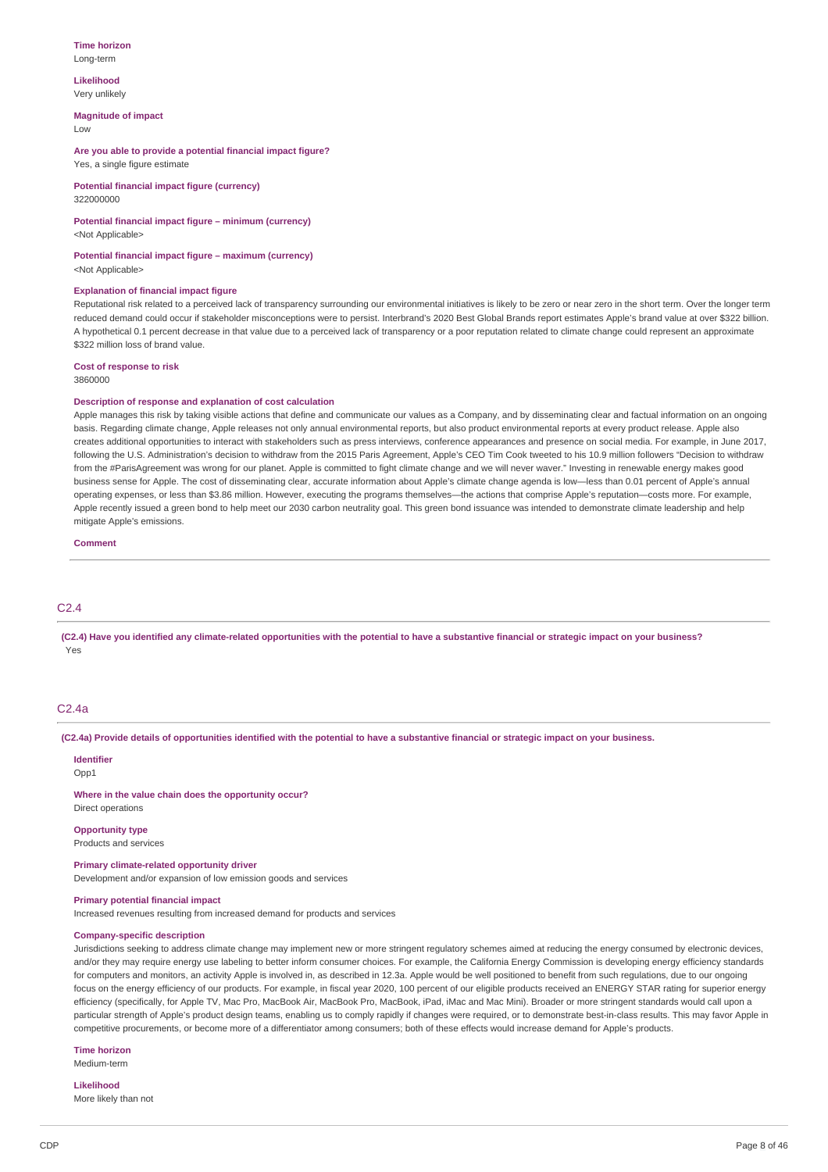#### **Time horizon** Long-term

#### **Likelihood** Very unlikely

**Magnitude of impact**

Low

**Are you able to provide a potential financial impact figure?** Yes, a single figure estimate

**Potential financial impact figure (currency)** 322000000

# **Potential financial impact figure – minimum (currency)**

<Not Applicable>

**Potential financial impact figure – maximum (currency)** <Not Applicable>

### **Explanation of financial impact figure**

Reputational risk related to a perceived lack of transparency surrounding our environmental initiatives is likely to be zero or near zero in the short term. Over the longer term reduced demand could occur if stakeholder misconceptions were to persist. Interbrand's 2020 Best Global Brands report estimates Apple's brand value at over \$322 billion. A hypothetical 0.1 percent decrease in that value due to a perceived lack of transparency or a poor reputation related to climate change could represent an approximate \$322 million loss of brand value.

**Cost of response to risk** 3860000

### **Description of response and explanation of cost calculation**

Apple manages this risk by taking visible actions that define and communicate our values as a Company, and by disseminating clear and factual information on an ongoing basis. Regarding climate change, Apple releases not only annual environmental reports, but also product environmental reports at every product release. Apple also creates additional opportunities to interact with stakeholders such as press interviews, conference appearances and presence on social media. For example, in June 2017, following the U.S. Administration's decision to withdraw from the 2015 Paris Agreement, Apple's CEO Tim Cook tweeted to his 10.9 million followers "Decision to withdraw from the #ParisAgreement was wrong for our planet. Apple is committed to fight climate change and we will never waver." Investing in renewable energy makes good business sense for Apple. The cost of disseminating clear, accurate information about Apple's climate change agenda is low—less than 0.01 percent of Apple's annual operating expenses, or less than \$3.86 million. However, executing the programs themselves—the actions that comprise Apple's reputation—costs more. For example, Apple recently issued a green bond to help meet our 2030 carbon neutrality goal. This green bond issuance was intended to demonstrate climate leadership and help mitigate Apple's emissions.

**Comment**

# $C2.4$

(C2.4) Have you identified any climate-related opportunities with the potential to have a substantive financial or strategic impact on your business? Yes

### C2.4a

(C2.4a) Provide details of opportunities identified with the potential to have a substantive financial or strategic impact on your business.

**Identifier** Opp<sub>1</sub>

**Where in the value chain does the opportunity occur?** Direct operations

**Opportunity type**

Products and services

**Primary climate-related opportunity driver** Development and/or expansion of low emission goods and services

#### **Primary potential financial impact**

Increased revenues resulting from increased demand for products and services

### **Company-specific description**

Jurisdictions seeking to address climate change may implement new or more stringent regulatory schemes aimed at reducing the energy consumed by electronic devices, and/or they may require energy use labeling to better inform consumer choices. For example, the California Energy Commission is developing energy efficiency standards for computers and monitors, an activity Apple is involved in, as described in 12.3a. Apple would be well positioned to benefit from such regulations, due to our ongoing focus on the energy efficiency of our products. For example, in fiscal year 2020, 100 percent of our eligible products received an ENERGY STAR rating for superior energy efficiency (specifically, for Apple TV, Mac Pro, MacBook Air, MacBook Pro, MacBook, iPad, iMac and Mac Mini). Broader or more stringent standards would call upon a particular strength of Apple's product design teams, enabling us to comply rapidly if changes were required, or to demonstrate best-in-class results. This may favor Apple in competitive procurements, or become more of a differentiator among consumers; both of these effects would increase demand for Apple's products.

**Time horizon**

Medium-term

# **Likelihood**

More likely than not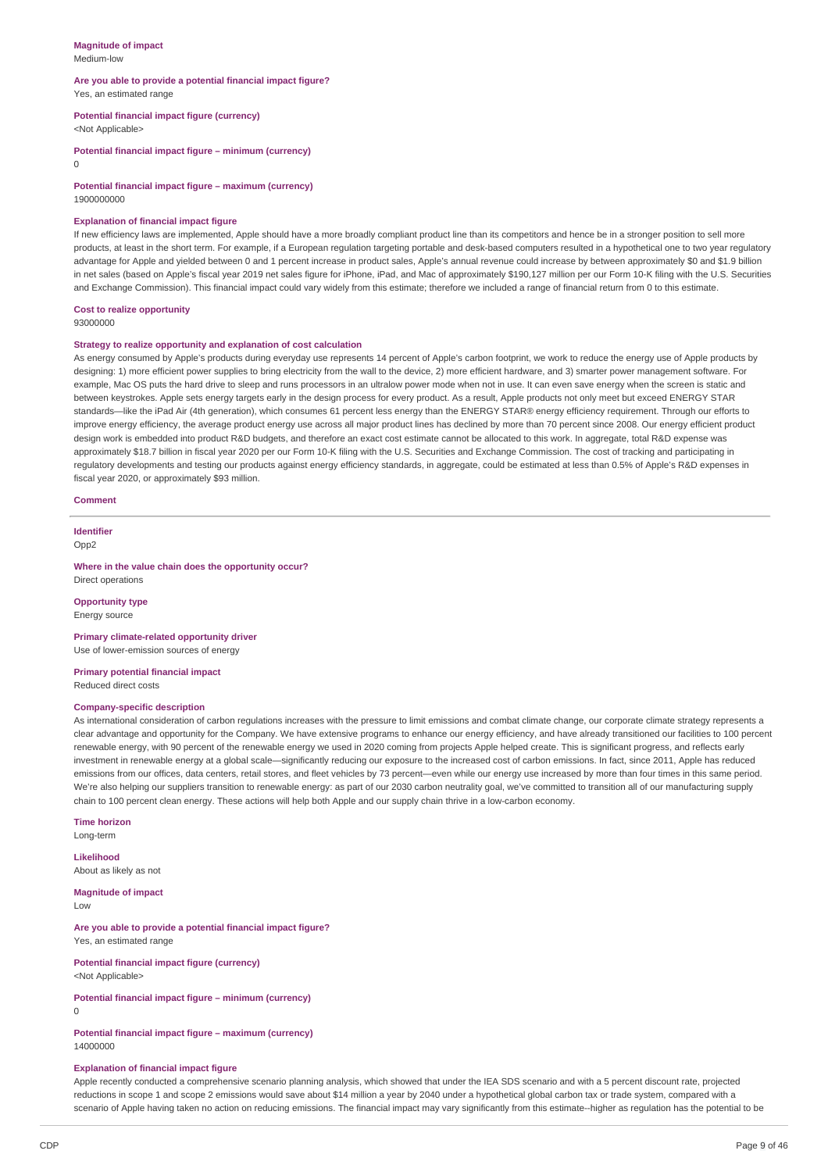#### **Magnitude of impact** Medium-low

#### **Are you able to provide a potential financial impact figure?** Yes, an estimated range

**Potential financial impact figure (currency)**

<Not Applicable>

**Potential financial impact figure – minimum (currency)**

 $\Omega$ 

**Potential financial impact figure – maximum (currency)** 1900000000

#### **Explanation of financial impact figure**

If new efficiency laws are implemented, Apple should have a more broadly compliant product line than its competitors and hence be in a stronger position to sell more products, at least in the short term. For example, if a European regulation targeting portable and desk-based computers resulted in a hypothetical one to two year regulatory advantage for Apple and yielded between 0 and 1 percent increase in product sales, Apple's annual revenue could increase by between approximately \$0 and \$1.9 billion in net sales (based on Apple's fiscal year 2019 net sales figure for iPhone, iPad, and Mac of approximately \$190,127 million per our Form 10-K filing with the U.S. Securities and Exchange Commission). This financial impact could vary widely from this estimate; therefore we included a range of financial return from 0 to this estimate.

#### **Cost to realize opportunity**

93000000

### **Strategy to realize opportunity and explanation of cost calculation**

As energy consumed by Apple's products during everyday use represents 14 percent of Apple's carbon footprint, we work to reduce the energy use of Apple products by designing: 1) more efficient power supplies to bring electricity from the wall to the device, 2) more efficient hardware, and 3) smarter power management software. For example, Mac OS puts the hard drive to sleep and runs processors in an ultralow power mode when not in use. It can even save energy when the screen is static and between keystrokes. Apple sets energy targets early in the design process for every product. As a result, Apple products not only meet but exceed ENERGY STAR standards—like the iPad Air (4th generation), which consumes 61 percent less energy than the ENERGY STAR® energy efficiency requirement. Through our efforts to improve energy efficiency, the average product energy use across all major product lines has declined by more than 70 percent since 2008. Our energy efficient product design work is embedded into product R&D budgets, and therefore an exact cost estimate cannot be allocated to this work. In aggregate, total R&D expense was approximately \$18.7 billion in fiscal year 2020 per our Form 10-K filing with the U.S. Securities and Exchange Commission. The cost of tracking and participating in regulatory developments and testing our products against energy efficiency standards, in aggregate, could be estimated at less than 0.5% of Apple's R&D expenses in fiscal year 2020, or approximately \$93 million.

#### **Comment**

**Identifier**

 $Onn2$ 

**Where in the value chain does the opportunity occur?** Direct operations

### **Opportunity type**

Energy source

**Primary climate-related opportunity driver** Use of lower-emission sources of energy

**Primary potential financial impact** Reduced direct costs

### **Company-specific description**

As international consideration of carbon regulations increases with the pressure to limit emissions and combat climate change, our corporate climate strategy represents a clear advantage and opportunity for the Company. We have extensive programs to enhance our energy efficiency, and have already transitioned our facilities to 100 percent renewable energy, with 90 percent of the renewable energy we used in 2020 coming from projects Apple helped create. This is significant progress, and reflects early investment in renewable energy at a global scale—significantly reducing our exposure to the increased cost of carbon emissions. In fact, since 2011, Apple has reduced emissions from our offices, data centers, retail stores, and fleet vehicles by 73 percent—even while our energy use increased by more than four times in this same period. We're also helping our suppliers transition to renewable energy: as part of our 2030 carbon neutrality goal, we've committed to transition all of our manufacturing supply chain to 100 percent clean energy. These actions will help both Apple and our supply chain thrive in a low-carbon economy.

#### **Time horizon**

Long-term

### **Likelihood**

About as likely as not

### **Magnitude of impact**

Low

**Are you able to provide a potential financial impact figure?** Yes, an estimated range

**Potential financial impact figure (currency)**

<Not Applicable>

**Potential financial impact figure – minimum (currency)**

0

**Potential financial impact figure – maximum (currency)** 14000000

#### **Explanation of financial impact figure**

Apple recently conducted a comprehensive scenario planning analysis, which showed that under the IEA SDS scenario and with a 5 percent discount rate, projected reductions in scope 1 and scope 2 emissions would save about \$14 million a year by 2040 under a hypothetical global carbon tax or trade system, compared with a scenario of Apple having taken no action on reducing emissions. The financial impact may vary significantly from this estimate--higher as regulation has the potential to be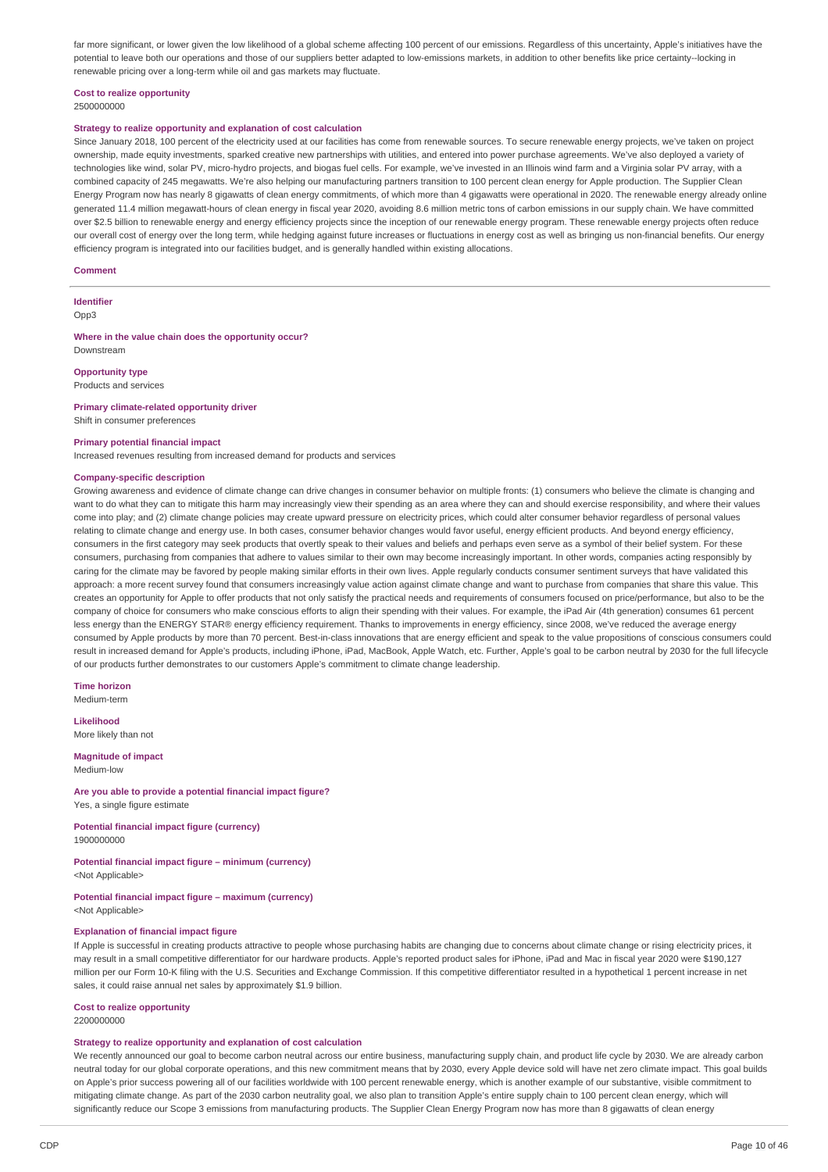far more significant, or lower given the low likelihood of a global scheme affecting 100 percent of our emissions. Regardless of this uncertainty, Apple's initiatives have the potential to leave both our operations and those of our suppliers better adapted to low-emissions markets, in addition to other benefits like price certainty--locking in renewable pricing over a long-term while oil and gas markets may fluctuate.

### **Cost to realize opportunity**

2500000000

### **Strategy to realize opportunity and explanation of cost calculation**

Since January 2018, 100 percent of the electricity used at our facilities has come from renewable sources. To secure renewable energy projects, we've taken on project ownership, made equity investments, sparked creative new partnerships with utilities, and entered into power purchase agreements. We've also deployed a variety of technologies like wind, solar PV, micro-hydro projects, and biogas fuel cells. For example, we've invested in an Illinois wind farm and a Virginia solar PV array, with a combined capacity of 245 megawatts. We're also helping our manufacturing partners transition to 100 percent clean energy for Apple production. The Supplier Clean Energy Program now has nearly 8 gigawatts of clean energy commitments, of which more than 4 gigawatts were operational in 2020. The renewable energy already online generated 11.4 million megawatt-hours of clean energy in fiscal year 2020, avoiding 8.6 million metric tons of carbon emissions in our supply chain. We have committed over \$2.5 billion to renewable energy and energy efficiency projects since the inception of our renewable energy program. These renewable energy projects often reduce our overall cost of energy over the long term, while hedging against future increases or fluctuations in energy cost as well as bringing us non-financial benefits. Our energy efficiency program is integrated into our facilities budget, and is generally handled within existing allocations.

#### **Comment**

**Identifier** Opp3

#### **Where in the value chain does the opportunity occur?** Downstream

### **Opportunity type**

Products and services

### **Primary climate-related opportunity driver**

Shift in consumer preferences

#### **Primary potential financial impact**

Increased revenues resulting from increased demand for products and services

### **Company-specific description**

Growing awareness and evidence of climate change can drive changes in consumer behavior on multiple fronts: (1) consumers who believe the climate is changing and want to do what they can to mitigate this harm may increasingly view their spending as an area where they can and should exercise responsibility, and where their values come into play; and (2) climate change policies may create upward pressure on electricity prices, which could alter consumer behavior regardless of personal values relating to climate change and energy use. In both cases, consumer behavior changes would favor useful, energy efficient products. And beyond energy efficiency, consumers in the first category may seek products that overtly speak to their values and beliefs and perhaps even serve as a symbol of their belief system. For these consumers, purchasing from companies that adhere to values similar to their own may become increasingly important. In other words, companies acting responsibly by caring for the climate may be favored by people making similar efforts in their own lives. Apple regularly conducts consumer sentiment surveys that have validated this approach: a more recent survey found that consumers increasingly value action against climate change and want to purchase from companies that share this value. This creates an opportunity for Apple to offer products that not only satisfy the practical needs and requirements of consumers focused on price/performance, but also to be the company of choice for consumers who make conscious efforts to align their spending with their values. For example, the iPad Air (4th generation) consumes 61 percent less energy than the ENERGY STAR® energy efficiency requirement. Thanks to improvements in energy efficiency, since 2008, we've reduced the average energy consumed by Apple products by more than 70 percent. Best-in-class innovations that are energy efficient and speak to the value propositions of conscious consumers could result in increased demand for Apple's products, including iPhone, iPad, MacBook, Apple Watch, etc. Further, Apple's goal to be carbon neutral by 2030 for the full lifecycle of our products further demonstrates to our customers Apple's commitment to climate change leadership.

**Time horizon** Medium-term

# **Likelihood**

More likely than not

#### **Magnitude of impact** Medium-low

**Are you able to provide a potential financial impact figure?** Yes, a single figure estimate

**Potential financial impact figure (currency)** 1900000000

#### **Potential financial impact figure – minimum (currency)** <Not Applicable>

# **Potential financial impact figure – maximum (currency)**

<Not Applicable>

#### **Explanation of financial impact figure**

If Apple is successful in creating products attractive to people whose purchasing habits are changing due to concerns about climate change or rising electricity prices, it may result in a small competitive differentiator for our hardware products. Apple's reported product sales for iPhone, iPad and Mac in fiscal year 2020 were \$190,127 million per our Form 10-K filing with the U.S. Securities and Exchange Commission. If this competitive differentiator resulted in a hypothetical 1 percent increase in net sales, it could raise annual net sales by approximately \$1.9 billion.

# **Cost to realize opportunity**

2200000000

#### **Strategy to realize opportunity and explanation of cost calculation**

We recently announced our goal to become carbon neutral across our entire business, manufacturing supply chain, and product life cycle by 2030. We are already carbon neutral today for our global corporate operations, and this new commitment means that by 2030, every Apple device sold will have net zero climate impact. This goal builds on Apple's prior success powering all of our facilities worldwide with 100 percent renewable energy, which is another example of our substantive, visible commitment to mitigating climate change. As part of the 2030 carbon neutrality goal, we also plan to transition Apple's entire supply chain to 100 percent clean energy, which will significantly reduce our Scope 3 emissions from manufacturing products. The Supplier Clean Energy Program now has more than 8 gigawatts of clean energy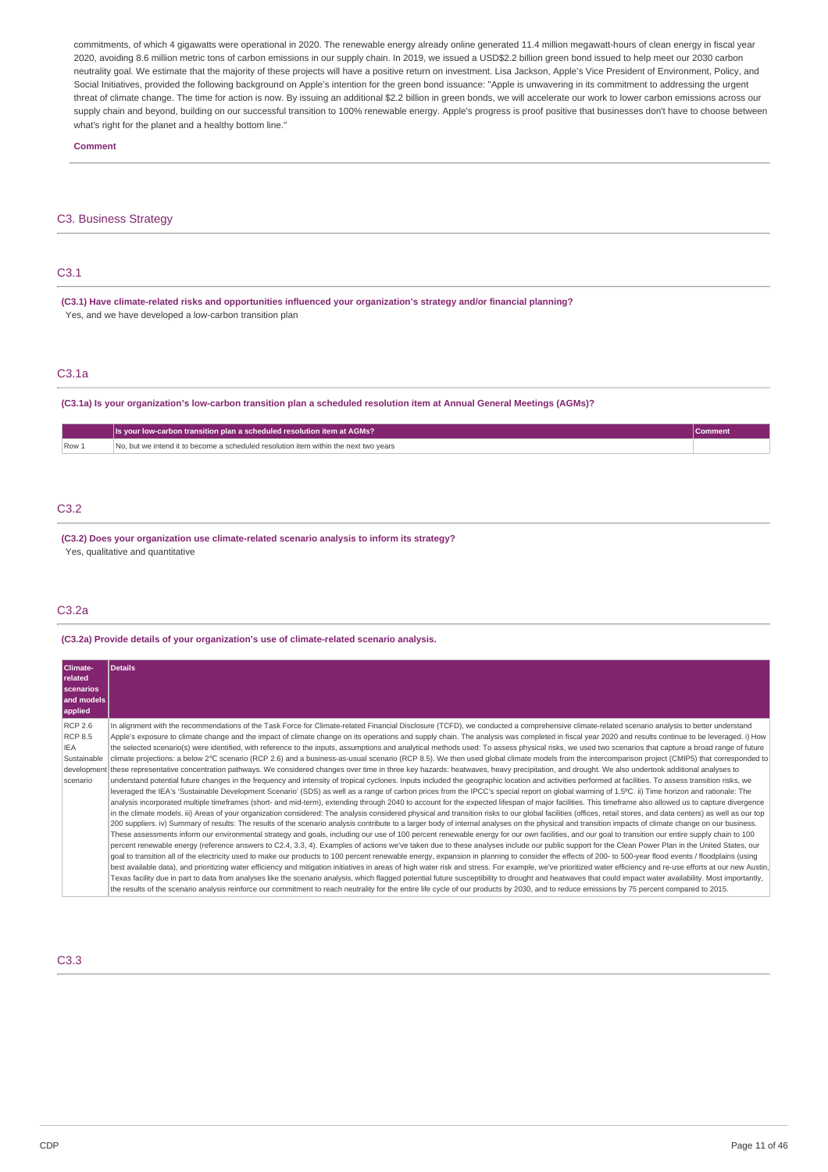commitments, of which 4 gigawatts were operational in 2020. The renewable energy already online generated 11.4 million megawatt-hours of clean energy in fiscal year 2020, avoiding 8.6 million metric tons of carbon emissions in our supply chain. In 2019, we issued a USD\$2.2 billion green bond issued to help meet our 2030 carbon neutrality goal. We estimate that the majority of these projects will have a positive return on investment. Lisa Jackson, Apple's Vice President of Environment, Policy, and Social Initiatives, provided the following background on Apple's intention for the green bond issuance: "Apple is unwavering in its commitment to addressing the urgent threat of climate change. The time for action is now. By issuing an additional \$2.2 billion in green bonds, we will accelerate our work to lower carbon emissions across our supply chain and beyond, building on our successful transition to 100% renewable energy. Apple's progress is proof positive that businesses don't have to choose between what's right for the planet and a healthy bottom line."

#### **Comment**

### C3. Business Strategy

| .<br>____ |  |  |
|-----------|--|--|

**(C3.1) Have climate-related risks and opportunities influenced your organization's strategy and/or financial planning?** Yes, and we have developed a low-carbon transition plan

### C3.1a

### (C3.1a) Is your organization's low-carbon transition plan a scheduled resolution item at Annual General Meetings (AGMs)?

|       | Is your low-carbon transition plan a scheduled resolution item at AGMs?              |  |
|-------|--------------------------------------------------------------------------------------|--|
| Row 1 | No, but we intend it to become a scheduled resolution item within the next two vears |  |

# C3.2

**(C3.2) Does your organization use climate-related scenario analysis to inform its strategy?** Yes, qualitative and quantitative

### C3.2a

**(C3.2a) Provide details of your organization's use of climate-related scenario analysis.**

| Climate-<br>related<br>scenarios<br>and models<br>applied                         | <b>Details</b>                                                                                                                                                                                                                                                                                                                                                                                                                                                                                                                                                                                                                                                                                                                                                                                                                                                                                                                                                                                                                                                                                                                                                                                                                                                                                                                                                                                                                                                                                                                                                                                                                                                                                                                                                                                                                                                                                                                                                                                                                                                                                                                                                                                                                                                                                                                                                                                                                                                                                                                                                                                                                                                                                                                                                                                                                                                                                                                                                                                                                                                                                                                                                                                                                                                                                                              |
|-----------------------------------------------------------------------------------|-----------------------------------------------------------------------------------------------------------------------------------------------------------------------------------------------------------------------------------------------------------------------------------------------------------------------------------------------------------------------------------------------------------------------------------------------------------------------------------------------------------------------------------------------------------------------------------------------------------------------------------------------------------------------------------------------------------------------------------------------------------------------------------------------------------------------------------------------------------------------------------------------------------------------------------------------------------------------------------------------------------------------------------------------------------------------------------------------------------------------------------------------------------------------------------------------------------------------------------------------------------------------------------------------------------------------------------------------------------------------------------------------------------------------------------------------------------------------------------------------------------------------------------------------------------------------------------------------------------------------------------------------------------------------------------------------------------------------------------------------------------------------------------------------------------------------------------------------------------------------------------------------------------------------------------------------------------------------------------------------------------------------------------------------------------------------------------------------------------------------------------------------------------------------------------------------------------------------------------------------------------------------------------------------------------------------------------------------------------------------------------------------------------------------------------------------------------------------------------------------------------------------------------------------------------------------------------------------------------------------------------------------------------------------------------------------------------------------------------------------------------------------------------------------------------------------------------------------------------------------------------------------------------------------------------------------------------------------------------------------------------------------------------------------------------------------------------------------------------------------------------------------------------------------------------------------------------------------------------------------------------------------------------------------------------------------------|
| <b>RCP 2.6</b><br><b>RCP 8.5</b><br>IEA<br>Sustainable<br>development<br>scenario | In alignment with the recommendations of the Task Force for Climate-related Financial Disclosure (TCFD), we conducted a comprehensive climate-related scenario analysis to better understand<br>Apple's exposure to climate change and the impact of climate change on its operations and supply chain. The analysis was completed in fiscal year 2020 and results continue to be leveraged. i) How<br>the selected scenario(s) were identified, with reference to the inputs, assumptions and analytical methods used: To assess physical risks, we used two scenarios that capture a broad range of future<br>climate projections: a below 2°C scenario (RCP 2.6) and a business-as-usual scenario (RCP 8.5). We then used global climate models from the intercomparison project (CMIP5) that corresponded to<br>these representative concentration pathways. We considered changes over time in three key hazards: heatwaves, heavy precipitation, and drought. We also undertook additional analyses to<br>understand potential future changes in the frequency and intensity of tropical cyclones. Inputs included the geographic location and activities performed at facilities. To assess transition risks, we<br>leveraged the IEA's 'Sustainable Development Scenario' (SDS) as well as a range of carbon prices from the IPCC's special report on global warming of 1.5°C. ii) Time horizon and rationale: The<br>analysis incorporated multiple timeframes (short- and mid-term), extending through 2040 to account for the expected lifespan of major facilities. This timeframe also allowed us to capture divergence<br>in the climate models. iii) Areas of your organization considered: The analysis considered physical and transition risks to our global facilities (offices, retail stores, and data centers) as well as our top<br>200 suppliers. iv) Summary of results: The results of the scenario analysis contribute to a larger body of internal analyses on the physical and transition impacts of climate change on our business.<br>These assessments inform our environmental strategy and goals, including our use of 100 percent renewable energy for our own facilities, and our goal to transition our entire supply chain to 100<br>percent renewable energy (reference answers to C2.4, 3.3, 4). Examples of actions we've taken due to these analyses include our public support for the Clean Power Plan in the United States, our<br>goal to transition all of the electricity used to make our products to 100 percent renewable energy, expansion in planning to consider the effects of 200- to 500-year flood events / floodplains (using<br>best available data), and prioritizing water efficiency and mitigation initiatives in areas of high water risk and stress. For example, we've prioritized water efficiency and re-use efforts at our new Austin,<br>Texas facility due in part to data from analyses like the scenario analysis, which flaqged potential future susceptibility to drought and heatwaves that could impact water availability. Most importantly,<br>the results of the scenario analysis reinforce our commitment to reach neutrality for the entire life cycle of our products by 2030, and to reduce emissions by 75 percent compared to 2015. |

C3.3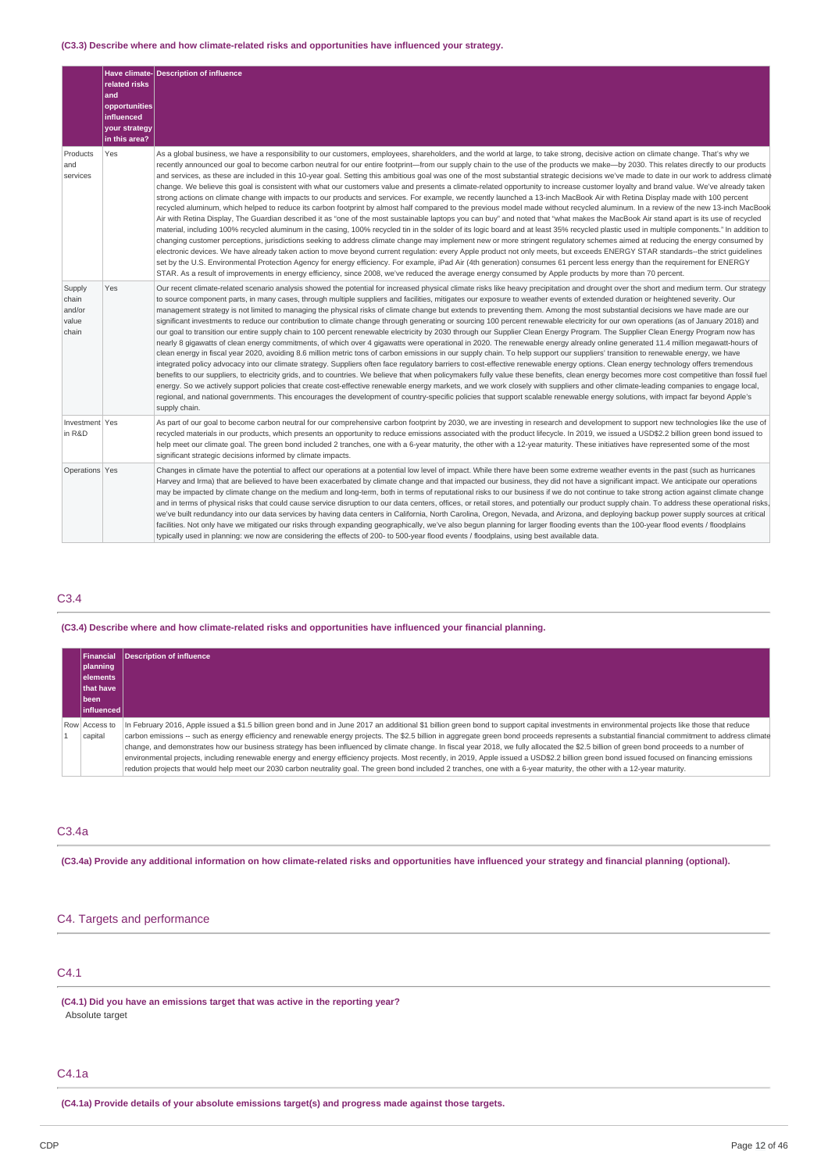### **(C3.3) Describe where and how climate-related risks and opportunities have influenced your strategy.**

|                                             | related risks<br>and<br>opportunities<br>influenced<br>your strategy<br>in this area? | Have climate- Description of influence                                                                                                                                                                                                                                                                                                                                                                                                                                                                                                                                                                                                                                                                                                                                                                                                                                                                                                                                                                                                                                                                                                                                                                                                                                                                                                                                                                                                                                                                                                                                                                                                                                                                                                                                                                                                                                                                                                                                                                                                                                                                                                                                                                                                                 |
|---------------------------------------------|---------------------------------------------------------------------------------------|--------------------------------------------------------------------------------------------------------------------------------------------------------------------------------------------------------------------------------------------------------------------------------------------------------------------------------------------------------------------------------------------------------------------------------------------------------------------------------------------------------------------------------------------------------------------------------------------------------------------------------------------------------------------------------------------------------------------------------------------------------------------------------------------------------------------------------------------------------------------------------------------------------------------------------------------------------------------------------------------------------------------------------------------------------------------------------------------------------------------------------------------------------------------------------------------------------------------------------------------------------------------------------------------------------------------------------------------------------------------------------------------------------------------------------------------------------------------------------------------------------------------------------------------------------------------------------------------------------------------------------------------------------------------------------------------------------------------------------------------------------------------------------------------------------------------------------------------------------------------------------------------------------------------------------------------------------------------------------------------------------------------------------------------------------------------------------------------------------------------------------------------------------------------------------------------------------------------------------------------------------|
| Products<br>and<br>services                 | Yes                                                                                   | As a global business, we have a responsibility to our customers, employees, shareholders, and the world at large, to take strong, decisive action on climate change. That's why we<br>recently announced our goal to become carbon neutral for our entire footprint-from our supply chain to the use of the products we make-by 2030. This relates directly to our products<br>and services, as these are included in this 10-year goal. Setting this ambitious goal was one of the most substantial strategic decisions we've made to date in our work to address climate<br>change. We believe this goal is consistent with what our customers value and presents a climate-related opportunity to increase customer loyalty and brand value. We've already taken<br>strong actions on climate change with impacts to our products and services. For example, we recently launched a 13-inch MacBook Air with Retina Display made with 100 percent<br>recycled aluminum, which helped to reduce its carbon footprint by almost half compared to the previous model made without recycled aluminum. In a review of the new 13-inch MacBook<br>Air with Retina Display, The Guardian described it as "one of the most sustainable laptops you can buy" and noted that "what makes the MacBook Air stand apart is its use of recycled<br>material, including 100% recycled aluminum in the casing, 100% recycled tin in the solder of its logic board and at least 35% recycled plastic used in multiple components." In addition to<br>changing customer perceptions, jurisdictions seeking to address climate change may implement new or more stringent regulatory schemes aimed at reducing the energy consumed by<br>electronic devices. We have already taken action to move beyond current requlation: every Apple product not only meets, but exceeds ENERGY STAR standards--the strict quidelines<br>set by the U.S. Environmental Protection Agency for energy efficiency. For example, iPad Air (4th generation) consumes 61 percent less energy than the requirement for ENERGY<br>STAR. As a result of improvements in energy efficiency, since 2008, we've reduced the average energy consumed by Apple products by more than 70 percent. |
| Supply<br>chain<br>and/or<br>value<br>chain | Yes                                                                                   | Our recent climate-related scenario analysis showed the potential for increased physical climate risks like heavy precipitation and drought over the short and medium term. Our strategy<br>to source component parts, in many cases, through multiple suppliers and facilities, mitigates our exposure to weather events of extended duration or heightened severity. Our<br>management strategy is not limited to managing the physical risks of climate change but extends to preventing them. Among the most substantial decisions we have made are our<br>significant investments to reduce our contribution to climate change through generating or sourcing 100 percent renewable electricity for our own operations (as of January 2018) and<br>our goal to transition our entire supply chain to 100 percent renewable electricity by 2030 through our Supplier Clean Energy Program. The Supplier Clean Energy Program now has<br>nearly 8 gigawatts of clean energy commitments, of which over 4 gigawatts were operational in 2020. The renewable energy already online generated 11.4 million megawatt-hours of<br>clean energy in fiscal year 2020, avoiding 8.6 million metric tons of carbon emissions in our supply chain. To help support our suppliers' transition to renewable energy, we have<br>integrated policy advocacy into our climate strategy. Suppliers often face regulatory barriers to cost-effective renewable energy options. Clean energy technology offers tremendous<br>benefits to our suppliers, to electricity grids, and to countries. We believe that when policymakers fully value these benefits, clean energy becomes more cost competitive than fossil fuel<br>energy. So we actively support policies that create cost-effective renewable energy markets, and we work closely with suppliers and other climate-leading companies to engage local,<br>regional, and national governments. This encourages the development of country-specific policies that support scalable renewable energy solutions, with impact far beyond Apple's<br>supply chain.                                                                                                                                               |
| Investment Yes<br>in R&D                    |                                                                                       | As part of our goal to become carbon neutral for our comprehensive carbon footprint by 2030, we are investing in research and development to support new technologies like the use of<br>recycled materials in our products, which presents an opportunity to reduce emissions associated with the product lifecycle. In 2019, we issued a USD\$2.2 billion green bond issued to<br>help meet our climate goal. The green bond included 2 tranches, one with a 6-year maturity, the other with a 12-year maturity. These initiatives have represented some of the most<br>significant strategic decisions informed by climate impacts.                                                                                                                                                                                                                                                                                                                                                                                                                                                                                                                                                                                                                                                                                                                                                                                                                                                                                                                                                                                                                                                                                                                                                                                                                                                                                                                                                                                                                                                                                                                                                                                                                 |
| Operations Yes                              |                                                                                       | Changes in climate have the potential to affect our operations at a potential low level of impact. While there have been some extreme weather events in the past (such as hurricanes<br>Harvey and Irma) that are believed to have been exacerbated by climate change and that impacted our business, they did not have a significant impact. We anticipate our operations<br>may be impacted by climate change on the medium and long-term, both in terms of reputational risks to our business if we do not continue to take strong action against climate change<br>and in terms of physical risks that could cause service disruption to our data centers, offices, or retail stores, and potentially our product supply chain. To address these operational risks,<br>we've built redundancy into our data services by having data centers in California, North Carolina, Oregon, Nevada, and Arizona, and deploying backup power supply sources at critical<br>facilities. Not only have we mitigated our risks through expanding geographically, we've also begun planning for larger flooding events than the 100-year flood events / floodplains<br>typically used in planning: we now are considering the effects of 200- to 500-year flood events / floodplains, using best available data.                                                                                                                                                                                                                                                                                                                                                                                                                                                                                                                                                                                                                                                                                                                                                                                                                                                                                                                                                 |

### C3.4

### **(C3.4) Describe where and how climate-related risks and opportunities have influenced your financial planning.**

| planning<br>lelements<br>that have<br><b>Ibeen</b> | <b>Financial Description of influence</b>                                                                                                                                                                                                                                                                                                                                                                                                                                                                                                                                                                                                                                                                                                                                                                                                                                                                                                                                     |
|----------------------------------------------------|-------------------------------------------------------------------------------------------------------------------------------------------------------------------------------------------------------------------------------------------------------------------------------------------------------------------------------------------------------------------------------------------------------------------------------------------------------------------------------------------------------------------------------------------------------------------------------------------------------------------------------------------------------------------------------------------------------------------------------------------------------------------------------------------------------------------------------------------------------------------------------------------------------------------------------------------------------------------------------|
| influenced                                         |                                                                                                                                                                                                                                                                                                                                                                                                                                                                                                                                                                                                                                                                                                                                                                                                                                                                                                                                                                               |
| Row Access to<br>capital                           | In February 2016, Apple issued a \$1.5 billion green bond and in June 2017 an additional \$1 billion green bond to support capital investments in environmental projects like those that reduce<br>carbon emissions -- such as energy efficiency and renewable energy projects. The \$2.5 billion in aggregate green bond proceeds represents a substantial financial commitment to address climate<br>change, and demonstrates how our business strategy has been influenced by climate change. In fiscal year 2018, we fully allocated the \$2.5 billion of green bond proceeds to a number of<br>environmental projects, including renewable energy and energy efficiency projects. Most recently, in 2019, Apple issued a USD\$2.2 billion green bond issued focused on financing emissions<br>redution projects that would help meet our 2030 carbon neutrality goal. The green bond included 2 tranches, one with a 6-year maturity, the other with a 12-year maturity. |

### C3.4a

(C3.4a) Provide any additional information on how climate-related risks and opportunities have influenced your strategy and financial planning (optional).

# C4. Targets and performance

# C4.1

**(C4.1) Did you have an emissions target that was active in the reporting year?** Absolute target

# C4.1a

**(C4.1a) Provide details of your absolute emissions target(s) and progress made against those targets.**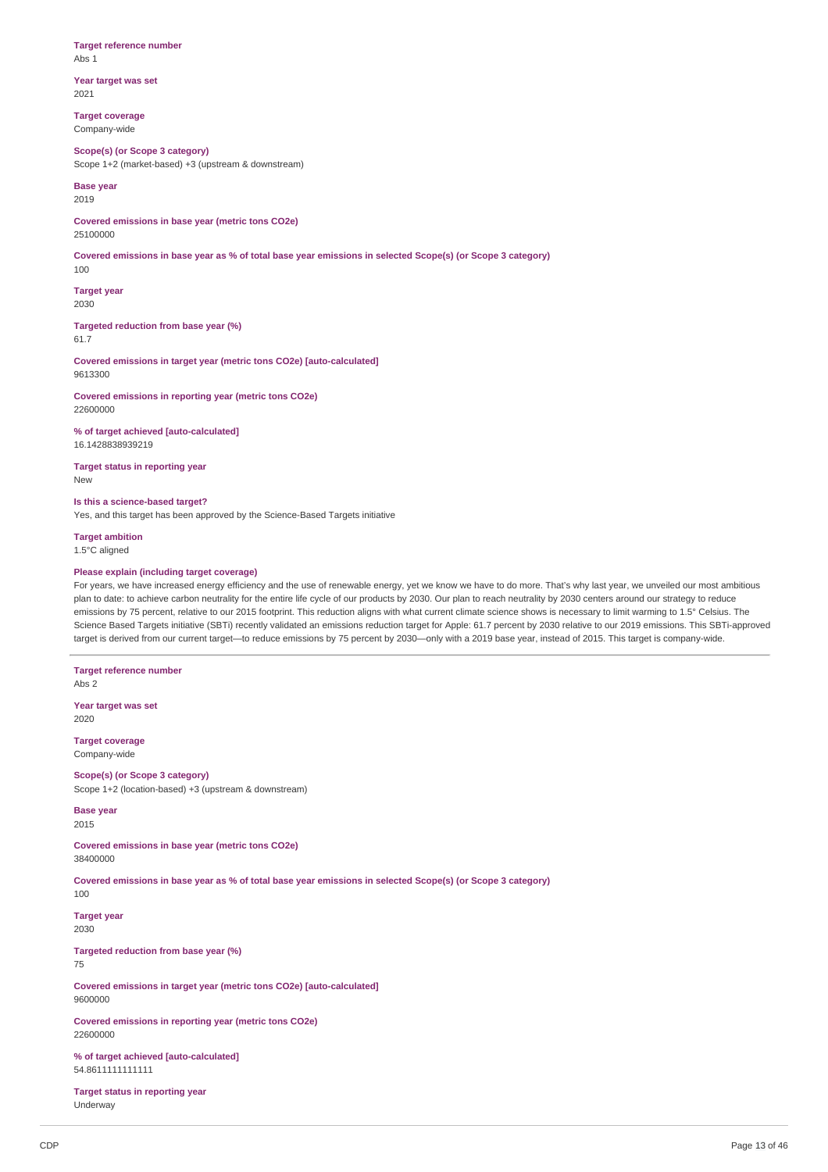**Target reference number** Abs 1

**Year target was set** 2021

**Target coverage** Company-wide

**Scope(s) (or Scope 3 category)** Scope 1+2 (market-based) +3 (upstream & downstream)

**Base year** 2019

**Covered emissions in base year (metric tons CO2e)** 25100000

Covered emissions in base year as % of total base year emissions in selected Scope(s) (or Scope 3 category) 100

**Target year** 2030

**Targeted reduction from base year (%)** 61.7

**Covered emissions in target year (metric tons CO2e) [auto-calculated]** 9613300

**Covered emissions in reporting year (metric tons CO2e)** 22600000

**% of target achieved [auto-calculated]** 16.1428838939219

**Target status in reporting year** New

**Is this a science-based target?**

Yes, and this target has been approved by the Science-Based Targets initiative

**Target ambition** 1.5°C aligned

### **Please explain (including target coverage)**

For years, we have increased energy efficiency and the use of renewable energy, yet we know we have to do more. That's why last year, we unveiled our most ambitious plan to date: to achieve carbon neutrality for the entire life cycle of our products by 2030. Our plan to reach neutrality by 2030 centers around our strategy to reduce emissions by 75 percent, relative to our 2015 footprint. This reduction aligns with what current climate science shows is necessary to limit warming to 1.5° Celsius. The Science Based Targets initiative (SBTi) recently validated an emissions reduction target for Apple: 61.7 percent by 2030 relative to our 2019 emissions. This SBTi-approved target is derived from our current target—to reduce emissions by 75 percent by 2030—only with a 2019 base year, instead of 2015. This target is company-wide.

**Target reference number** Abs 2

**Year target was set** 2020

**Target coverage** Company-wide

**Scope(s) (or Scope 3 category)** Scope 1+2 (location-based) +3 (upstream & downstream)

**Base year** 2015

**Covered emissions in base year (metric tons CO2e)** 38400000

Covered emissions in base year as % of total base year emissions in selected Scope(s) (or Scope 3 category)

100

**Target year** 2030

**Targeted reduction from base year (%)**

75

**Covered emissions in target year (metric tons CO2e) [auto-calculated]** 9600000

**Covered emissions in reporting year (metric tons CO2e)** 22600000

**% of target achieved [auto-calculated]** 54.8611111111111

**Target status in reporting year** Underway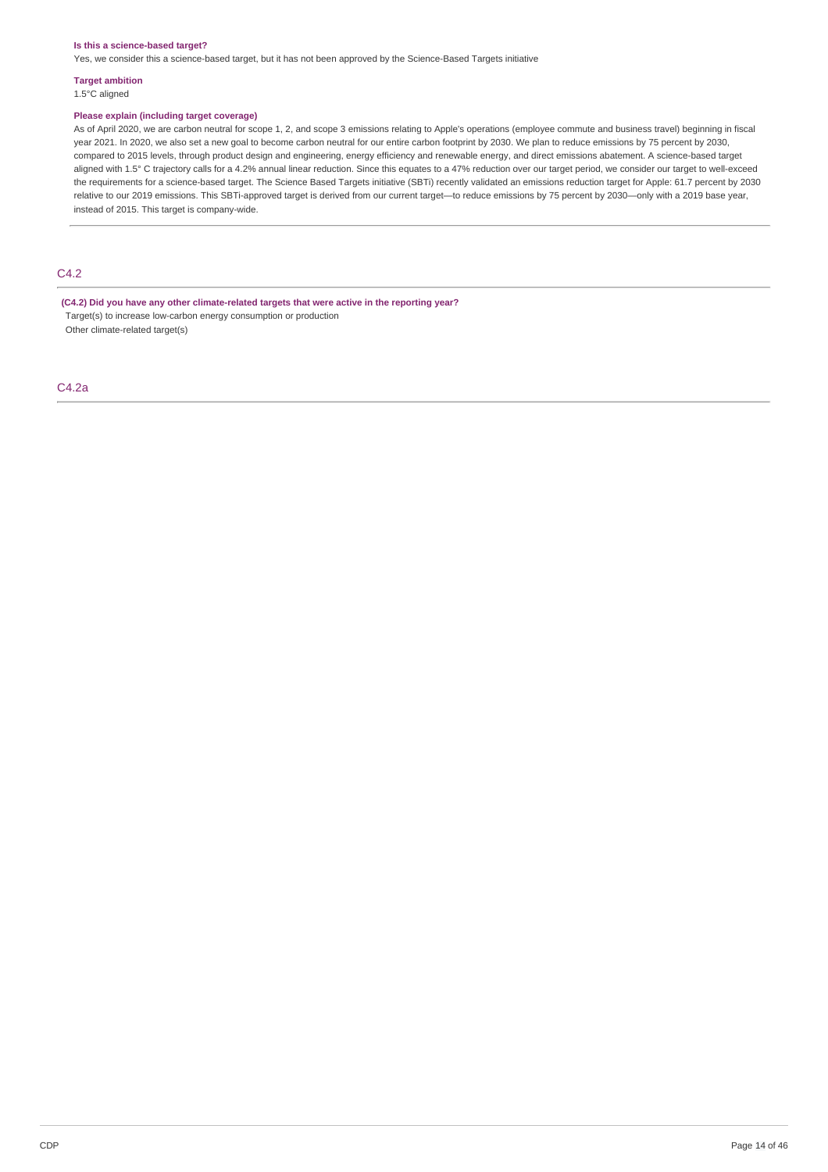#### **Is this a science-based target?**

Yes, we consider this a science-based target, but it has not been approved by the Science-Based Targets initiative

**Target ambition**

1.5°C aligned

### **Please explain (including target coverage)**

As of April 2020, we are carbon neutral for scope 1, 2, and scope 3 emissions relating to Apple's operations (employee commute and business travel) beginning in fiscal year 2021. In 2020, we also set a new goal to become carbon neutral for our entire carbon footprint by 2030. We plan to reduce emissions by 75 percent by 2030, compared to 2015 levels, through product design and engineering, energy efficiency and renewable energy, and direct emissions abatement. A science-based target aligned with 1.5° C trajectory calls for a 4.2% annual linear reduction. Since this equates to a 47% reduction over our target period, we consider our target to well-exceed the requirements for a science-based target. The Science Based Targets initiative (SBTi) recently validated an emissions reduction target for Apple: 61.7 percent by 2030 relative to our 2019 emissions. This SBTi-approved target is derived from our current target—to reduce emissions by 75 percent by 2030—only with a 2019 base year, instead of 2015. This target is company-wide.

# C4.2

**(C4.2) Did you have any other climate-related targets that were active in the reporting year?** Target(s) to increase low-carbon energy consumption or production Other climate-related target(s)

C4.2a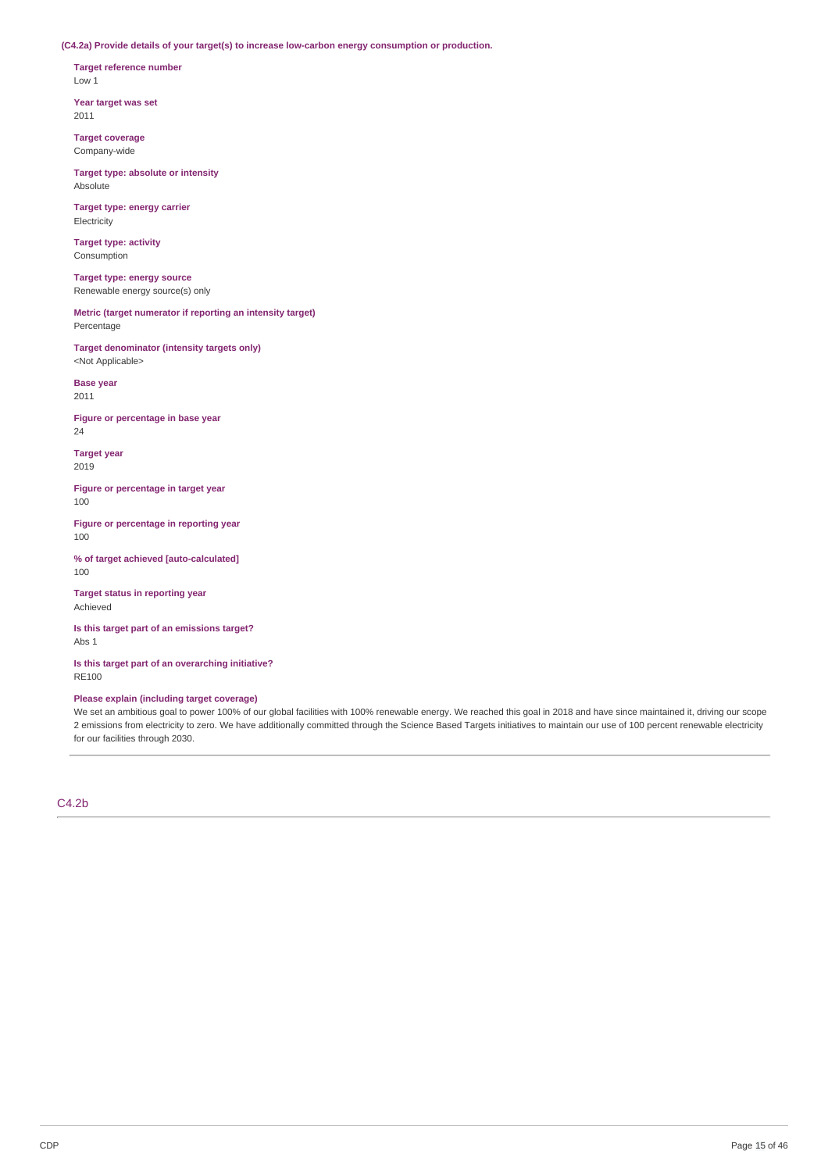**(C4.2a) Provide details of your target(s) to increase low-carbon energy consumption or production.**

**Target reference number** Low 1

**Year target was set** 2011

**Target coverage** Company-wide

**Target type: absolute or intensity** Absolute

**Target type: energy carrier** Electricity

**Target type: activity** Consumption

**Target type: energy source** Renewable energy source(s) only

**Metric (target numerator if reporting an intensity target)** Percentage

**Target denominator (intensity targets only)** <Not Applicable>

**Base year** 2011

**Figure or percentage in base year** 24

**Target year** 2019

**Figure or percentage in target year** 100

**Figure or percentage in reporting year** 100

**% of target achieved [auto-calculated]** 100

**Target status in reporting year** Achieved

**Is this target part of an emissions target?** Abs 1

**Is this target part of an overarching initiative?** RE100

### **Please explain (including target coverage)**

We set an ambitious goal to power 100% of our global facilities with 100% renewable energy. We reached this goal in 2018 and have since maintained it, driving our scope 2 emissions from electricity to zero. We have additionally committed through the Science Based Targets initiatives to maintain our use of 100 percent renewable electricity for our facilities through 2030.

C4.2b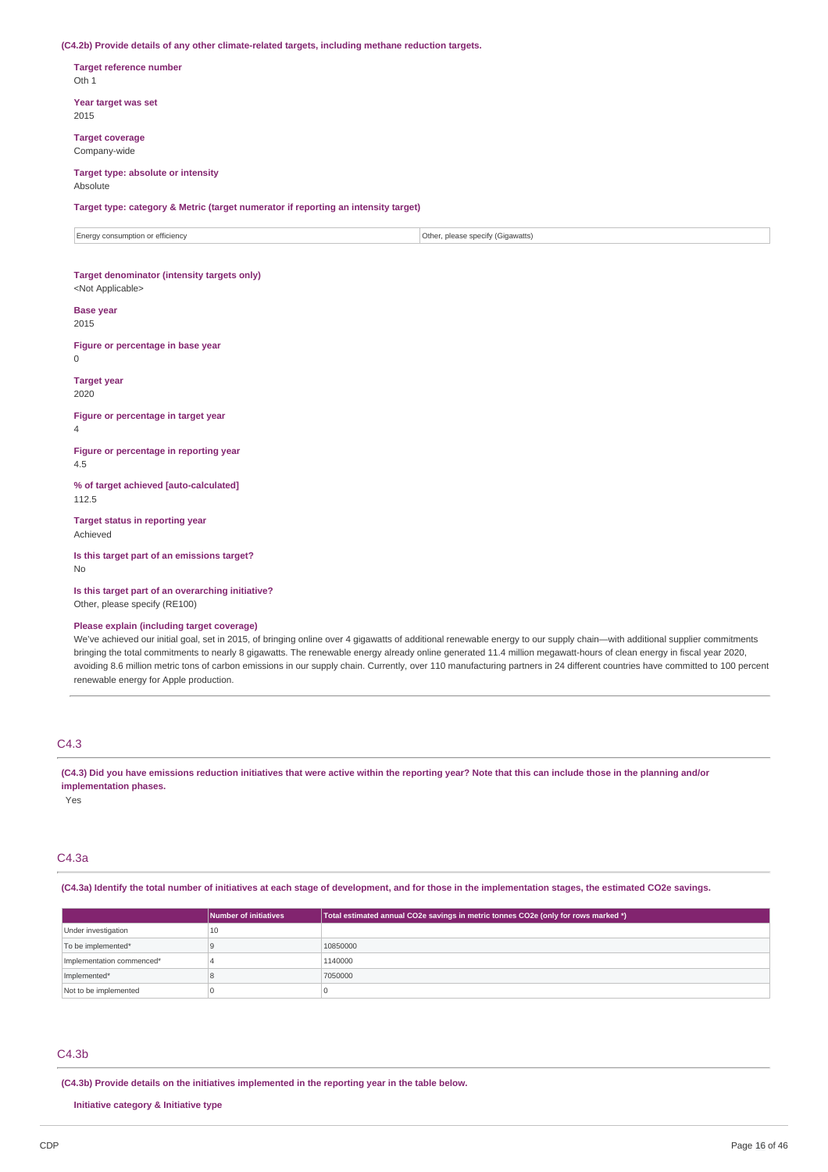#### **(C4.2b) Provide details of any other climate-related targets, including methane reduction targets.**

**Target reference number** Oth 1

**Year target was set** 2015

**Target coverage** Company-wide

#### **Target type: absolute or intensity** Absolute

**Target type: category & Metric (target numerator if reporting an intensity target)**

Energy consumption or efficiency **COLOGY CONSUMER CONSUMER SECURE 2018** Other, please specify (Gigawatts)

#### **Target denominator (intensity targets only)** <Not Applicable>

#### **Base year** 2015

**Figure or percentage in base year**  $\theta$ 

**Target year** 2020

**Figure or percentage in target year**

4

**Figure or percentage in reporting year** 4.5

**% of target achieved [auto-calculated]** 112.5

**Target status in reporting year** Achieved

**Is this target part of an emissions target?** No

**Is this target part of an overarching initiative?** Other, please specify (RE100)

#### **Please explain (including target coverage)**

We've achieved our initial goal, set in 2015, of bringing online over 4 gigawatts of additional renewable energy to our supply chain—with additional supplier commitments bringing the total commitments to nearly 8 gigawatts. The renewable energy already online generated 11.4 million megawatt-hours of clean energy in fiscal year 2020, avoiding 8.6 million metric tons of carbon emissions in our supply chain. Currently, over 110 manufacturing partners in 24 different countries have committed to 100 percent renewable energy for Apple production.

# C4.3

(C4.3) Did you have emissions reduction initiatives that were active within the reporting year? Note that this can include those in the planning and/or **implementation phases.**

Yes

# C4.3a

(C4.3a) Identify the total number of initiatives at each stage of development, and for those in the implementation stages, the estimated CO2e savings.

|                           | Number of initiatives | Total estimated annual CO2e savings in metric tonnes CO2e (only for rows marked *) |
|---------------------------|-----------------------|------------------------------------------------------------------------------------|
| Under investigation       | 10                    |                                                                                    |
| To be implemented*        |                       | 10850000                                                                           |
| Implementation commenced* |                       | 1140000                                                                            |
| Implemented*              |                       | 7050000                                                                            |
| Not to be implemented     |                       |                                                                                    |

# C4.3b

**(C4.3b) Provide details on the initiatives implemented in the reporting year in the table below.**

**Initiative category & Initiative type**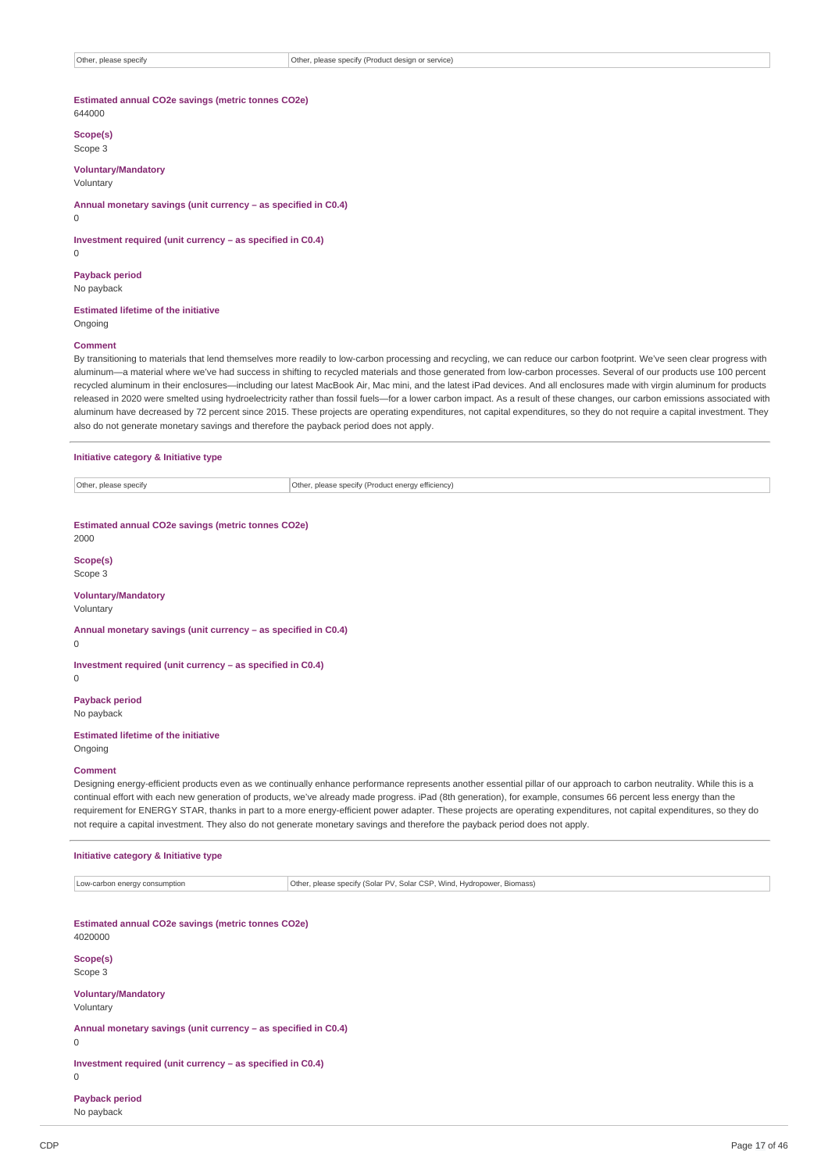## **Estimated annual CO2e savings (metric tonnes CO2e)**

644000

**Scope(s)**

Scope 3

**Voluntary/Mandatory** Voluntary

**Annual monetary savings (unit currency – as specified in C0.4)** 0

**Investment required (unit currency – as specified in C0.4)**

0

**Payback period** No payback

**Estimated lifetime of the initiative** Ongoing

#### **Comment**

By transitioning to materials that lend themselves more readily to low-carbon processing and recycling, we can reduce our carbon footprint. We've seen clear progress with aluminum—a material where we've had success in shifting to recycled materials and those generated from low-carbon processes. Several of our products use 100 percent recycled aluminum in their enclosures—including our latest MacBook Air, Mac mini, and the latest iPad devices. And all enclosures made with virgin aluminum for products released in 2020 were smelted using hydroelectricity rather than fossil fuels—for a lower carbon impact. As a result of these changes, our carbon emissions associated with aluminum have decreased by 72 percent since 2015. These projects are operating expenditures, not capital expenditures, so they do not require a capital investment. They also do not generate monetary savings and therefore the payback period does not apply.

#### **Initiative category & Initiative type**

| Other.<br>please specif<br>⊿CIIV<br>. | ---<br>har)<br>'Product enerav efficiency)<br>cnocity (Dr.<br>SD-930<br>.<br>. |
|---------------------------------------|--------------------------------------------------------------------------------|

# **Estimated annual CO2e savings (metric tonnes CO2e)**

2000

**Scope(s)** Scope 3

#### **Voluntary/Mandatory**

Voluntary

**Annual monetary savings (unit currency – as specified in C0.4)**

0

0

**Investment required (unit currency – as specified in C0.4)**

**Payback period** No payback

### **Estimated lifetime of the initiative** Ongoing

**Comment**

Designing energy-efficient products even as we continually enhance performance represents another essential pillar of our approach to carbon neutrality. While this is a continual effort with each new generation of products, we've already made progress. iPad (8th generation), for example, consumes 66 percent less energy than the requirement for ENERGY STAR, thanks in part to a more energy-efficient power adapter. These projects are operating expenditures, not capital expenditures, so they do not require a capital investment. They also do not generate monetary savings and therefore the payback period does not apply.

#### **Initiative category & Initiative type**

Low-carbon energy consumption **COLOGY CONSUMED CONSUMED CONSUMED CONSUMED** CONSUMING CONSUMED CONSUMED CONSUMED CONSUMED CONSUMED CONSUMED CONSUMED CONSUMED CONSUMED CONSUMED CONSUMED CONSUMED CONSUMED CONSUMED CONSUMED CO

| Estimated annual CO2e savings (metric tonnes CO2e)<br>4020000  |
|----------------------------------------------------------------|
| Scope(s)                                                       |
| Scope 3                                                        |
| <b>Voluntary/Mandatory</b>                                     |
| Voluntary                                                      |
| Annual monetary savings (unit currency - as specified in C0.4) |
| 0                                                              |
| Investment required (unit currency – as specified in C0.4)     |
| 0                                                              |
| <b>Payback period</b>                                          |

No payback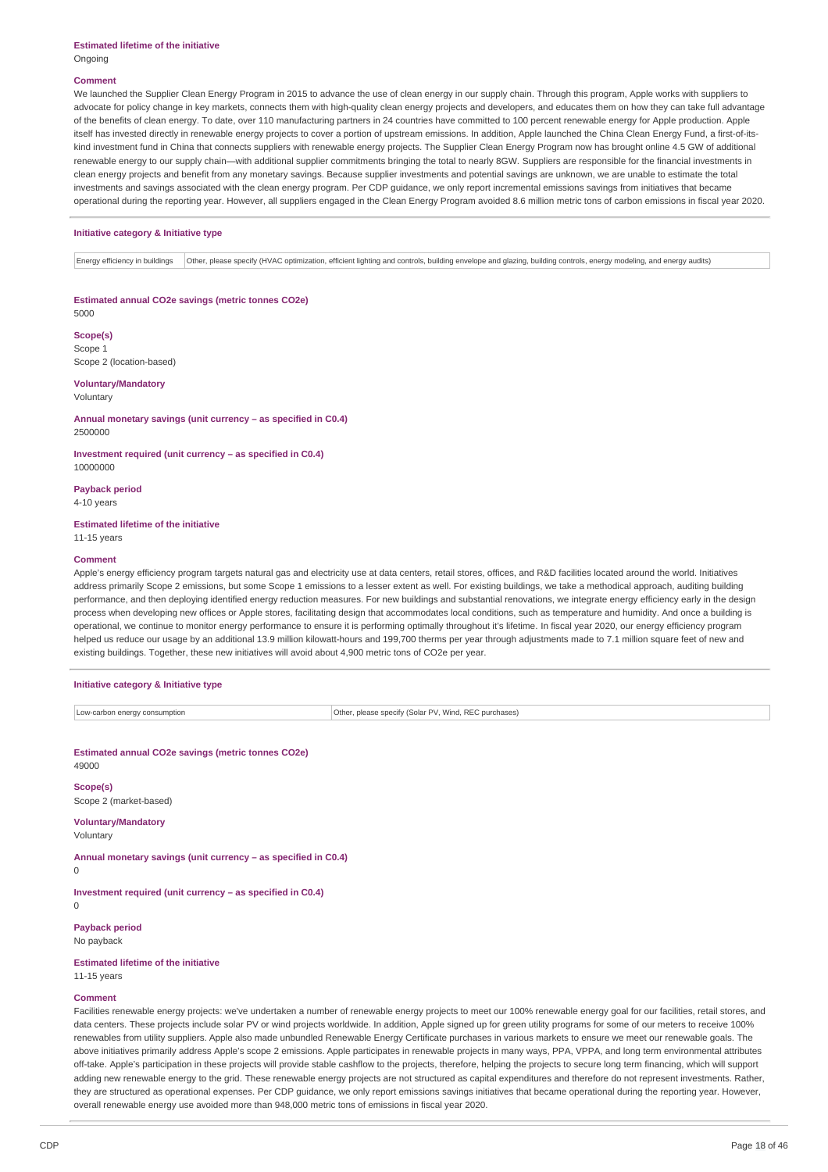#### **Comment**

We launched the Supplier Clean Energy Program in 2015 to advance the use of clean energy in our supply chain. Through this program, Apple works with suppliers to advocate for policy change in key markets, connects them with high-quality clean energy projects and developers, and educates them on how they can take full advantage of the benefits of clean energy. To date, over 110 manufacturing partners in 24 countries have committed to 100 percent renewable energy for Apple production. Apple itself has invested directly in renewable energy projects to cover a portion of upstream emissions. In addition, Apple launched the China Clean Energy Fund, a first-of-itskind investment fund in China that connects suppliers with renewable energy projects. The Supplier Clean Energy Program now has brought online 4.5 GW of additional renewable energy to our supply chain—with additional supplier commitments bringing the total to nearly 8GW. Suppliers are responsible for the financial investments in clean energy projects and benefit from any monetary savings. Because supplier investments and potential savings are unknown, we are unable to estimate the total investments and savings associated with the clean energy program. Per CDP guidance, we only report incremental emissions savings from initiatives that became operational during the reporting year. However, all suppliers engaged in the Clean Energy Program avoided 8.6 million metric tons of carbon emissions in fiscal year 2020.

#### **Initiative category & Initiative type**

Energy efficiency in buildings Other, please specify (HVAC optimization, efficient lighting and controls, building envelope and glazing, building controls, energy modeling, and energy audits)

**Estimated annual CO2e savings (metric tonnes CO2e)** 5000

**Scope(s)** Scope 1

Scope 2 (location-based) **Voluntary/Mandatory**

Voluntary

**Annual monetary savings (unit currency – as specified in C0.4)** 2500000

**Investment required (unit currency – as specified in C0.4)** 10000000

**Payback period** 4-10 years

**Estimated lifetime of the initiative** 11-15 years

#### **Comment**

Apple's energy efficiency program targets natural gas and electricity use at data centers, retail stores, offices, and R&D facilities located around the world. Initiatives address primarily Scope 2 emissions, but some Scope 1 emissions to a lesser extent as well. For existing buildings, we take a methodical approach, auditing building performance, and then deploying identified energy reduction measures. For new buildings and substantial renovations, we integrate energy efficiency early in the design process when developing new offices or Apple stores, facilitating design that accommodates local conditions, such as temperature and humidity. And once a building is operational, we continue to monitor energy performance to ensure it is performing optimally throughout it's lifetime. In fiscal year 2020, our energy efficiency program helped us reduce our usage by an additional 13.9 million kilowatt-hours and 199,700 therms per year through adjustments made to 7.1 million square feet of new and existing buildings. Together, these new initiatives will avoid about 4,900 metric tons of CO2e per year.

### **Initiative category & Initiative type**

Low-carbon energy consumption **COLOGY ENERGY CONSUMING CONSUMING CONSUMING CONSUMING CONSUMING CONSUMING CONSUMING CONSUMING CONSUMING CONSUMING CONSUMING CONSUMING CONSUMING CONSUMING CONSUMING CONSUMING CONSUMING CONSUMI** 

**Estimated annual CO2e savings (metric tonnes CO2e)** 49000

**Scope(s)**

Scope 2 (market-based)

#### **Voluntary/Mandatory** Voluntary

**Annual monetary savings (unit currency – as specified in C0.4)**

0

**Investment required (unit currency – as specified in C0.4)**

 $\Omega$ 

**Payback period** No payback

**Estimated lifetime of the initiative** 11-15 years

#### **Comment**

Facilities renewable energy projects: we've undertaken a number of renewable energy projects to meet our 100% renewable energy goal for our facilities, retail stores, and data centers. These projects include solar PV or wind projects worldwide. In addition, Apple signed up for green utility programs for some of our meters to receive 100% renewables from utility suppliers. Apple also made unbundled Renewable Energy Certificate purchases in various markets to ensure we meet our renewable goals. The above initiatives primarily address Apple's scope 2 emissions. Apple participates in renewable projects in many ways, PPA, VPPA, and long term environmental attributes off-take. Apple's participation in these projects will provide stable cashflow to the projects, therefore, helping the projects to secure long term financing, which will support adding new renewable energy to the grid. These renewable energy projects are not structured as capital expenditures and therefore do not represent investments. Rather, they are structured as operational expenses. Per CDP guidance, we only report emissions savings initiatives that became operational during the reporting year. However, overall renewable energy use avoided more than 948,000 metric tons of emissions in fiscal year 2020.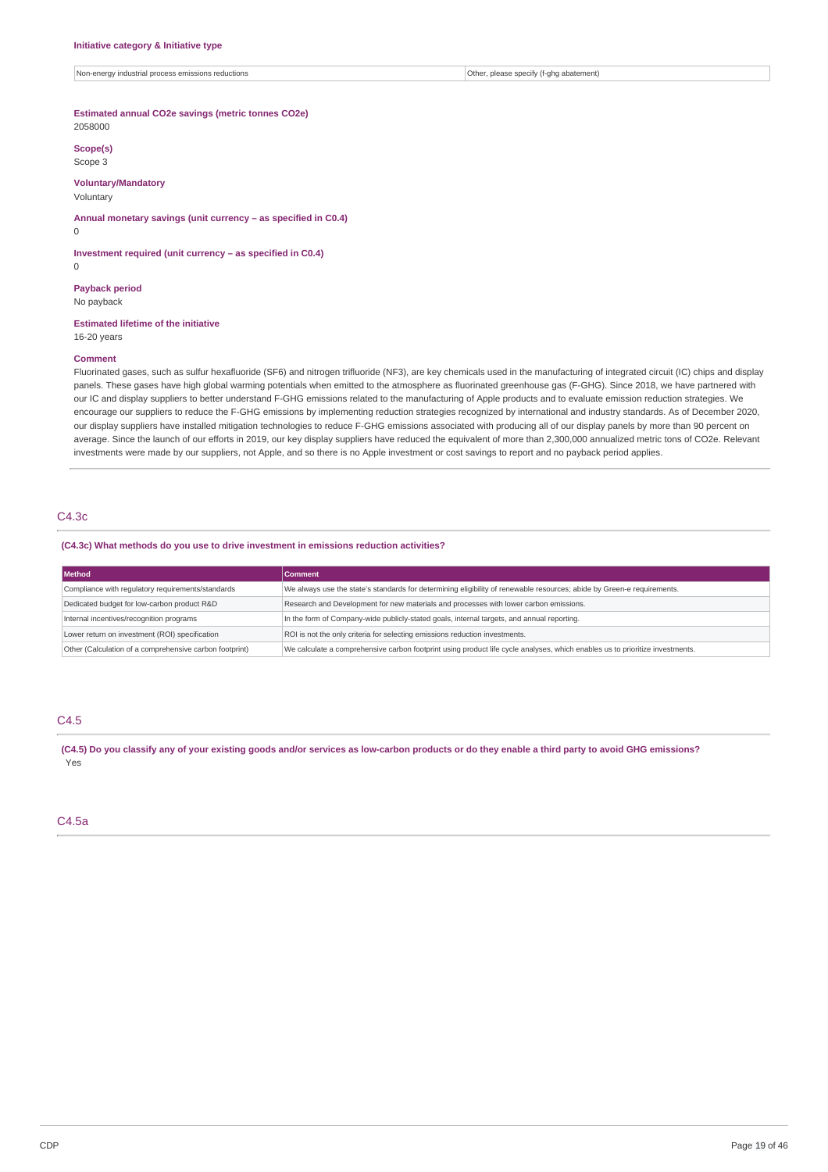Non-energy industrial process emissions reductions **Other, please specify (f-ghg abatement)** Other, please specify (f-ghg abatement)

#### **Estimated annual CO2e savings (metric tonnes CO2e)** 2058000

**Scope(s)** Scope 3

### **Voluntary/Mandatory**

Voluntary

**Annual monetary savings (unit currency – as specified in C0.4)**

**Investment required (unit currency – as specified in C0.4)**

0

 $\Omega$ 

**Payback period** No payback

#### **Estimated lifetime of the initiative** 16-20 years

#### **Comment**

Fluorinated gases, such as sulfur hexafluoride (SF6) and nitrogen trifluoride (NF3), are key chemicals used in the manufacturing of integrated circuit (IC) chips and display panels. These gases have high global warming potentials when emitted to the atmosphere as fluorinated greenhouse gas (F-GHG). Since 2018, we have partnered with our IC and display suppliers to better understand F-GHG emissions related to the manufacturing of Apple products and to evaluate emission reduction strategies. We encourage our suppliers to reduce the F-GHG emissions by implementing reduction strategies recognized by international and industry standards. As of December 2020, our display suppliers have installed mitigation technologies to reduce F-GHG emissions associated with producing all of our display panels by more than 90 percent on average. Since the launch of our efforts in 2019, our key display suppliers have reduced the equivalent of more than 2,300,000 annualized metric tons of CO2e. Relevant investments were made by our suppliers, not Apple, and so there is no Apple investment or cost savings to report and no payback period applies.

# C4.3c

#### **(C4.3c) What methods do you use to drive investment in emissions reduction activities?**

| Method                                                  | <b>Comment</b>                                                                                                               |
|---------------------------------------------------------|------------------------------------------------------------------------------------------------------------------------------|
| Compliance with regulatory requirements/standards       | We always use the state's standards for determining eligibility of renewable resources; abide by Green-e requirements.       |
| Dedicated budget for low-carbon product R&D             | Research and Development for new materials and processes with lower carbon emissions.                                        |
| Internal incentives/recognition programs                | In the form of Company-wide publicly-stated goals, internal targets, and annual reporting.                                   |
| Lower return on investment (ROI) specification          | ROI is not the only criteria for selecting emissions reduction investments.                                                  |
| Other (Calculation of a comprehensive carbon footprint) | We calculate a comprehensive carbon footprint using product life cycle analyses, which enables us to prioritize investments. |

### C4.5

(C4.5) Do you classify any of your existing goods and/or services as low-carbon products or do they enable a third party to avoid GHG emissions? Yes

# C4.5a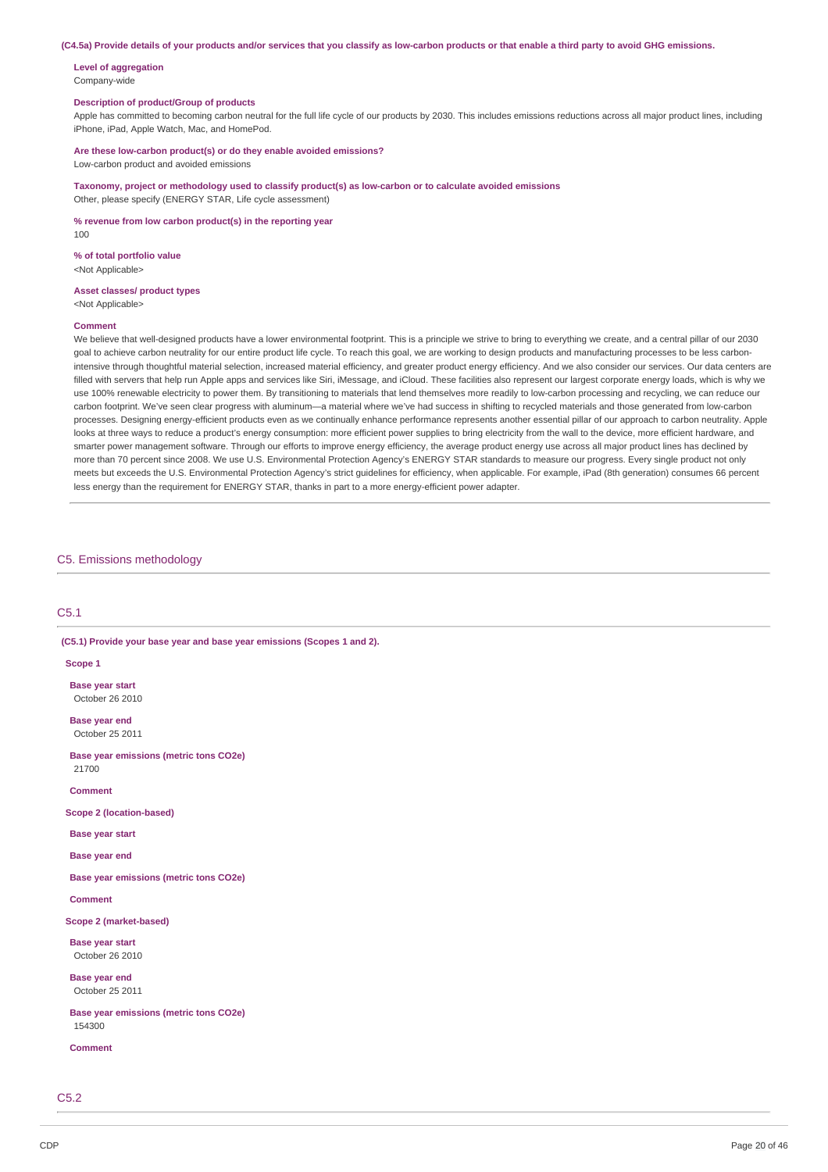(C4.5a) Provide details of your products and/or services that you classify as low-carbon products or that enable a third party to avoid GHG emissions.

**Level of aggregation** Company-wide

### **Description of product/Group of products**

Apple has committed to becoming carbon neutral for the full life cycle of our products by 2030. This includes emissions reductions across all major product lines, including iPhone, iPad, Apple Watch, Mac, and HomePod.

**Are these low-carbon product(s) or do they enable avoided emissions?** Low-carbon product and avoided emissions

**Taxonomy, project or methodology used to classify product(s) as low-carbon or to calculate avoided emissions**

Other, please specify (ENERGY STAR, Life cycle assessment)

**% revenue from low carbon product(s) in the reporting year**

100

#### **% of total portfolio value** <Not Applicable>

#### **Asset classes/ product types** <Not Applicable>

#### **Comment**

We believe that well-designed products have a lower environmental footprint. This is a principle we strive to bring to everything we create, and a central pillar of our 2030 goal to achieve carbon neutrality for our entire product life cycle. To reach this goal, we are working to design products and manufacturing processes to be less carbonintensive through thoughtful material selection, increased material efficiency, and greater product energy efficiency. And we also consider our services. Our data centers are filled with servers that help run Apple apps and services like Siri, iMessage, and iCloud. These facilities also represent our largest corporate energy loads, which is why we use 100% renewable electricity to power them. By transitioning to materials that lend themselves more readily to low-carbon processing and recycling, we can reduce our carbon footprint. We've seen clear progress with aluminum—a material where we've had success in shifting to recycled materials and those generated from low-carbon processes. Designing energy-efficient products even as we continually enhance performance represents another essential pillar of our approach to carbon neutrality. Apple looks at three ways to reduce a product's energy consumption: more efficient power supplies to bring electricity from the wall to the device, more efficient hardware, and smarter power management software. Through our efforts to improve energy efficiency, the average product energy use across all major product lines has declined by more than 70 percent since 2008. We use U.S. Environmental Protection Agency's ENERGY STAR standards to measure our progress. Every single product not only meets but exceeds the U.S. Environmental Protection Agency's strict guidelines for efficiency, when applicable. For example, iPad (8th generation) consumes 66 percent less energy than the requirement for ENERGY STAR, thanks in part to a more energy-efficient power adapter.

### C5. Emissions methodology

#### C5.1

**(C5.1) Provide your base year and base year emissions (Scopes 1 and 2).**

### **Scope 1**

**Base year start** October 26 2010

**Base year end** October 25 2011

**Base year emissions (metric tons CO2e)** 21700

**Comment**

**Scope 2 (location-based)**

**Base year start**

**Base year end**

**Base year emissions (metric tons CO2e)**

**Comment**

**Scope 2 (market-based)**

**Base year start** October 26 2010

**Base year end** October 25 2011

**Base year emissions (metric tons CO2e)** 154300

**Comment**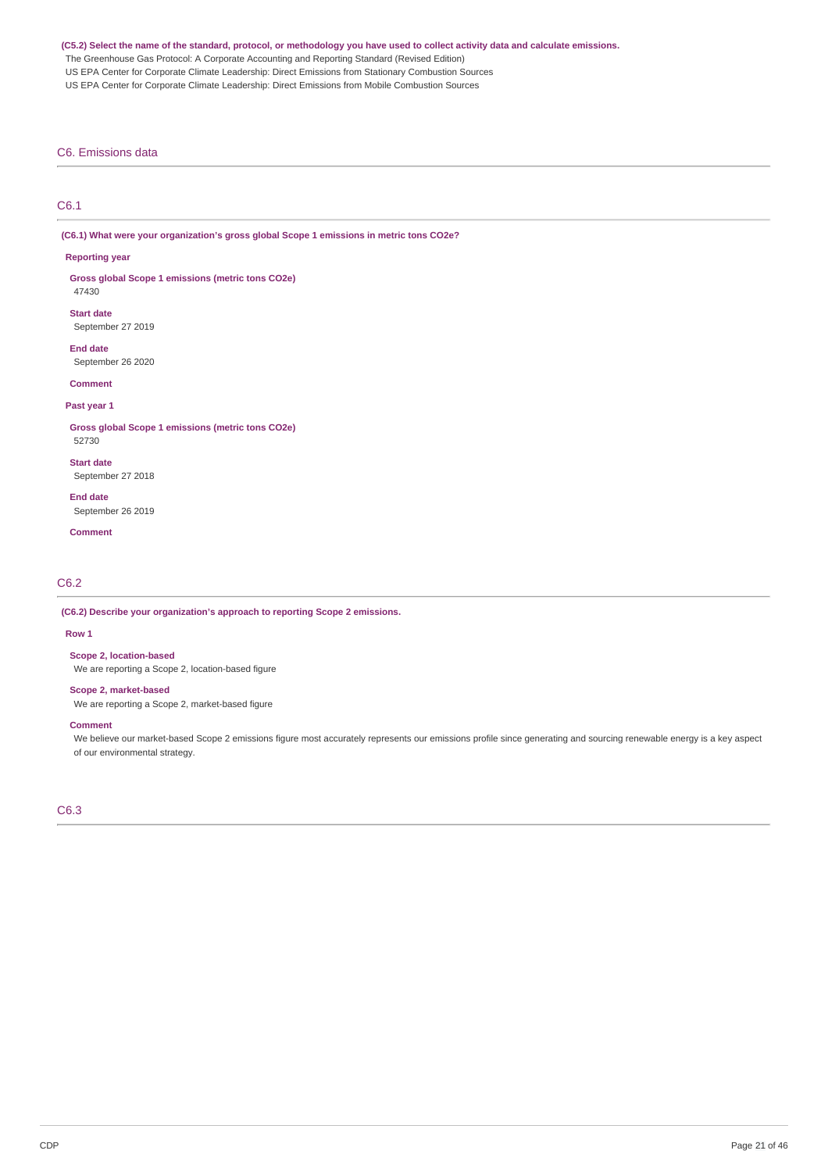### (C5.2) Select the name of the standard, protocol, or methodology you have used to collect activity data and calculate emissions.

The Greenhouse Gas Protocol: A Corporate Accounting and Reporting Standard (Revised Edition)

US EPA Center for Corporate Climate Leadership: Direct Emissions from Stationary Combustion Sources

US EPA Center for Corporate Climate Leadership: Direct Emissions from Mobile Combustion Sources

### C6. Emissions data

# C6.1

**(C6.1) What were your organization's gross global Scope 1 emissions in metric tons CO2e?**

#### **Reporting year**

**Gross global Scope 1 emissions (metric tons CO2e)** 47430

**Start date** September 27 2019

**End date** September 26 2020

#### **Comment**

#### **Past year 1**

**Gross global Scope 1 emissions (metric tons CO2e)** 52730

**Start date** September 27 2018

**End date** September 26 2019

**Comment**

C6.2

#### **(C6.2) Describe your organization's approach to reporting Scope 2 emissions.**

### **Row 1**

**Scope 2, location-based**

We are reporting a Scope 2, location-based figure

### **Scope 2, market-based**

We are reporting a Scope 2, market-based figure

### **Comment**

We believe our market-based Scope 2 emissions figure most accurately represents our emissions profile since generating and sourcing renewable energy is a key aspect of our environmental strategy.

C6.3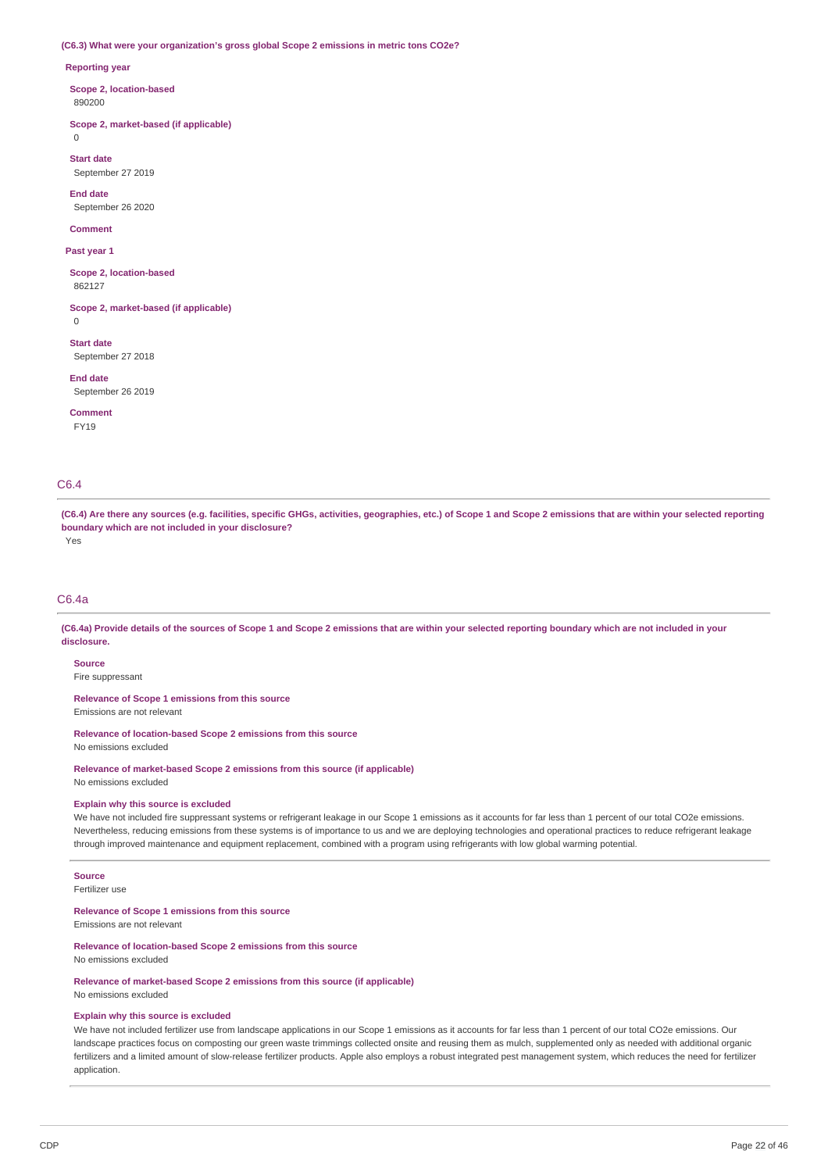#### **(C6.3) What were your organization's gross global Scope 2 emissions in metric tons CO2e?**

#### **Reporting year**

**Scope 2, location-based** 890200

**Scope 2, market-based (if applicable)**  $\Omega$ 

**Start date** September 27 2019

**End date** September 26 2020

**Comment**

**Past year 1**

**Scope 2, location-based** 862127

**Scope 2, market-based (if applicable)** 0

**Start date** September 27 2018

**End date**

September 26 2019

**Comment** FY19

# C6.4

(C6.4) Are there any sources (e.g. facilities, specific GHGs, activities, geographies, etc.) of Scope 1 and Scope 2 emissions that are within your selected reporting **boundary which are not included in your disclosure?** Yes

### C6.4a

(C6.4a) Provide details of the sources of Scope 1 and Scope 2 emissions that are within your selected reporting boundary which are not included in your **disclosure.**

#### **Source**

Fire suppressant

**Relevance of Scope 1 emissions from this source**

Emissions are not relevant

**Relevance of location-based Scope 2 emissions from this source** No emissions excluded

**Relevance of market-based Scope 2 emissions from this source (if applicable)** No emissions excluded

#### **Explain why this source is excluded**

We have not included fire suppressant systems or refrigerant leakage in our Scope 1 emissions as it accounts for far less than 1 percent of our total CO2e emissions. Nevertheless, reducing emissions from these systems is of importance to us and we are deploying technologies and operational practices to reduce refrigerant leakage through improved maintenance and equipment replacement, combined with a program using refrigerants with low global warming potential.

### **Source**

Fertilizer use

### **Relevance of Scope 1 emissions from this source**

Emissions are not relevant

#### **Relevance of location-based Scope 2 emissions from this source**

No emissions excluded

**Relevance of market-based Scope 2 emissions from this source (if applicable)** No emissions excluded

#### **Explain why this source is excluded**

We have not included fertilizer use from landscape applications in our Scope 1 emissions as it accounts for far less than 1 percent of our total CO2e emissions. Our landscape practices focus on composting our green waste trimmings collected onsite and reusing them as mulch, supplemented only as needed with additional organic fertilizers and a limited amount of slow-release fertilizer products. Apple also employs a robust integrated pest management system, which reduces the need for fertilizer application.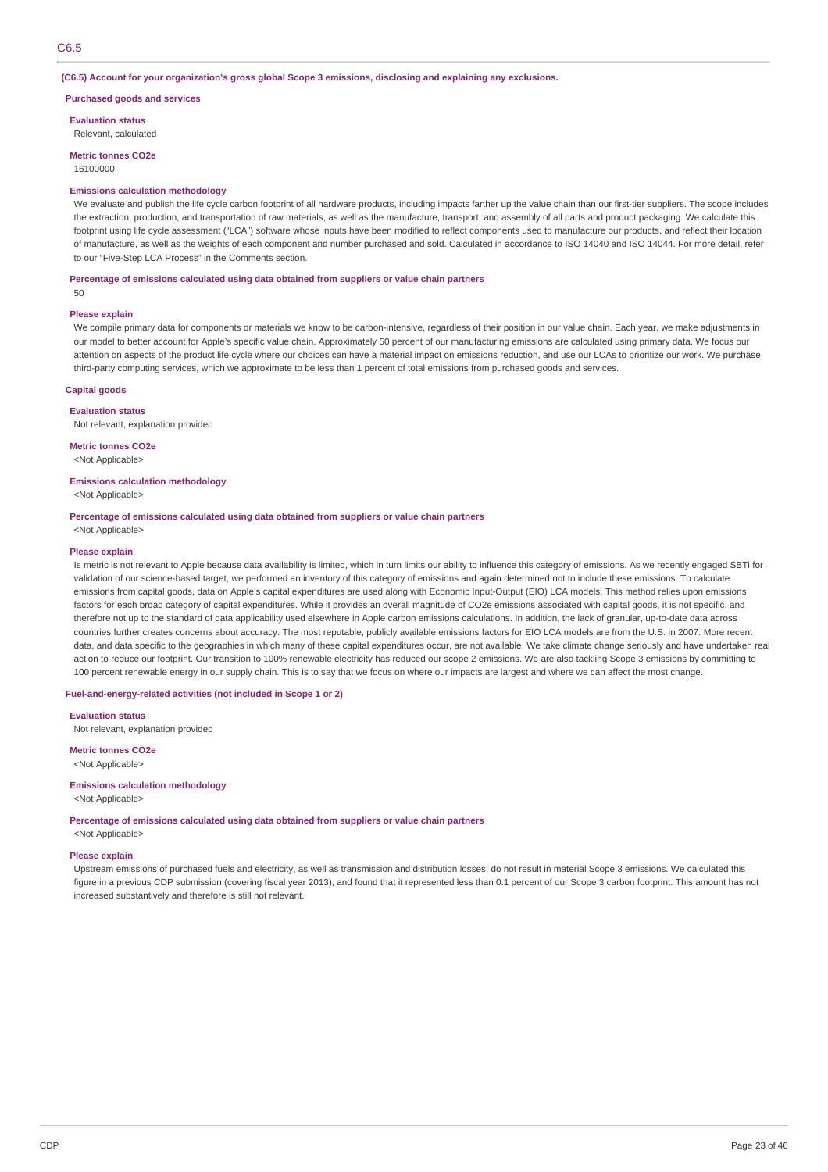### C6.5

#### **(C6.5) Account for your organization's gross global Scope 3 emissions, disclosing and explaining any exclusions.**

#### **Purchased goods and services**

**Evaluation status**

Relevant, calculated

**Metric tonnes CO2e**

16100000

#### **Emissions calculation methodology**

We evaluate and publish the life cycle carbon footprint of all hardware products, including impacts farther up the value chain than our first-tier suppliers. The scope includes the extraction, production, and transportation of raw materials, as well as the manufacture, transport, and assembly of all parts and product packaging. We calculate this footprint using life cycle assessment ("LCA") software whose inputs have been modified to reflect components used to manufacture our products, and reflect their location of manufacture, as well as the weights of each component and number purchased and sold. Calculated in accordance to ISO 14040 and ISO 14044. For more detail, refer to our "Five-Step LCA Process" in the Comments section.

#### **Percentage of emissions calculated using data obtained from suppliers or value chain partners**

50

#### **Please explain**

We compile primary data for components or materials we know to be carbon-intensive, regardless of their position in our value chain. Each year, we make adjustments in our model to better account for Apple's specific value chain. Approximately 50 percent of our manufacturing emissions are calculated using primary data. We focus our attention on aspects of the product life cycle where our choices can have a material impact on emissions reduction, and use our LCAs to prioritize our work. We purchase third-party computing services, which we approximate to be less than 1 percent of total emissions from purchased goods and services.

### **Capital goods**

**Evaluation status** Not relevant, explanation provided

**Metric tonnes CO2e**

<Not Applicable>

### **Emissions calculation methodology**

<Not Applicable>

**Percentage of emissions calculated using data obtained from suppliers or value chain partners** <Not Applicable>

#### **Please explain**

Is metric is not relevant to Apple because data availability is limited, which in turn limits our ability to influence this category of emissions. As we recently engaged SBTi for validation of our science-based target, we performed an inventory of this category of emissions and again determined not to include these emissions. To calculate emissions from capital goods, data on Apple's capital expenditures are used along with Economic Input-Output (EIO) LCA models. This method relies upon emissions factors for each broad category of capital expenditures. While it provides an overall magnitude of CO2e emissions associated with capital goods, it is not specific, and therefore not up to the standard of data applicability used elsewhere in Apple carbon emissions calculations. In addition, the lack of granular, up-to-date data across countries further creates concerns about accuracy. The most reputable, publicly available emissions factors for EIO LCA models are from the U.S. in 2007. More recent data, and data specific to the geographies in which many of these capital expenditures occur, are not available. We take climate change seriously and have undertaken real action to reduce our footprint. Our transition to 100% renewable electricity has reduced our scope 2 emissions. We are also tackling Scope 3 emissions by committing to 100 percent renewable energy in our supply chain. This is to say that we focus on where our impacts are largest and where we can affect the most change.

#### **Fuel-and-energy-related activities (not included in Scope 1 or 2)**

**Evaluation status** Not relevant, explanation provided

**Metric tonnes CO2e** <Not Applicable>

# **Emissions calculation methodology**

<Not Applicable>

**Percentage of emissions calculated using data obtained from suppliers or value chain partners** <Not Applicable>

#### **Please explain**

Upstream emissions of purchased fuels and electricity, as well as transmission and distribution losses, do not result in material Scope 3 emissions. We calculated this figure in a previous CDP submission (covering fiscal year 2013), and found that it represented less than 0.1 percent of our Scope 3 carbon footprint. This amount has not increased substantively and therefore is still not relevant.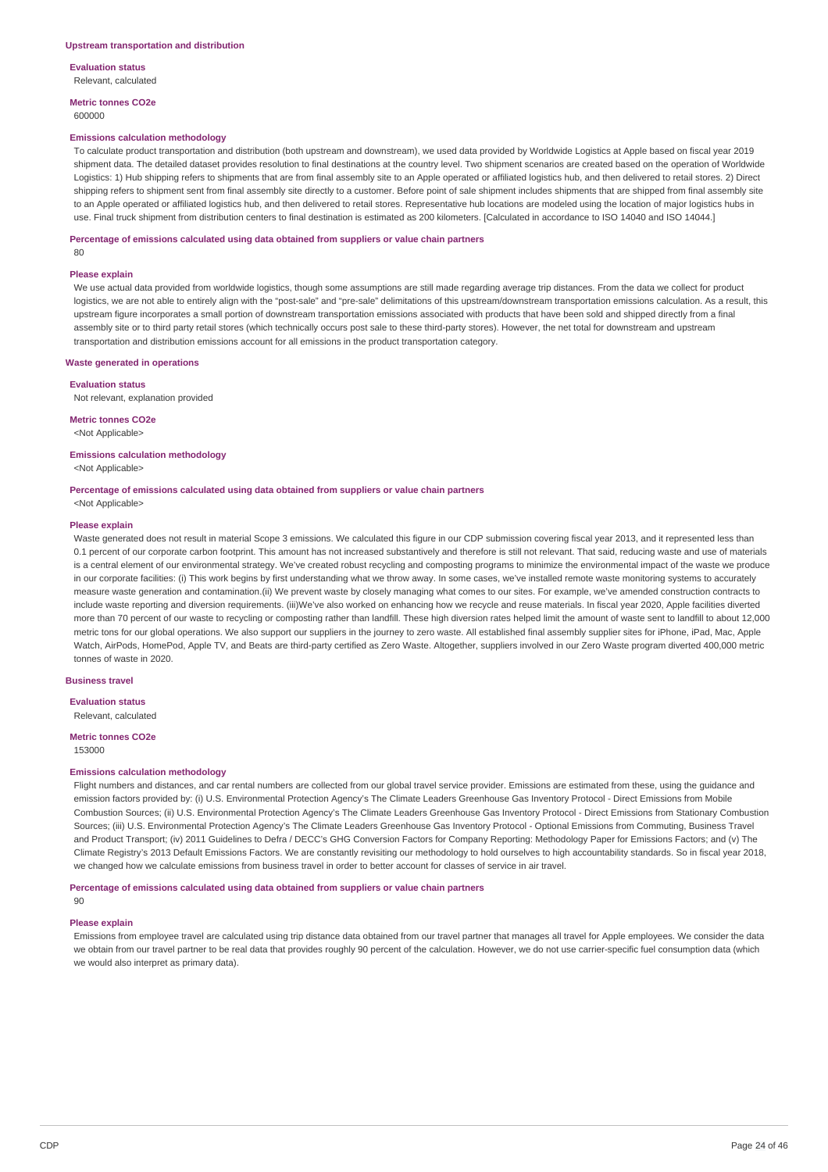**Evaluation status** Relevant, calculated

**Metric tonnes CO2e** 600000

#### **Emissions calculation methodology**

To calculate product transportation and distribution (both upstream and downstream), we used data provided by Worldwide Logistics at Apple based on fiscal year 2019 shipment data. The detailed dataset provides resolution to final destinations at the country level. Two shipment scenarios are created based on the operation of Worldwide Logistics: 1) Hub shipping refers to shipments that are from final assembly site to an Apple operated or affiliated logistics hub, and then delivered to retail stores. 2) Direct shipping refers to shipment sent from final assembly site directly to a customer. Before point of sale shipment includes shipments that are shipped from final assembly site to an Apple operated or affiliated logistics hub, and then delivered to retail stores. Representative hub locations are modeled using the location of major logistics hubs in use. Final truck shipment from distribution centers to final destination is estimated as 200 kilometers. [Calculated in accordance to ISO 14040 and ISO 14044.]

#### **Percentage of emissions calculated using data obtained from suppliers or value chain partners**

80

#### **Please explain**

We use actual data provided from worldwide logistics, though some assumptions are still made regarding average trip distances. From the data we collect for product logistics, we are not able to entirely align with the "post-sale" and "pre-sale" delimitations of this upstream/downstream transportation emissions calculation. As a result, this upstream figure incorporates a small portion of downstream transportation emissions associated with products that have been sold and shipped directly from a final assembly site or to third party retail stores (which technically occurs post sale to these third-party stores). However, the net total for downstream and upstream transportation and distribution emissions account for all emissions in the product transportation category.

#### **Waste generated in operations**

**Evaluation status**

Not relevant, explanation provided

#### **Metric tonnes CO2e**

<Not Applicable>

#### **Emissions calculation methodology**

<Not Applicable>

### **Percentage of emissions calculated using data obtained from suppliers or value chain partners**

# <Not Applicable>

#### **Please explain**

Waste generated does not result in material Scope 3 emissions. We calculated this figure in our CDP submission covering fiscal year 2013, and it represented less than 0.1 percent of our corporate carbon footprint. This amount has not increased substantively and therefore is still not relevant. That said, reducing waste and use of materials is a central element of our environmental strategy. We've created robust recycling and composting programs to minimize the environmental impact of the waste we produce in our corporate facilities: (i) This work begins by first understanding what we throw away. In some cases, we've installed remote waste monitoring systems to accurately measure waste generation and contamination.(ii) We prevent waste by closely managing what comes to our sites. For example, we've amended construction contracts to include waste reporting and diversion requirements. (iii)We've also worked on enhancing how we recycle and reuse materials. In fiscal year 2020, Apple facilities diverted more than 70 percent of our waste to recycling or composting rather than landfill. These high diversion rates helped limit the amount of waste sent to landfill to about 12,000 metric tons for our global operations. We also support our suppliers in the journey to zero waste. All established final assembly supplier sites for iPhone, iPad, Mac, Apple Watch, AirPods, HomePod, Apple TV, and Beats are third-party certified as Zero Waste. Altogether, suppliers involved in our Zero Waste program diverted 400,000 metric tonnes of waste in 2020.

### **Business travel**

**Evaluation status**

Relevant, calculated

#### **Metric tonnes CO2e** 153000

#### **Emissions calculation methodology**

Flight numbers and distances, and car rental numbers are collected from our global travel service provider. Emissions are estimated from these, using the guidance and emission factors provided by: (i) U.S. Environmental Protection Agency's The Climate Leaders Greenhouse Gas Inventory Protocol - Direct Emissions from Mobile Combustion Sources; (ii) U.S. Environmental Protection Agency's The Climate Leaders Greenhouse Gas Inventory Protocol - Direct Emissions from Stationary Combustion Sources: (iii) U.S. Environmental Protection Agency's The Climate Leaders Greenhouse Gas Inventory Protocol - Optional Emissions from Commuting, Business Travel and Product Transport; (iv) 2011 Guidelines to Defra / DECC's GHG Conversion Factors for Company Reporting: Methodology Paper for Emissions Factors; and (v) The Climate Registry's 2013 Default Emissions Factors. We are constantly revisiting our methodology to hold ourselves to high accountability standards. So in fiscal year 2018, we changed how we calculate emissions from business travel in order to better account for classes of service in air travel.

**Percentage of emissions calculated using data obtained from suppliers or value chain partners**

#### **Please explain**

 $0<sub>0</sub>$ 

Emissions from employee travel are calculated using trip distance data obtained from our travel partner that manages all travel for Apple employees. We consider the data we obtain from our travel partner to be real data that provides roughly 90 percent of the calculation. However, we do not use carrier-specific fuel consumption data (which we would also interpret as primary data).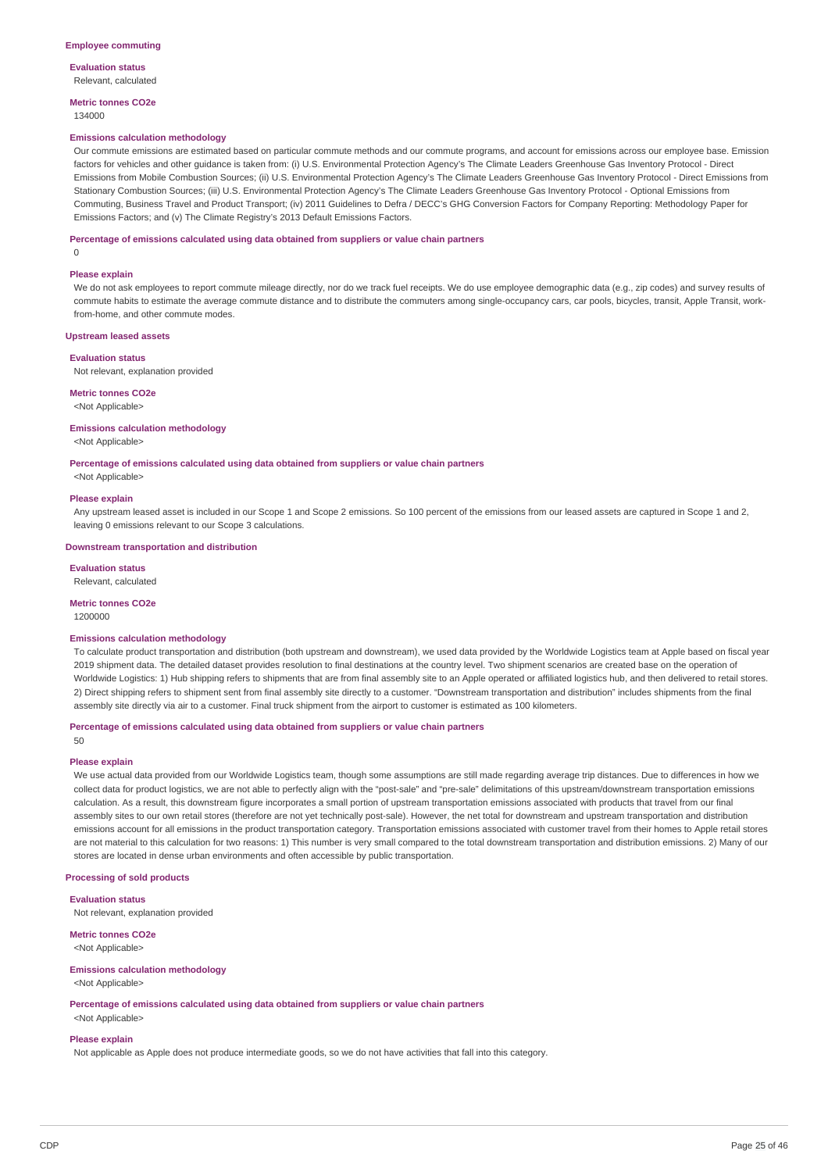**Evaluation status** Relevant, calculated

**Metric tonnes CO2e** 134000

#### **Emissions calculation methodology**

Our commute emissions are estimated based on particular commute methods and our commute programs, and account for emissions across our employee base. Emission factors for vehicles and other guidance is taken from: (i) U.S. Environmental Protection Agency's The Climate Leaders Greenhouse Gas Inventory Protocol - Direct Emissions from Mobile Combustion Sources; (ii) U.S. Environmental Protection Agency's The Climate Leaders Greenhouse Gas Inventory Protocol - Direct Emissions from Stationary Combustion Sources; (iii) U.S. Environmental Protection Agency's The Climate Leaders Greenhouse Gas Inventory Protocol - Optional Emissions from Commuting, Business Travel and Product Transport; (iv) 2011 Guidelines to Defra / DECC's GHG Conversion Factors for Company Reporting: Methodology Paper for Emissions Factors; and (v) The Climate Registry's 2013 Default Emissions Factors.

#### **Percentage of emissions calculated using data obtained from suppliers or value chain partners**

 $\Omega$ 

#### **Please explain**

We do not ask employees to report commute mileage directly, nor do we track fuel receipts. We do use employee demographic data (e.g., zip codes) and survey results of commute habits to estimate the average commute distance and to distribute the commuters among single-occupancy cars, car pools, bicycles, transit, Apple Transit, workfrom-home, and other commute modes.

#### **Upstream leased assets**

#### **Evaluation status**

Not relevant, explanation provided

#### **Metric tonnes CO2e**

<Not Applicable>

### **Emissions calculation methodology**

<Not Applicable>

### **Percentage of emissions calculated using data obtained from suppliers or value chain partners**

<Not Applicable>

#### **Please explain**

Any upstream leased asset is included in our Scope 1 and Scope 2 emissions. So 100 percent of the emissions from our leased assets are captured in Scope 1 and 2, leaving 0 emissions relevant to our Scope 3 calculations.

#### **Downstream transportation and distribution**

**Evaluation status** Relevant, calculated

#### **Metric tonnes CO2e**

1200000

#### **Emissions calculation methodology**

To calculate product transportation and distribution (both upstream and downstream), we used data provided by the Worldwide Logistics team at Apple based on fiscal year 2019 shipment data. The detailed dataset provides resolution to final destinations at the country level. Two shipment scenarios are created base on the operation of Worldwide Logistics: 1) Hub shipping refers to shipments that are from final assembly site to an Apple operated or affiliated logistics hub, and then delivered to retail stores. 2) Direct shipping refers to shipment sent from final assembly site directly to a customer. "Downstream transportation and distribution" includes shipments from the final assembly site directly via air to a customer. Final truck shipment from the airport to customer is estimated as 100 kilometers.

### **Percentage of emissions calculated using data obtained from suppliers or value chain partners**

50

### **Please explain**

We use actual data provided from our Worldwide Logistics team, though some assumptions are still made regarding average trip distances. Due to differences in how we collect data for product logistics, we are not able to perfectly align with the "post-sale" and "pre-sale" delimitations of this upstream/downstream transportation emissions calculation. As a result, this downstream figure incorporates a small portion of upstream transportation emissions associated with products that travel from our final assembly sites to our own retail stores (therefore are not yet technically post-sale). However, the net total for downstream and upstream transportation and distribution emissions account for all emissions in the product transportation category. Transportation emissions associated with customer travel from their homes to Apple retail stores are not material to this calculation for two reasons: 1) This number is very small compared to the total downstream transportation and distribution emissions. 2) Many of our stores are located in dense urban environments and often accessible by public transportation.

#### **Processing of sold products**

**Evaluation status**

Not relevant, explanation provided

**Metric tonnes CO2e** <Not Applicable>

#### **Emissions calculation methodology**

<Not Applicable>

**Percentage of emissions calculated using data obtained from suppliers or value chain partners**

### <Not Applicable>

### **Please explain**

Not applicable as Apple does not produce intermediate goods, so we do not have activities that fall into this category.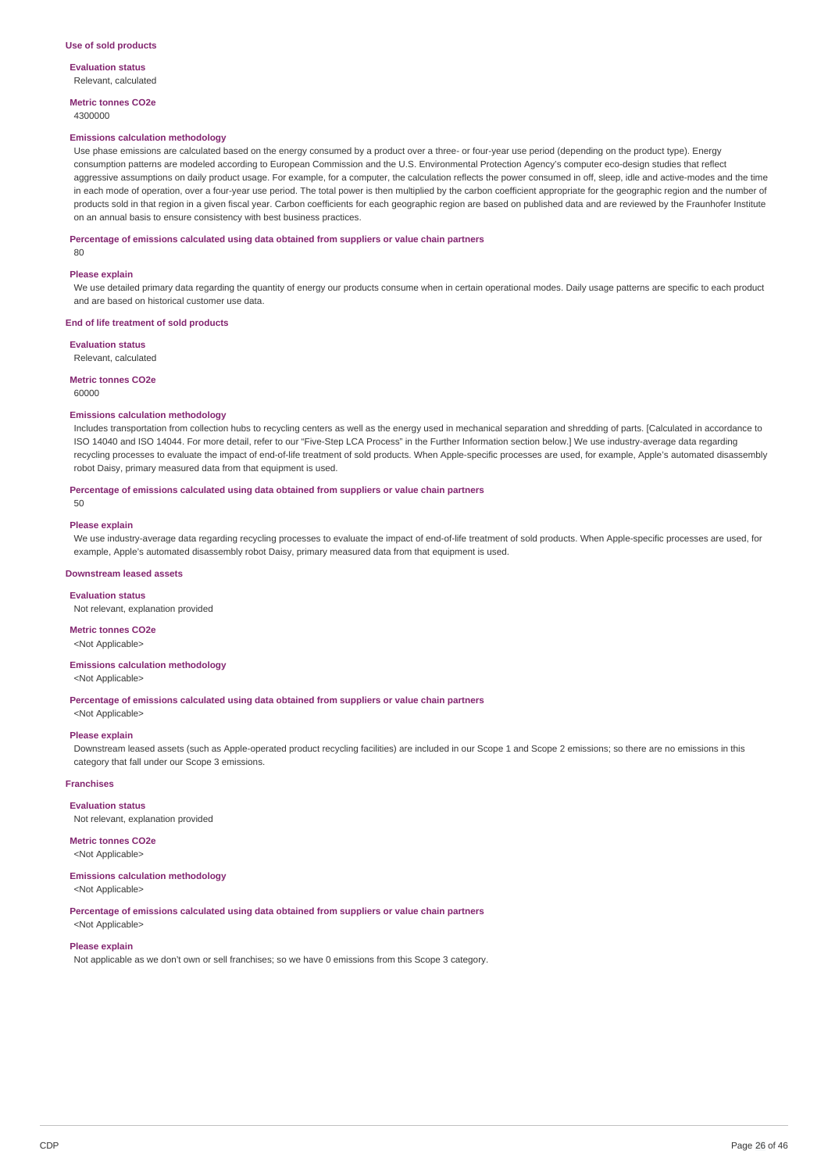**Evaluation status** Relevant, calculated

**Metric tonnes CO2e**

4300000

#### **Emissions calculation methodology**

Use phase emissions are calculated based on the energy consumed by a product over a three- or four-year use period (depending on the product type). Energy consumption patterns are modeled according to European Commission and the U.S. Environmental Protection Agency's computer eco-design studies that reflect aggressive assumptions on daily product usage. For example, for a computer, the calculation reflects the power consumed in off, sleep, idle and active-modes and the time in each mode of operation, over a four-year use period. The total power is then multiplied by the carbon coefficient appropriate for the geographic region and the number of products sold in that region in a given fiscal year. Carbon coefficients for each geographic region are based on published data and are reviewed by the Fraunhofer Institute on an annual basis to ensure consistency with best business practices.

#### **Percentage of emissions calculated using data obtained from suppliers or value chain partners**

80

#### **Please explain**

We use detailed primary data regarding the quantity of energy our products consume when in certain operational modes. Daily usage patterns are specific to each product and are based on historical customer use data.

#### **End of life treatment of sold products**

**Evaluation status**

Relevant, calculated

#### **Metric tonnes CO2e**

60000

#### **Emissions calculation methodology**

Includes transportation from collection hubs to recycling centers as well as the energy used in mechanical separation and shredding of parts. [Calculated in accordance to ISO 14040 and ISO 14044. For more detail, refer to our "Five-Step LCA Process" in the Further Information section below.] We use industry-average data regarding recycling processes to evaluate the impact of end-of-life treatment of sold products. When Apple-specific processes are used, for example, Apple's automated disassembly robot Daisy, primary measured data from that equipment is used.

#### **Percentage of emissions calculated using data obtained from suppliers or value chain partners**

**Please explain**

 $50$ 

We use industry-average data regarding recycling processes to evaluate the impact of end-of-life treatment of sold products. When Apple-specific processes are used, for example, Apple's automated disassembly robot Daisy, primary measured data from that equipment is used.

#### **Downstream leased assets**

#### **Evaluation status**

Not relevant, explanation provided

### **Metric tonnes CO2e**

<Not Applicable>

### **Emissions calculation methodology**

<Not Applicable>

**Percentage of emissions calculated using data obtained from suppliers or value chain partners**

<Not Applicable>

#### **Please explain**

Downstream leased assets (such as Apple-operated product recycling facilities) are included in our Scope 1 and Scope 2 emissions; so there are no emissions in this category that fall under our Scope 3 emissions.

#### **Franchises**

**Evaluation status**

Not relevant, explanation provided

### **Metric tonnes CO2e**

<Not Applicable>

#### **Emissions calculation methodology** <Not Applicable>

**Percentage of emissions calculated using data obtained from suppliers or value chain partners** <Not Applicable>

#### **Please explain**

Not applicable as we don't own or sell franchises; so we have 0 emissions from this Scope 3 category.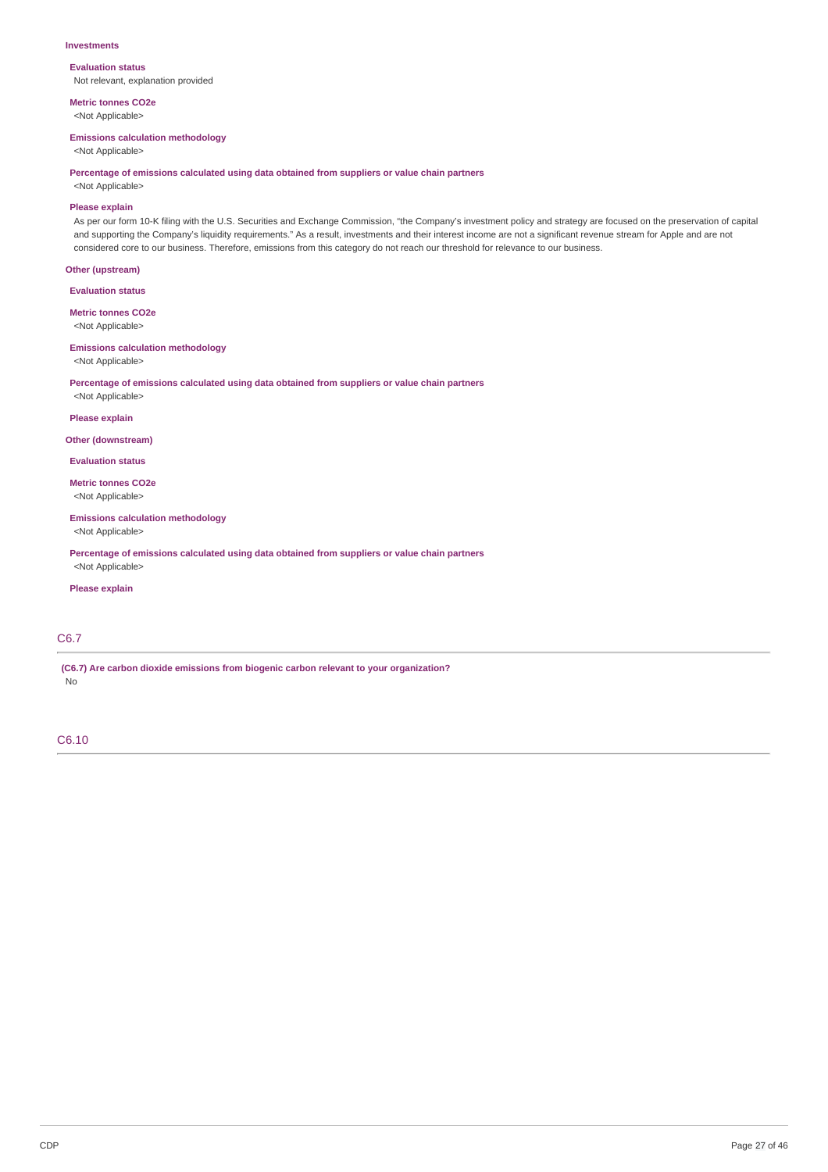#### **Investments**

**Evaluation status** Not relevant, explanation provided

**Metric tonnes CO2e** <Not Applicable>

#### **Emissions calculation methodology**

<Not Applicable>

**Percentage of emissions calculated using data obtained from suppliers or value chain partners**

<Not Applicable>

### **Please explain**

As per our form 10-K filing with the U.S. Securities and Exchange Commission, "the Company's investment policy and strategy are focused on the preservation of capital and supporting the Company's liquidity requirements." As a result, investments and their interest income are not a significant revenue stream for Apple and are not considered core to our business. Therefore, emissions from this category do not reach our threshold for relevance to our business.

### **Other (upstream)**

**Evaluation status**

**Metric tonnes CO2e** <Not Applicable>

### **Emissions calculation methodology**

<Not Applicable>

**Percentage of emissions calculated using data obtained from suppliers or value chain partners** <Not Applicable>

**Please explain**

#### **Other (downstream)**

**Evaluation status**

**Metric tonnes CO2e** <Not Applicable>

### **Emissions calculation methodology**

<Not Applicable>

**Percentage of emissions calculated using data obtained from suppliers or value chain partners** <Not Applicable>

### **Please explain**

# C6.7

**(C6.7) Are carbon dioxide emissions from biogenic carbon relevant to your organization?** No

C6.10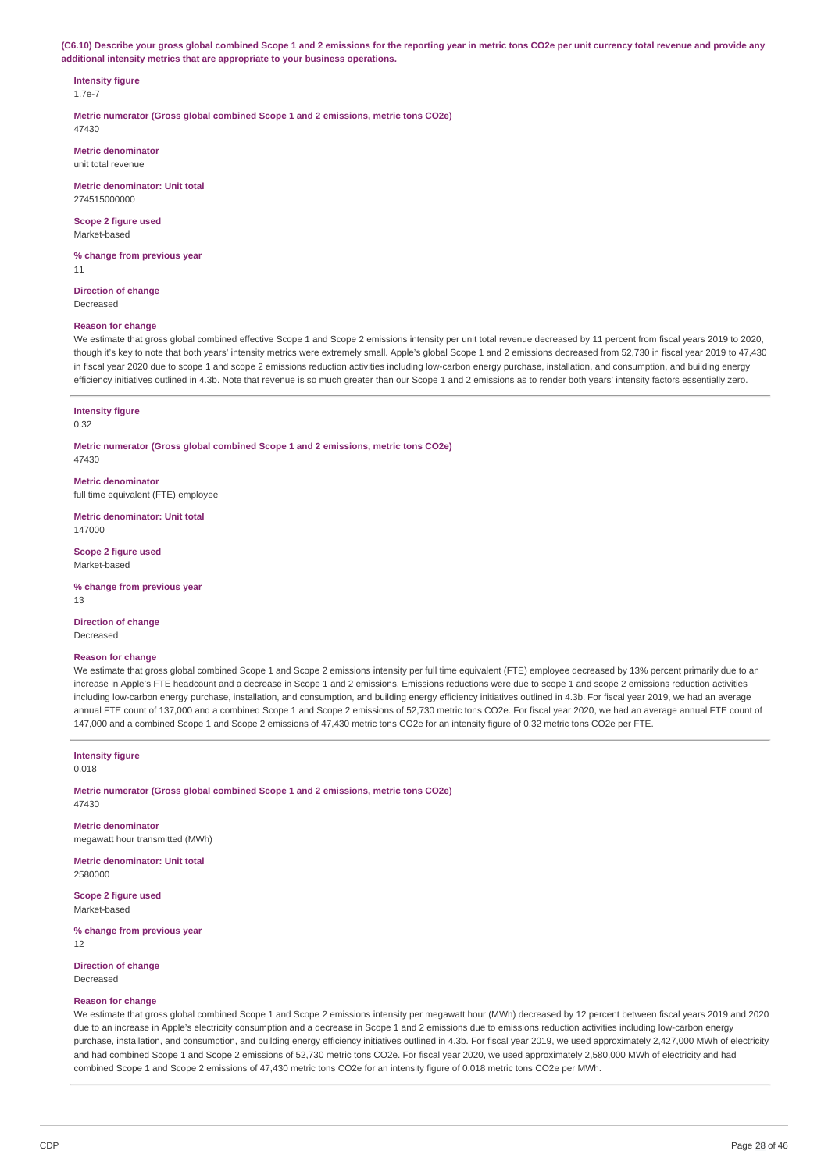(C6.10) Describe your gross global combined Scope 1 and 2 emissions for the reporting year in metric tons CO2e per unit currency total revenue and provide any **additional intensity metrics that are appropriate to your business operations.**

# **Intensity figure**

1.7e-7

**Metric numerator (Gross global combined Scope 1 and 2 emissions, metric tons CO2e)** 47430

**Metric denominator** unit total revenue

**Metric denominator: Unit total** 274515000000

**Scope 2 figure used** Market-based

**% change from previous year** 11

**Direction of change** Decreased

### **Reason for change**

We estimate that gross global combined effective Scope 1 and Scope 2 emissions intensity per unit total revenue decreased by 11 percent from fiscal years 2019 to 2020, though it's key to note that both years' intensity metrics were extremely small. Apple's global Scope 1 and 2 emissions decreased from 52,730 in fiscal year 2019 to 47,430 in fiscal year 2020 due to scope 1 and scope 2 emissions reduction activities including low-carbon energy purchase, installation, and consumption, and building energy efficiency initiatives outlined in 4.3b. Note that revenue is so much greater than our Scope 1 and 2 emissions as to render both years' intensity factors essentially zero.

#### **Intensity figure**

0.32

**Metric numerator (Gross global combined Scope 1 and 2 emissions, metric tons CO2e)** 47430

**Metric denominator** full time equivalent (FTE) employee

**Metric denominator: Unit total** 147000

**Scope 2 figure used** Market-based

**% change from previous year** 13

**Direction of change**

Decreased

#### **Reason for change**

We estimate that gross global combined Scope 1 and Scope 2 emissions intensity per full time equivalent (FTE) employee decreased by 13% percent primarily due to an increase in Apple's FTE headcount and a decrease in Scope 1 and 2 emissions. Emissions reductions were due to scope 1 and scope 2 emissions reduction activities including low-carbon energy purchase, installation, and consumption, and building energy efficiency initiatives outlined in 4.3b. For fiscal year 2019, we had an average annual FTE count of 137,000 and a combined Scope 1 and Scope 2 emissions of 52,730 metric tons CO2e. For fiscal year 2020, we had an average annual FTE count of 147,000 and a combined Scope 1 and Scope 2 emissions of 47,430 metric tons CO2e for an intensity figure of 0.32 metric tons CO2e per FTE.

**Intensity figure**

0.018

**Metric numerator (Gross global combined Scope 1 and 2 emissions, metric tons CO2e)** 47430

**Metric denominator** megawatt hour transmitted (MWh)

**Metric denominator: Unit total** 2580000

**Scope 2 figure used** Market-based

**% change from previous year** 12

**Direction of change**

Decreased

#### **Reason for change**

We estimate that gross global combined Scope 1 and Scope 2 emissions intensity per megawatt hour (MWh) decreased by 12 percent between fiscal years 2019 and 2020 due to an increase in Apple's electricity consumption and a decrease in Scope 1 and 2 emissions due to emissions reduction activities including low-carbon energy purchase, installation, and consumption, and building energy efficiency initiatives outlined in 4.3b. For fiscal year 2019, we used approximately 2,427,000 MWh of electricity and had combined Scope 1 and Scope 2 emissions of 52,730 metric tons CO2e. For fiscal year 2020, we used approximately 2,580,000 MWh of electricity and had combined Scope 1 and Scope 2 emissions of 47,430 metric tons CO2e for an intensity figure of 0.018 metric tons CO2e per MWh.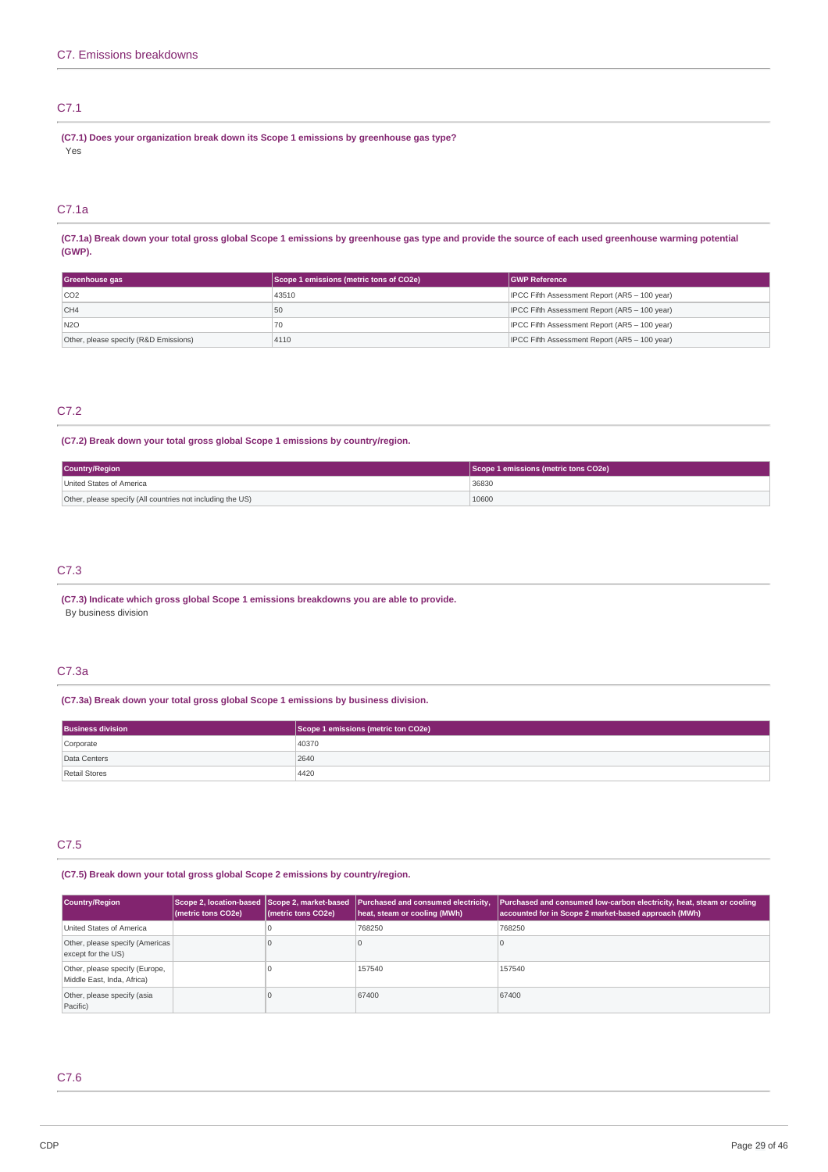# C7.1

**(C7.1) Does your organization break down its Scope 1 emissions by greenhouse gas type?** Yes

# C7.1a

(C7.1a) Break down your total gross global Scope 1 emissions by greenhouse gas type and provide the source of each used greenhouse warming potential **(GWP).**

| Greenhouse gas                        | Scope 1 emissions (metric tons of CO2e) | <b>IGWP Reference</b>                         |
|---------------------------------------|-----------------------------------------|-----------------------------------------------|
| CO2                                   | 43510                                   | IPCC Fifth Assessment Report (AR5 - 100 year) |
| CH4                                   | 50                                      | IPCC Fifth Assessment Report (AR5 - 100 year) |
| N <sub>20</sub>                       |                                         | IPCC Fifth Assessment Report (AR5 - 100 year) |
| Other, please specify (R&D Emissions) | 4110                                    | IPCC Fifth Assessment Report (AR5 - 100 year) |

### C7.2

### **(C7.2) Break down your total gross global Scope 1 emissions by country/region.**

| Country/Region                                             | Scope 1 emissions (metric tons CO2e) |
|------------------------------------------------------------|--------------------------------------|
| United States of America                                   | 36830                                |
| Other, please specify (All countries not including the US) | 10600                                |

### C7.3

**(C7.3) Indicate which gross global Scope 1 emissions breakdowns you are able to provide.** By business division

### C7.3a

### **(C7.3a) Break down your total gross global Scope 1 emissions by business division.**

| <b>Business division</b> | Scope 1 emissions (metric ton CO2e) |
|--------------------------|-------------------------------------|
| Corporate                | 40370                               |
| Data Centers             | 2640                                |
| Retail Stores            | 4420                                |

# C7.5

# **(C7.5) Break down your total gross global Scope 2 emissions by country/region.**

| Country/Region                                               | (metric tons CO2e) | (metric tons CO2e) | Scope 2, location-based Scope 2, market-based Purchased and consumed electricity,<br>heat, steam or cooling (MWh) | Purchased and consumed low-carbon electricity, heat, steam or cooling<br>accounted for in Scope 2 market-based approach (MWh) |
|--------------------------------------------------------------|--------------------|--------------------|-------------------------------------------------------------------------------------------------------------------|-------------------------------------------------------------------------------------------------------------------------------|
| United States of America                                     |                    |                    | 768250                                                                                                            | 768250                                                                                                                        |
| Other, please specify (Americas)<br>except for the US)       |                    |                    |                                                                                                                   |                                                                                                                               |
| Other, please specify (Europe,<br>Middle East, Inda, Africa) |                    |                    | 157540                                                                                                            | 157540                                                                                                                        |
| Other, please specify (asia<br>Pacific)                      |                    |                    | 67400                                                                                                             | 67400                                                                                                                         |

# C7.6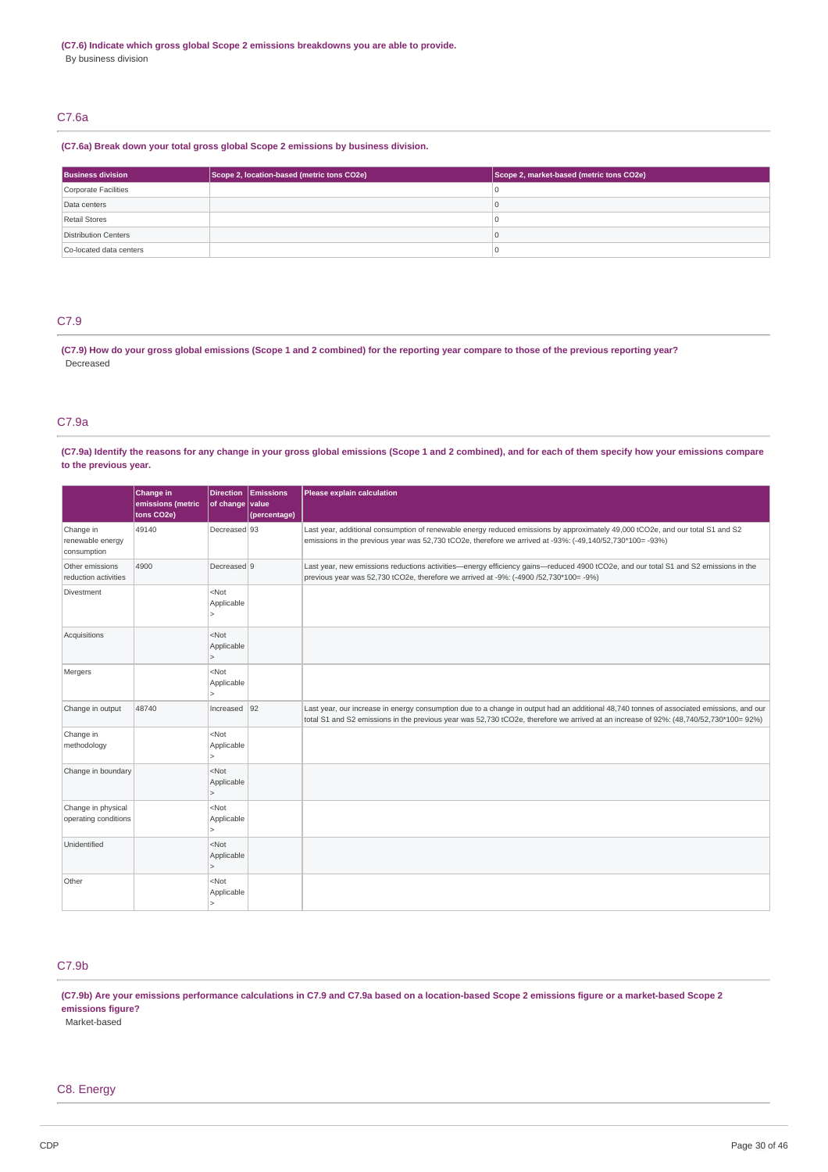# C7.6a

#### **(C7.6a) Break down your total gross global Scope 2 emissions by business division.**

| <b>Business division</b> | Scope 2, location-based (metric tons CO2e) | Scope 2, market-based (metric tons CO2e) |
|--------------------------|--------------------------------------------|------------------------------------------|
| Corporate Facilities     |                                            |                                          |
| Data centers             |                                            |                                          |
| Retail Stores            |                                            |                                          |
| Distribution Centers     |                                            |                                          |
| Co-located data centers  |                                            |                                          |

# C7.9

(C7.9) How do your gross global emissions (Scope 1 and 2 combined) for the reporting year compare to those of the previous reporting year? Decreased

### C7.9a

(C7.9a) Identify the reasons for any change in your gross global emissions (Scope 1 and 2 combined), and for each of them specify how your emissions compare **to the previous year.**

|                                              | Change in<br>emissions (metric<br>tons CO2e) | of change value                                   | Direction Emissions<br>(percentage) | Please explain calculation                                                                                                                                                                                                                                                        |
|----------------------------------------------|----------------------------------------------|---------------------------------------------------|-------------------------------------|-----------------------------------------------------------------------------------------------------------------------------------------------------------------------------------------------------------------------------------------------------------------------------------|
| Change in<br>renewable energy<br>consumption | 49140                                        | Decreased 93                                      |                                     | Last year, additional consumption of renewable energy reduced emissions by approximately 49,000 tCO2e, and our total S1 and S2<br>emissions in the previous year was 52,730 tCO2e, therefore we arrived at -93%: (-49,140/52,730*100= -93%)                                       |
| Other emissions<br>reduction activities      | 4900                                         | Decreased 9                                       |                                     | Last year, new emissions reductions activities—energy efficiency gains—reduced 4900 tCO2e, and our total S1 and S2 emissions in the<br>previous year was 52,730 tCO2e, therefore we arrived at -9%: (-4900 /52,730*100= -9%)                                                      |
| Divestment                                   |                                              | <not<br>Applicable</not<br>                       |                                     |                                                                                                                                                                                                                                                                                   |
| Acquisitions                                 |                                              | $<$ Not<br>Applicable<br>$\overline{\phantom{0}}$ |                                     |                                                                                                                                                                                                                                                                                   |
| Mergers                                      |                                              | <not<br>Applicable</not<br>                       |                                     |                                                                                                                                                                                                                                                                                   |
| Change in output                             | 48740                                        | Increased $ 92 $                                  |                                     | Last year, our increase in energy consumption due to a change in output had an additional 48,740 tonnes of associated emissions, and our<br>total S1 and S2 emissions in the previous year was 52,730 tCO2e, therefore we arrived at an increase of 92%: (48,740/52,730*100= 92%) |
| Change in<br>methodology                     |                                              | <not<br>Applicable</not<br>                       |                                     |                                                                                                                                                                                                                                                                                   |
| Change in boundary                           |                                              | <not<br>Applicable</not<br>                       |                                     |                                                                                                                                                                                                                                                                                   |
| Change in physical<br>operating conditions   |                                              | <not<br>Applicable</not<br>                       |                                     |                                                                                                                                                                                                                                                                                   |
| Unidentified                                 |                                              | N<br>Applicable                                   |                                     |                                                                                                                                                                                                                                                                                   |
| Other                                        |                                              | $<$ Not<br>Applicable                             |                                     |                                                                                                                                                                                                                                                                                   |

# C7.9b

(C7.9b) Are your emissions performance calculations in C7.9 and C7.9a based on a location-based Scope 2 emissions figure or a market-based Scope 2 **emissions figure?**

Market-based

### C8. Energy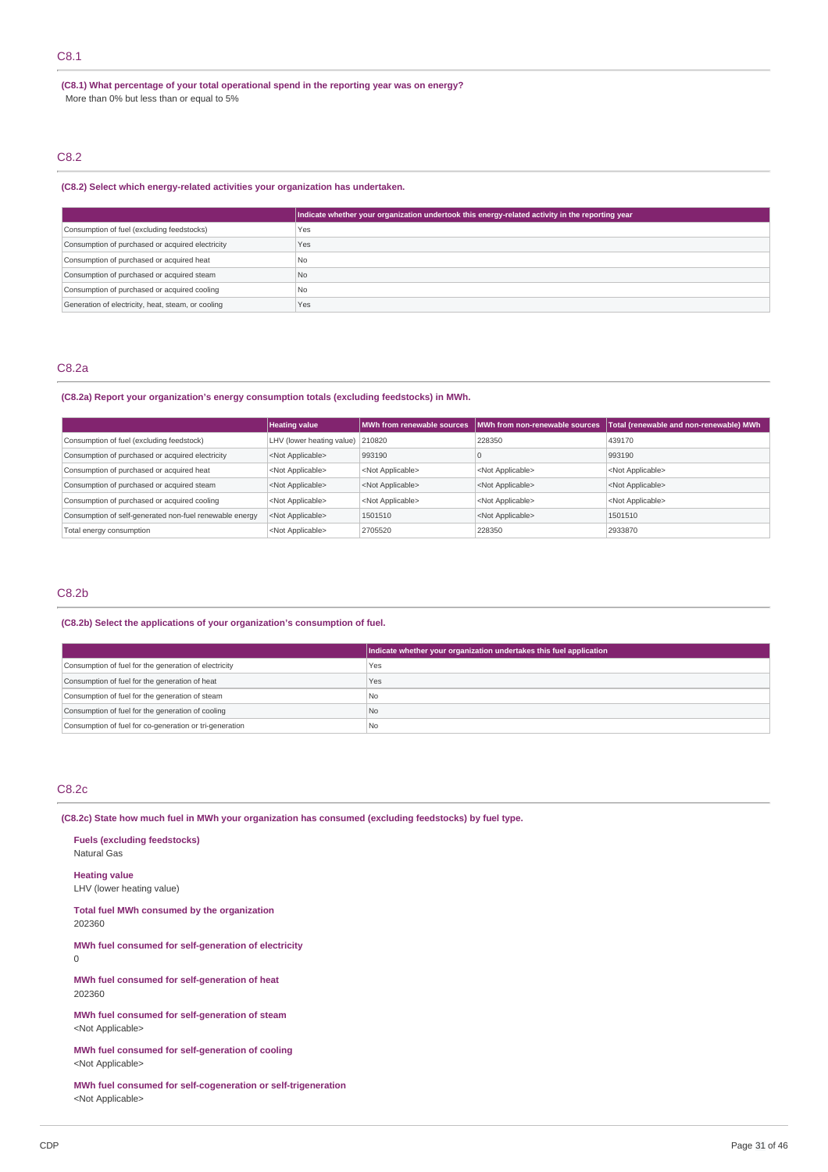# C8.1

**(C8.1) What percentage of your total operational spend in the reporting year was on energy?** More than 0% but less than or equal to 5%

# C8.2

### **(C8.2) Select which energy-related activities your organization has undertaken.**

|                                                    | Indicate whether your organization undertook this energy-related activity in the reporting year |
|----------------------------------------------------|-------------------------------------------------------------------------------------------------|
| Consumption of fuel (excluding feedstocks)         | Yes                                                                                             |
| Consumption of purchased or acquired electricity   | Yes                                                                                             |
| Consumption of purchased or acquired heat          | N <sub>0</sub>                                                                                  |
| Consumption of purchased or acquired steam         | N <sub>0</sub>                                                                                  |
| Consumption of purchased or acquired cooling       | N <sub>0</sub>                                                                                  |
| Generation of electricity, heat, steam, or cooling | Yes                                                                                             |

### C8.2a

#### **(C8.2a) Report your organization's energy consumption totals (excluding feedstocks) in MWh.**

|                                                         | <b>Heating value</b>      | MWh from renewable sources | <b>IMWh from non-renewable sources</b> | Total (renewable and non-renewable) MWh |
|---------------------------------------------------------|---------------------------|----------------------------|----------------------------------------|-----------------------------------------|
| Consumption of fuel (excluding feedstock)               | LHV (lower heating value) | 210820                     | 228350                                 | 439170                                  |
| Consumption of purchased or acquired electricity        | <not applicable=""></not> | 993190                     |                                        | 993190                                  |
| Consumption of purchased or acquired heat               | <not applicable=""></not> | <not applicable=""></not>  | <not applicable=""></not>              | <not applicable=""></not>               |
| Consumption of purchased or acquired steam              | <not applicable=""></not> | <not applicable=""></not>  | <not applicable=""></not>              | <not applicable=""></not>               |
| Consumption of purchased or acquired cooling            | <not applicable=""></not> | <not applicable=""></not>  | <not applicable=""></not>              | <not applicable=""></not>               |
| Consumption of self-generated non-fuel renewable energy | <not applicable=""></not> | 1501510                    | <not applicable=""></not>              | 1501510                                 |
| Total energy consumption                                | <not applicable=""></not> | 2705520                    | 228350                                 | 2933870                                 |

### C8.2b

### **(C8.2b) Select the applications of your organization's consumption of fuel.**

|                                                         | Indicate whether your organization undertakes this fuel application |
|---------------------------------------------------------|---------------------------------------------------------------------|
| Consumption of fuel for the generation of electricity   | 'Yes                                                                |
| Consumption of fuel for the generation of heat          | Yes                                                                 |
| Consumption of fuel for the generation of steam         | l No                                                                |
| Consumption of fuel for the generation of cooling       | I <sub>No</sub>                                                     |
| Consumption of fuel for co-generation or tri-generation | <b>No</b>                                                           |

### C8.2c

**(C8.2c) State how much fuel in MWh your organization has consumed (excluding feedstocks) by fuel type.**

**Fuels (excluding feedstocks)** Natural Gas **Heating value** LHV (lower heating value) **Total fuel MWh consumed by the organization**

202360

**MWh fuel consumed for self-generation of electricity**  $\Omega$ 

**MWh fuel consumed for self-generation of heat** 202360

**MWh fuel consumed for self-generation of steam** <Not Applicable>

**MWh fuel consumed for self-generation of cooling** <Not Applicable>

**MWh fuel consumed for self-cogeneration or self-trigeneration** <Not Applicable>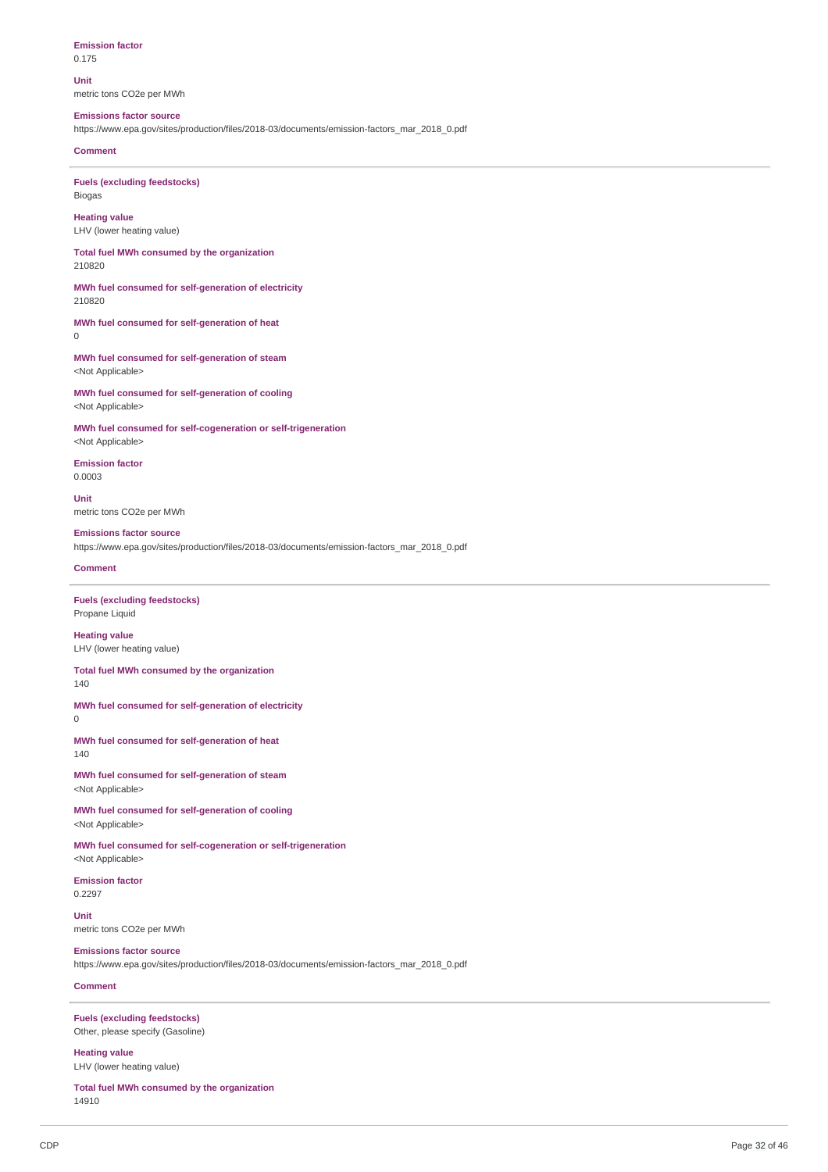**Emission factor** 0.175

**Unit** metric tons CO2e per MWh

### **Emissions factor source**

https://www.epa.gov/sites/production/files/2018-03/documents/emission-factors\_mar\_2018\_0.pdf

#### **Comment**

**Fuels (excluding feedstocks)** Biogas

**Heating value** LHV (lower heating value)

**Total fuel MWh consumed by the organization** 210820

**MWh fuel consumed for self-generation of electricity** 210820

**MWh fuel consumed for self-generation of heat**  $\Omega$ 

**MWh fuel consumed for self-generation of steam** <Not Applicable>

**MWh fuel consumed for self-generation of cooling** <Not Applicable>

**MWh fuel consumed for self-cogeneration or self-trigeneration** <Not Applicable>

**Emission factor** 0.0003

**Unit** metric tons CO2e per MWh

**Emissions factor source** https://www.epa.gov/sites/production/files/2018-03/documents/emission-factors\_mar\_2018\_0.pdf

#### **Comment**

**Fuels (excluding feedstocks)** Propane Liquid

**Heating value** LHV (lower heating value)

**Total fuel MWh consumed by the organization** 140

**MWh fuel consumed for self-generation of electricity**

0

**MWh fuel consumed for self-generation of heat** 140

**MWh fuel consumed for self-generation of steam** <Not Applicable>

**MWh fuel consumed for self-generation of cooling** <Not Applicable>

**MWh fuel consumed for self-cogeneration or self-trigeneration** <Not Applicable>

**Emission factor** 0.2297

**Unit** metric tons CO2e per MWh

**Emissions factor source** https://www.epa.gov/sites/production/files/2018-03/documents/emission-factors\_mar\_2018\_0.pdf

### **Comment**

**Fuels (excluding feedstocks)** Other, please specify (Gasoline)

**Heating value** LHV (lower heating value)

**Total fuel MWh consumed by the organization** 14910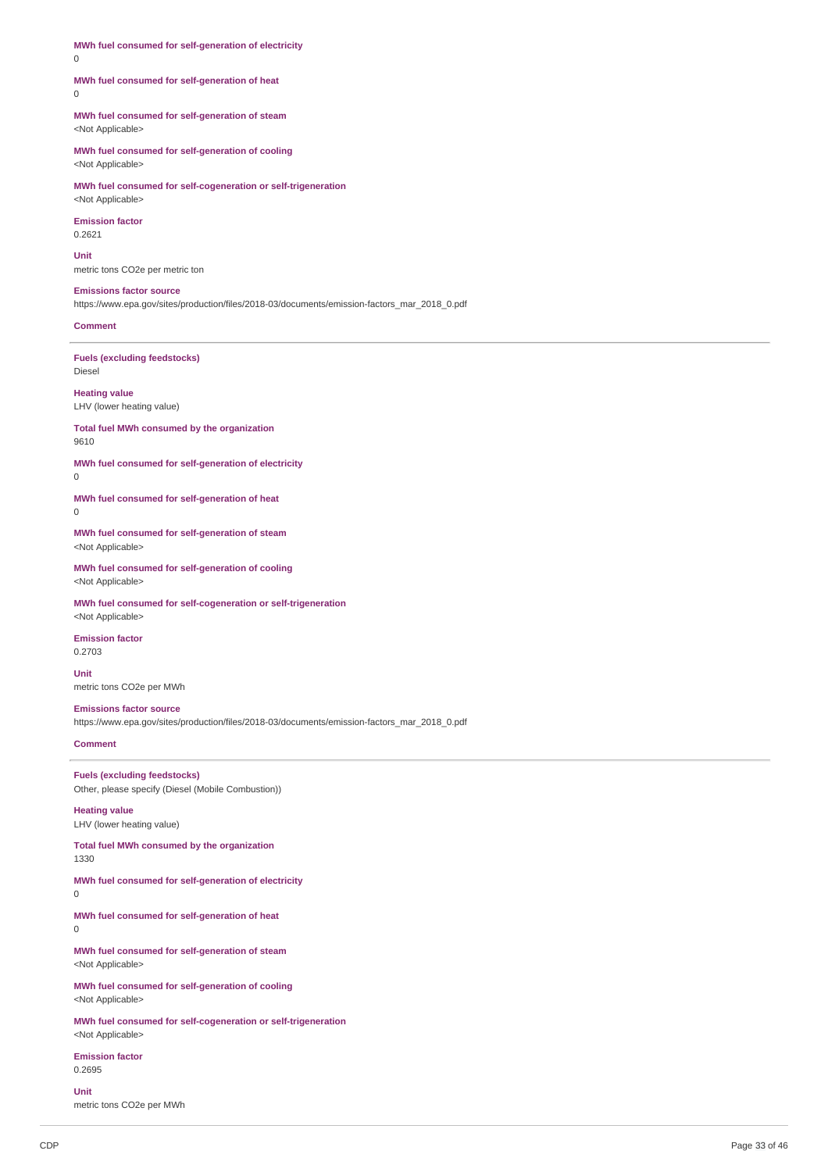**MWh fuel consumed for self-generation of electricity** 0

#### **MWh fuel consumed for self-generation of heat**  $\theta$

**MWh fuel consumed for self-generation of steam** <Not Applicable>

**MWh fuel consumed for self-generation of cooling** <Not Applicable>

**MWh fuel consumed for self-cogeneration or self-trigeneration** <Not Applicable>

**Emission factor** 0.2621

**Unit** metric tons CO2e per metric ton

#### **Emissions factor source** https://www.epa.gov/sites/production/files/2018-03/documents/emission-factors\_mar\_2018\_0.pdf

**Comment**

**Fuels (excluding feedstocks)** Diesel

**Heating value** LHV (lower heating value)

**Total fuel MWh consumed by the organization** 9610

**MWh fuel consumed for self-generation of electricity**

 $\theta$ 

**MWh fuel consumed for self-generation of heat** 0

**MWh fuel consumed for self-generation of steam** <Not Applicable>

**MWh fuel consumed for self-generation of cooling** <Not Applicable>

**MWh fuel consumed for self-cogeneration or self-trigeneration** <Not Applicable>

**Emission factor** 0.2703

**Unit** metric tons CO2e per MWh

**Emissions factor source** https://www.epa.gov/sites/production/files/2018-03/documents/emission-factors\_mar\_2018\_0.pdf

**Comment**

**Fuels (excluding feedstocks)** Other, please specify (Diesel (Mobile Combustion))

**Heating value** LHV (lower heating value)

**Total fuel MWh consumed by the organization** 1330

**MWh fuel consumed for self-generation of electricity**

0

**MWh fuel consumed for self-generation of heat** 0

**MWh fuel consumed for self-generation of steam** <Not Applicable>

**MWh fuel consumed for self-generation of cooling** <Not Applicable>

**MWh fuel consumed for self-cogeneration or self-trigeneration** <Not Applicable>

**Emission factor** 0.2695

**Unit**

metric tons CO2e per MWh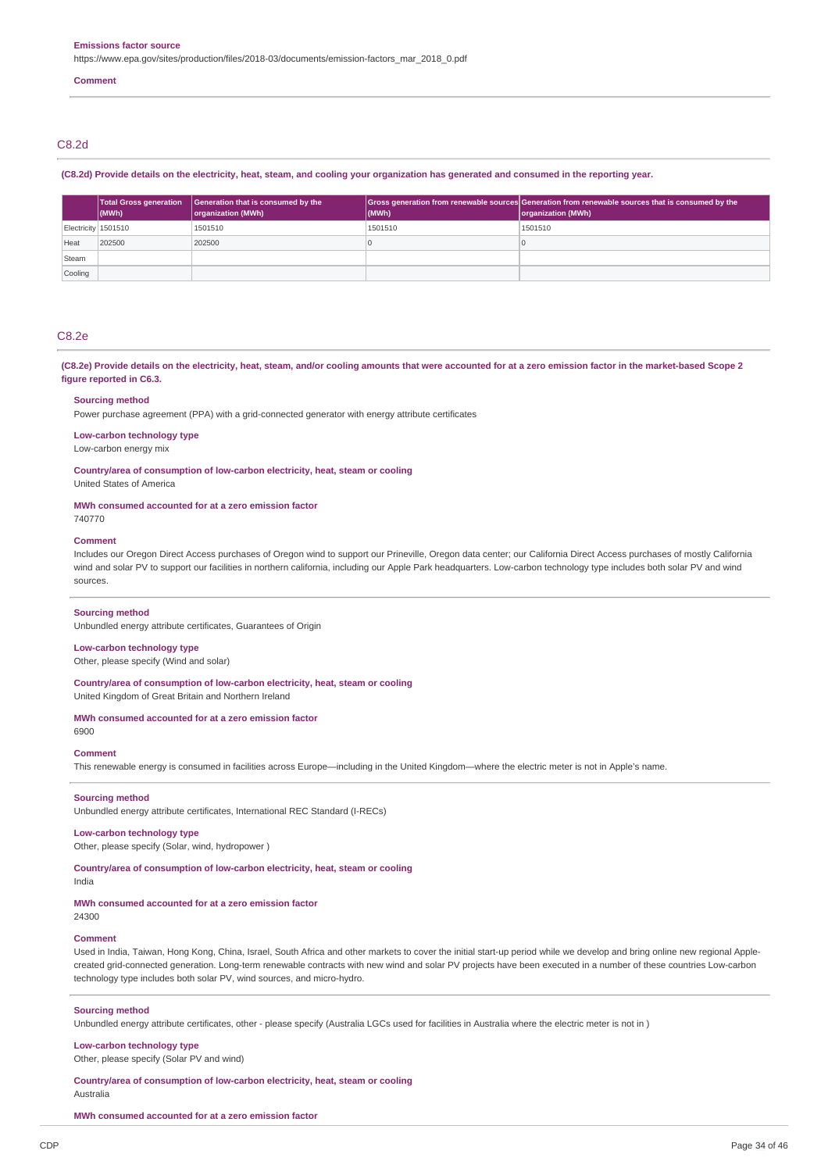https://www.epa.gov/sites/production/files/2018-03/documents/emission-factors\_mar\_2018\_0.pdf

#### **Comment**

## C8.2d

(C8.2d) Provide details on the electricity, heat, steam, and cooling your organization has generated and consumed in the reporting year.

|                     | <b>Total Gross generation</b><br>(MWh) | Generation that is consumed by the<br>organization (MWh) | $ $ (MWh) | Gross generation from renewable sources Generation from renewable sources that is consumed by the<br>organization (MWh) |
|---------------------|----------------------------------------|----------------------------------------------------------|-----------|-------------------------------------------------------------------------------------------------------------------------|
| Electricity 1501510 |                                        | 1501510                                                  | 1501510   | 1501510                                                                                                                 |
| Heat                | 202500                                 | 202500                                                   |           |                                                                                                                         |
| Steam               |                                        |                                                          |           |                                                                                                                         |
| Cooling             |                                        |                                                          |           |                                                                                                                         |

### C8.2e

(C8.2e) Provide details on the electricity, heat, steam, and/or cooling amounts that were accounted for at a zero emission factor in the market-based Scope 2 **figure reported in C6.3.**

#### **Sourcing method**

Power purchase agreement (PPA) with a grid-connected generator with energy attribute certificates

### **Low-carbon technology type**

Low-carbon energy mix

**Country/area of consumption of low-carbon electricity, heat, steam or cooling**

United States of America

#### **MWh consumed accounted for at a zero emission factor**

740770

#### **Comment**

Includes our Oregon Direct Access purchases of Oregon wind to support our Prineville, Oregon data center; our California Direct Access purchases of mostly California wind and solar PV to support our facilities in northern california, including our Apple Park headquarters. Low-carbon technology type includes both solar PV and wind sources.

#### **Sourcing method**

Unbundled energy attribute certificates, Guarantees of Origin

### **Low-carbon technology type**

Other, please specify (Wind and solar)

**Country/area of consumption of low-carbon electricity, heat, steam or cooling** United Kingdom of Great Britain and Northern Ireland

#### **MWh consumed accounted for at a zero emission factor**

6900

#### **Comment**

This renewable energy is consumed in facilities across Europe—including in the United Kingdom—where the electric meter is not in Apple's name.

#### **Sourcing method**

Unbundled energy attribute certificates, International REC Standard (I-RECs)

### **Low-carbon technology type**

Other, please specify (Solar, wind, hydropower )

# **Country/area of consumption of low-carbon electricity, heat, steam or cooling**

India

### **MWh consumed accounted for at a zero emission factor**

24300

#### **Comment**

Used in India, Taiwan, Hong Kong, China, Israel, South Africa and other markets to cover the initial start-up period while we develop and bring online new regional Applecreated grid-connected generation. Long-term renewable contracts with new wind and solar PV projects have been executed in a number of these countries Low-carbon technology type includes both solar PV, wind sources, and micro-hydro.

#### **Sourcing method**

Unbundled energy attribute certificates, other - please specify (Australia LGCs used for facilities in Australia where the electric meter is not in )

#### **Low-carbon technology type**

Other, please specify (Solar PV and wind)

# **Country/area of consumption of low-carbon electricity, heat, steam or cooling**

Australia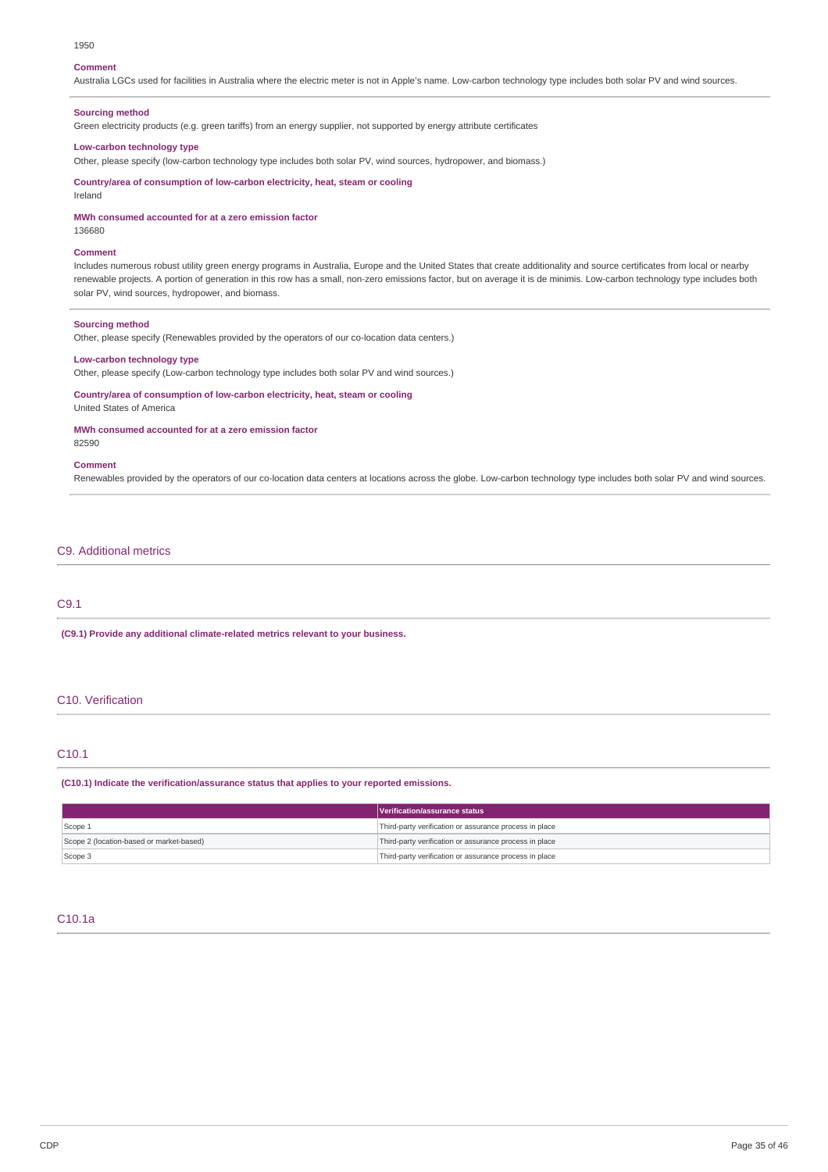#### 1950

#### **Comment**

Australia LGCs used for facilities in Australia where the electric meter is not in Apple's name. Low-carbon technology type includes both solar PV and wind sources.

### **Sourcing method**

Green electricity products (e.g. green tariffs) from an energy supplier, not supported by energy attribute certificates

#### **Low-carbon technology type**

Other, please specify (low-carbon technology type includes both solar PV, wind sources, hydropower, and biomass.)

**Country/area of consumption of low-carbon electricity, heat, steam or cooling**

**MWh consumed accounted for at a zero emission factor**

136680

Ireland

#### **Comment**

Includes numerous robust utility green energy programs in Australia, Europe and the United States that create additionality and source certificates from local or nearby renewable projects. A portion of generation in this row has a small, non-zero emissions factor, but on average it is de minimis. Low-carbon technology type includes both solar PV, wind sources, hydropower, and biomass.

#### **Sourcing method**

Other, please specify (Renewables provided by the operators of our co-location data centers.)

### **Low-carbon technology type**

Other, please specify (Low-carbon technology type includes both solar PV and wind sources.)

**Country/area of consumption of low-carbon electricity, heat, steam or cooling** United States of America

#### **MWh consumed accounted for at a zero emission factor** 82590

#### **Comment**

Renewables provided by the operators of our co-location data centers at locations across the globe. Low-carbon technology type includes both solar PV and wind sources.

### C9. Additional metrics

# C9.1

**(C9.1) Provide any additional climate-related metrics relevant to your business.**

# C10. Verification

### C10.1

**(C10.1) Indicate the verification/assurance status that applies to your reported emissions.**

|                                          | Verification/assurance status                          |
|------------------------------------------|--------------------------------------------------------|
| Scope 1                                  | Third-party verification or assurance process in place |
| Scope 2 (location-based or market-based) | Third-party verification or assurance process in place |
| Scope 3                                  | Third-party verification or assurance process in place |

### C10.1a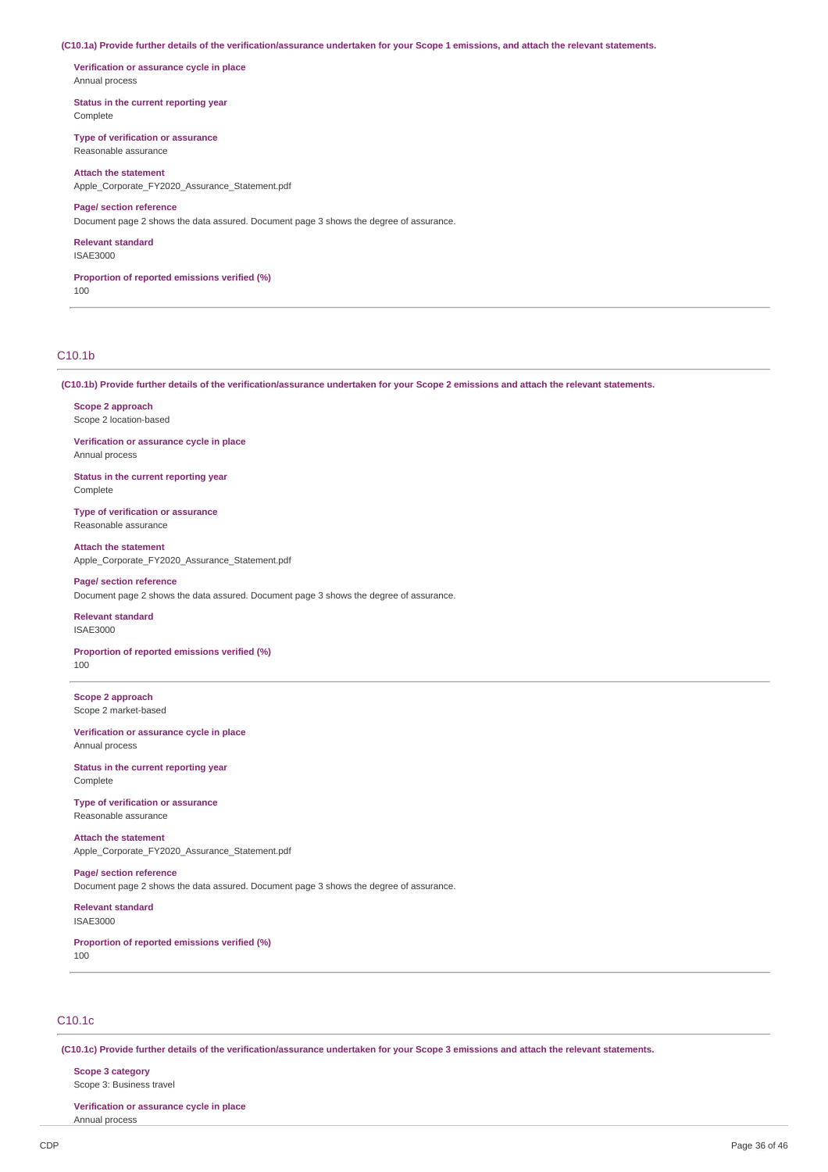(C10.1a) Provide further details of the verification/assurance undertaken for your Scope 1 emissions, and attach the relevant statements.

**Verification or assurance cycle in place** Annual process

**Status in the current reporting year** Complete

**Type of verification or assurance** Reasonable assurance

**Attach the statement** Apple\_Corporate\_FY2020\_Assurance\_Statement.pdf

### **Page/ section reference**

Document page 2 shows the data assured. Document page 3 shows the degree of assurance.

**Relevant standard** ISAE3000

**Proportion of reported emissions verified (%)** 100

### C10.1b

(C10.1b) Provide further details of the verification/assurance undertaken for your Scope 2 emissions and attach the relevant statements.

**Scope 2 approach** Scope 2 location-based

**Verification or assurance cycle in place** Annual process

**Status in the current reporting year** Complete

**Type of verification or assurance** Reasonable assurance

**Attach the statement** Apple Corporate FY2020 Assurance Statement.pdf

**Page/ section reference** Document page 2 shows the data assured. Document page 3 shows the degree of assurance.

# **Relevant standard**

ISAE3000

**Proportion of reported emissions verified (%)** 100

**Scope 2 approach** Scope 2 market-based

**Verification or assurance cycle in place** Annual process

**Status in the current reporting year** Complete

**Type of verification or assurance** Reasonable assurance

**Attach the statement** Apple Corporate FY2020 Assurance Statement.pdf

**Page/ section reference** Document page 2 shows the data assured. Document page 3 shows the degree of assurance.

**Relevant standard** ISAE3000

**Proportion of reported emissions verified (%)** 100

# C10.1c

(C10.1c) Provide further details of the verification/assurance undertaken for your Scope 3 emissions and attach the relevant statements.

**Scope 3 category** Scope 3: Business travel

Annual process

**Verification or assurance cycle in place**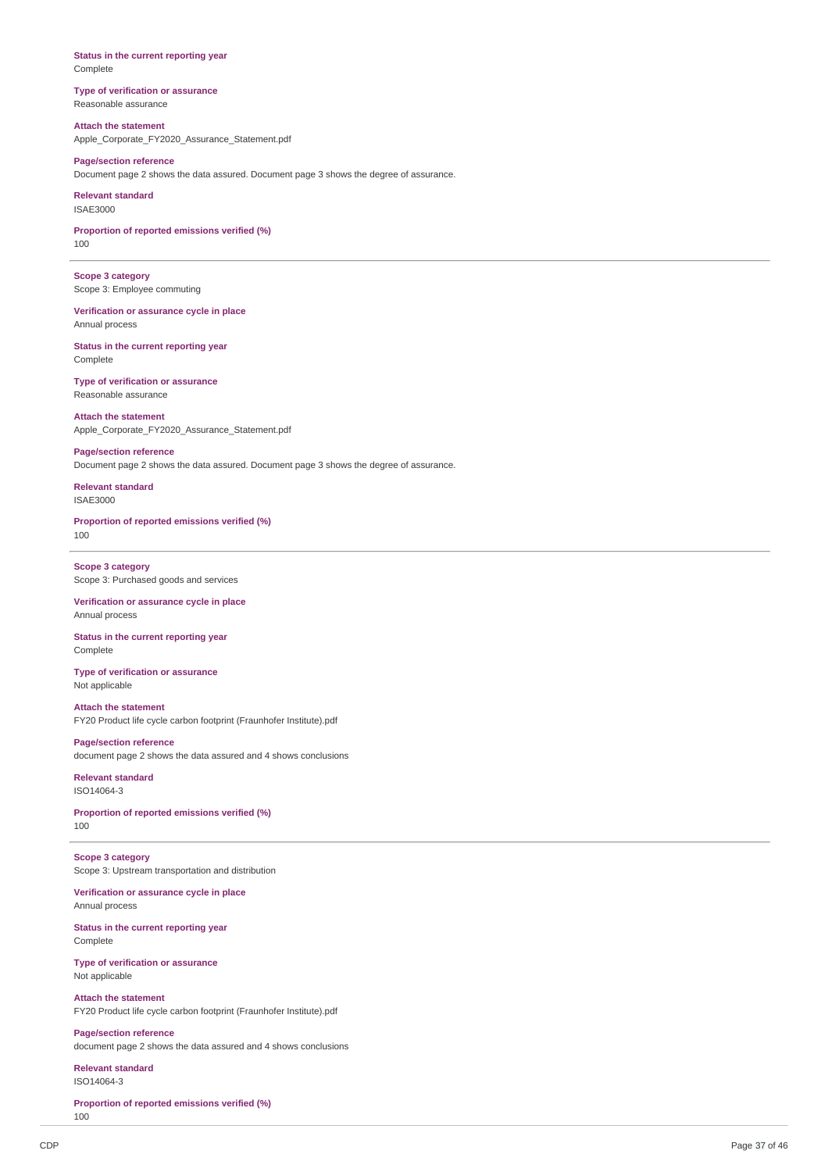**Status in the current reporting year** Complete

**Type of verification or assurance** Reasonable assurance

**Attach the statement** Apple\_Corporate\_FY2020\_Assurance\_Statement.pdf

**Page/section reference** Document page 2 shows the data assured. Document page 3 shows the degree of assurance.

**Relevant standard** ISAE3000

**Proportion of reported emissions verified (%)** 100

**Scope 3 category** Scope 3: Employee commuting

**Verification or assurance cycle in place** Annual process

**Status in the current reporting year** Complete

**Type of verification or assurance** Reasonable assurance

**Attach the statement** Apple\_Corporate\_FY2020\_Assurance\_Statement.pdf

**Page/section reference** Document page 2 shows the data assured. Document page 3 shows the degree of assurance.

**Relevant standard** ISAE3000

**Proportion of reported emissions verified (%)** 100

**Scope 3 category** Scope 3: Purchased goods and services

**Verification or assurance cycle in place** Annual process

**Status in the current reporting year** Complete

**Type of verification or assurance** Not applicable

**Attach the statement** FY20 Product life cycle carbon footprint (Fraunhofer Institute).pdf

**Page/section reference** document page 2 shows the data assured and 4 shows conclusions

**Relevant standard** ISO14064-3

**Proportion of reported emissions verified (%)** 100

**Scope 3 category** Scope 3: Upstream transportation and distribution

**Verification or assurance cycle in place** Annual process

**Status in the current reporting year** Complete

**Type of verification or assurance** Not applicable

**Attach the statement** FY20 Product life cycle carbon footprint (Fraunhofer Institute).pdf

**Page/section reference** document page 2 shows the data assured and 4 shows conclusions

**Relevant standard** ISO14064-3

**Proportion of reported emissions verified (%)** 100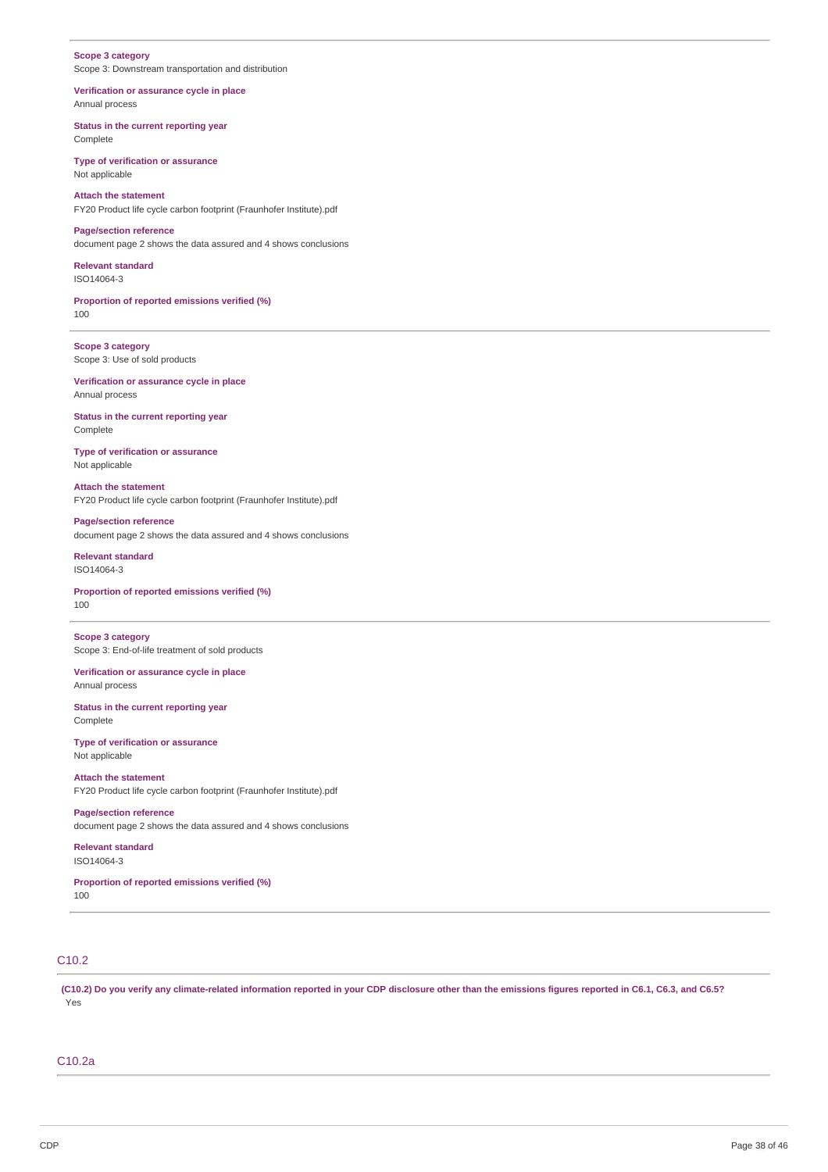### **Scope 3 category** Scope 3: Downstream transportation and distribution

**Verification or assurance cycle in place** Annual process

**Status in the current reporting year** Complete

**Type of verification or assurance** Not applicable

**Attach the statement** FY20 Product life cycle carbon footprint (Fraunhofer Institute).pdf

**Page/section reference** document page 2 shows the data assured and 4 shows conclusions

**Relevant standard** ISO14064-3

**Proportion of reported emissions verified (%)** 100

**Scope 3 category** Scope 3: Use of sold products

**Verification or assurance cycle in place** Annual process

**Status in the current reporting year** Complete

**Type of verification or assurance** Not applicable

**Attach the statement** FY20 Product life cycle carbon footprint (Fraunhofer Institute).pdf

**Page/section reference** document page 2 shows the data assured and 4 shows conclusions

**Relevant standard** ISO14064-3

**Proportion of reported emissions verified (%)** 100

**Scope 3 category** Scope 3: End-of-life treatment of sold products

**Verification or assurance cycle in place** Annual process

**Status in the current reporting year** Complete

**Type of verification or assurance** Not applicable

**Attach the statement** FY20 Product life cycle carbon footprint (Fraunhofer Institute).pdf

**Page/section reference** document page 2 shows the data assured and 4 shows conclusions

**Relevant standard** ISO14064-3

**Proportion of reported emissions verified (%)** 100

# C10.2

(C10.2) Do you verify any climate-related information reported in your CDP disclosure other than the emissions figures reported in C6.1, C6.3, and C6.5? Yes

# C10.2a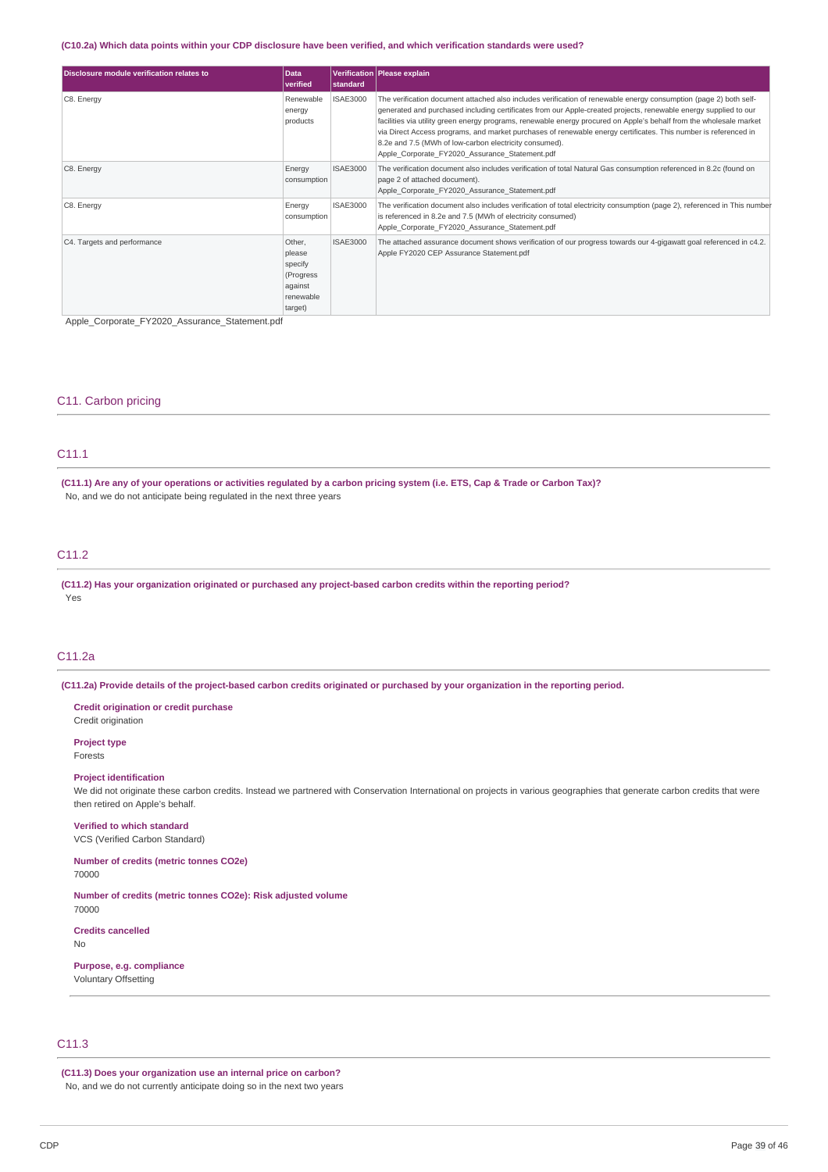### (C10.2a) Which data points within your CDP disclosure have been verified, and which verification standards were used?

| Disclosure module verification relates to | <b>Data</b><br>verified                                                     | <b>Istandard</b> | Verification   Please explain                                                                                                                                                                                                                                                                                                                                                                                                                                                                                                                                                               |
|-------------------------------------------|-----------------------------------------------------------------------------|------------------|---------------------------------------------------------------------------------------------------------------------------------------------------------------------------------------------------------------------------------------------------------------------------------------------------------------------------------------------------------------------------------------------------------------------------------------------------------------------------------------------------------------------------------------------------------------------------------------------|
| C8. Energy                                | Renewable<br>energy<br>products                                             | <b>ISAE3000</b>  | The verification document attached also includes verification of renewable energy consumption (page 2) both self-<br>generated and purchased including certificates from our Apple-created projects, renewable energy supplied to our<br>facilities via utility green energy programs, renewable energy procured on Apple's behalf from the wholesale market<br>via Direct Access programs, and market purchases of renewable energy certificates. This number is referenced in<br>8.2e and 7.5 (MWh of low-carbon electricity consumed).<br>Apple Corporate FY2020 Assurance Statement.pdf |
| C8. Energy                                | Energy<br>consumption                                                       | <b>ISAE3000</b>  | The verification document also includes verification of total Natural Gas consumption referenced in 8.2c (found on<br>page 2 of attached document).<br>Apple Corporate FY2020 Assurance Statement.pdf                                                                                                                                                                                                                                                                                                                                                                                       |
| C8. Energy                                | Energy<br>consumption                                                       | <b>ISAE3000</b>  | The verification document also includes verification of total electricity consumption (page 2), referenced in This number<br>is referenced in 8.2e and 7.5 (MWh of electricity consumed)<br>Apple Corporate FY2020 Assurance Statement.pdf                                                                                                                                                                                                                                                                                                                                                  |
| C4. Targets and performance               | Other,<br>please<br>specify<br>(Progress<br>against<br>renewable<br>target) | <b>ISAE3000</b>  | The attached assurance document shows verification of our progress towards our 4-gigawatt goal referenced in c4.2.<br>Apple FY2020 CEP Assurance Statement.pdf                                                                                                                                                                                                                                                                                                                                                                                                                              |

Apple\_Corporate\_FY2020\_Assurance\_Statement.pdf

### C11. Carbon pricing

### C11.1

(C11.1) Are any of your operations or activities regulated by a carbon pricing system (i.e. ETS, Cap & Trade or Carbon Tax)? No, and we do not anticipate being regulated in the next three years

# C11.2

**(C11.2) Has your organization originated or purchased any project-based carbon credits within the reporting period?** Yes

### C11.2a

(C11.2a) Provide details of the project-based carbon credits originated or purchased by your organization in the reporting period.

**Credit origination or credit purchase** Credit origination **Project type**

Forests

### **Project identification**

We did not originate these carbon credits. Instead we partnered with Conservation International on projects in various geographies that generate carbon credits that were then retired on Apple's behalf.

**Verified to which standard** VCS (Verified Carbon Standard)

**Number of credits (metric tonnes CO2e)** 70000

**Number of credits (metric tonnes CO2e): Risk adjusted volume** 70000

**Credits cancelled** No

**Purpose, e.g. compliance** Voluntary Offsetting

# C11.3

**(C11.3) Does your organization use an internal price on carbon?** No, and we do not currently anticipate doing so in the next two years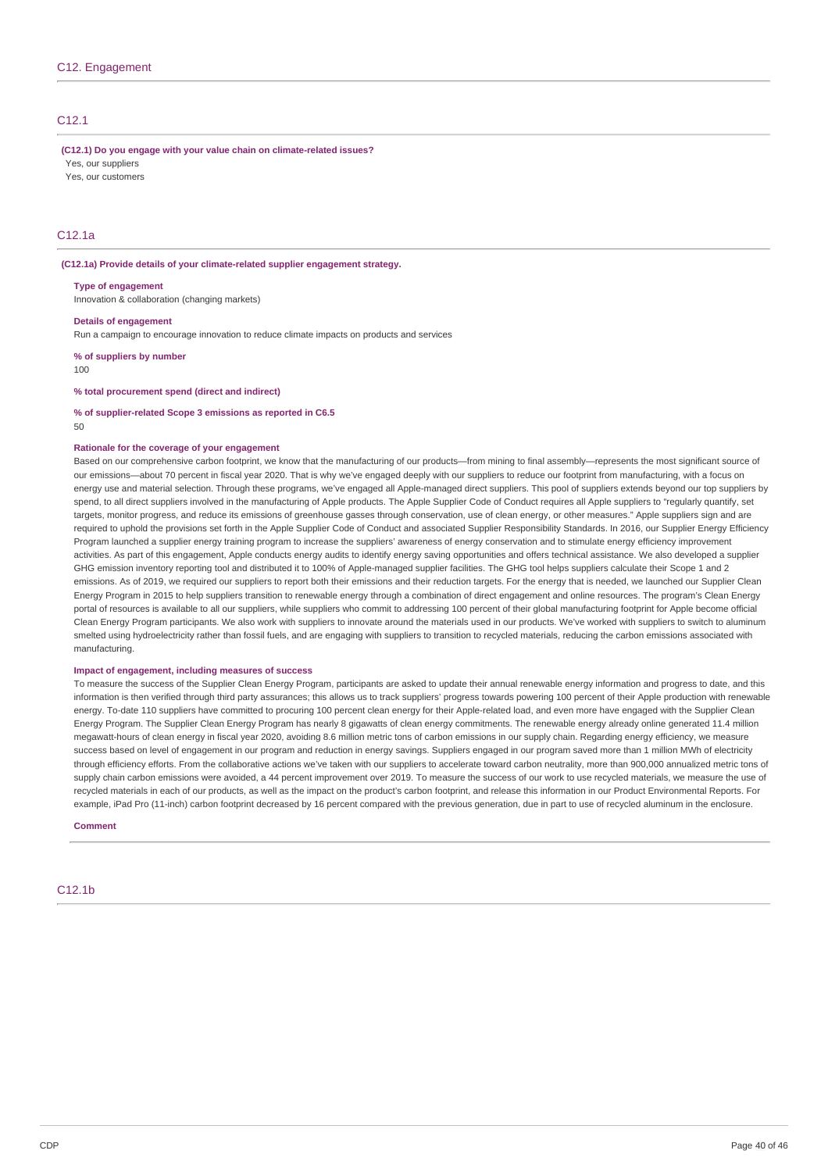### C12.1

**(C12.1) Do you engage with your value chain on climate-related issues?**

Yes, our suppliers Yes, our customers

# C12.1a

#### **(C12.1a) Provide details of your climate-related supplier engagement strategy.**

**Type of engagement**

Innovation & collaboration (changing markets)

**Details of engagement**

Run a campaign to encourage innovation to reduce climate impacts on products and services

**% of suppliers by number**

 $100$ 

#### **% total procurement spend (direct and indirect)**

#### **% of supplier-related Scope 3 emissions as reported in C6.5**

50

#### **Rationale for the coverage of your engagement**

Based on our comprehensive carbon footprint, we know that the manufacturing of our products—from mining to final assembly—represents the most significant source of our emissions—about 70 percent in fiscal year 2020. That is why we've engaged deeply with our suppliers to reduce our footprint from manufacturing, with a focus on energy use and material selection. Through these programs, we've engaged all Apple-managed direct suppliers. This pool of suppliers extends beyond our top suppliers by spend, to all direct suppliers involved in the manufacturing of Apple products. The Apple Supplier Code of Conduct requires all Apple suppliers to "regularly quantify, set targets, monitor progress, and reduce its emissions of greenhouse gasses through conservation, use of clean energy, or other measures." Apple suppliers sign and are required to uphold the provisions set forth in the Apple Supplier Code of Conduct and associated Supplier Responsibility Standards. In 2016, our Supplier Energy Efficiency Program launched a supplier energy training program to increase the suppliers' awareness of energy conservation and to stimulate energy efficiency improvement activities. As part of this engagement, Apple conducts energy audits to identify energy saving opportunities and offers technical assistance. We also developed a supplier GHG emission inventory reporting tool and distributed it to 100% of Apple-managed supplier facilities. The GHG tool helps suppliers calculate their Scope 1 and 2 emissions. As of 2019, we required our suppliers to report both their emissions and their reduction targets. For the energy that is needed, we launched our Supplier Clean Energy Program in 2015 to help suppliers transition to renewable energy through a combination of direct engagement and online resources. The program's Clean Energy portal of resources is available to all our suppliers, while suppliers who commit to addressing 100 percent of their global manufacturing footprint for Apple become official Clean Energy Program participants. We also work with suppliers to innovate around the materials used in our products. We've worked with suppliers to switch to aluminum smelted using hydroelectricity rather than fossil fuels, and are engaging with suppliers to transition to recycled materials, reducing the carbon emissions associated with manufacturing.

#### **Impact of engagement, including measures of success**

To measure the success of the Supplier Clean Energy Program, participants are asked to update their annual renewable energy information and progress to date, and this information is then verified through third party assurances; this allows us to track suppliers' progress towards powering 100 percent of their Apple production with renewable energy. To-date 110 suppliers have committed to procuring 100 percent clean energy for their Apple-related load, and even more have engaged with the Supplier Clean Energy Program. The Supplier Clean Energy Program has nearly 8 gigawatts of clean energy commitments. The renewable energy already online generated 11.4 million megawatt-hours of clean energy in fiscal year 2020, avoiding 8.6 million metric tons of carbon emissions in our supply chain. Regarding energy efficiency, we measure success based on level of engagement in our program and reduction in energy savings. Suppliers engaged in our program saved more than 1 million MWh of electricity through efficiency efforts. From the collaborative actions we've taken with our suppliers to accelerate toward carbon neutrality, more than 900,000 annualized metric tons of supply chain carbon emissions were avoided, a 44 percent improvement over 2019. To measure the success of our work to use recycled materials, we measure the use of recycled materials in each of our products, as well as the impact on the product's carbon footprint, and release this information in our Product Environmental Reports. For example, iPad Pro (11-inch) carbon footprint decreased by 16 percent compared with the previous generation, due in part to use of recycled aluminum in the enclosure.

**Comment**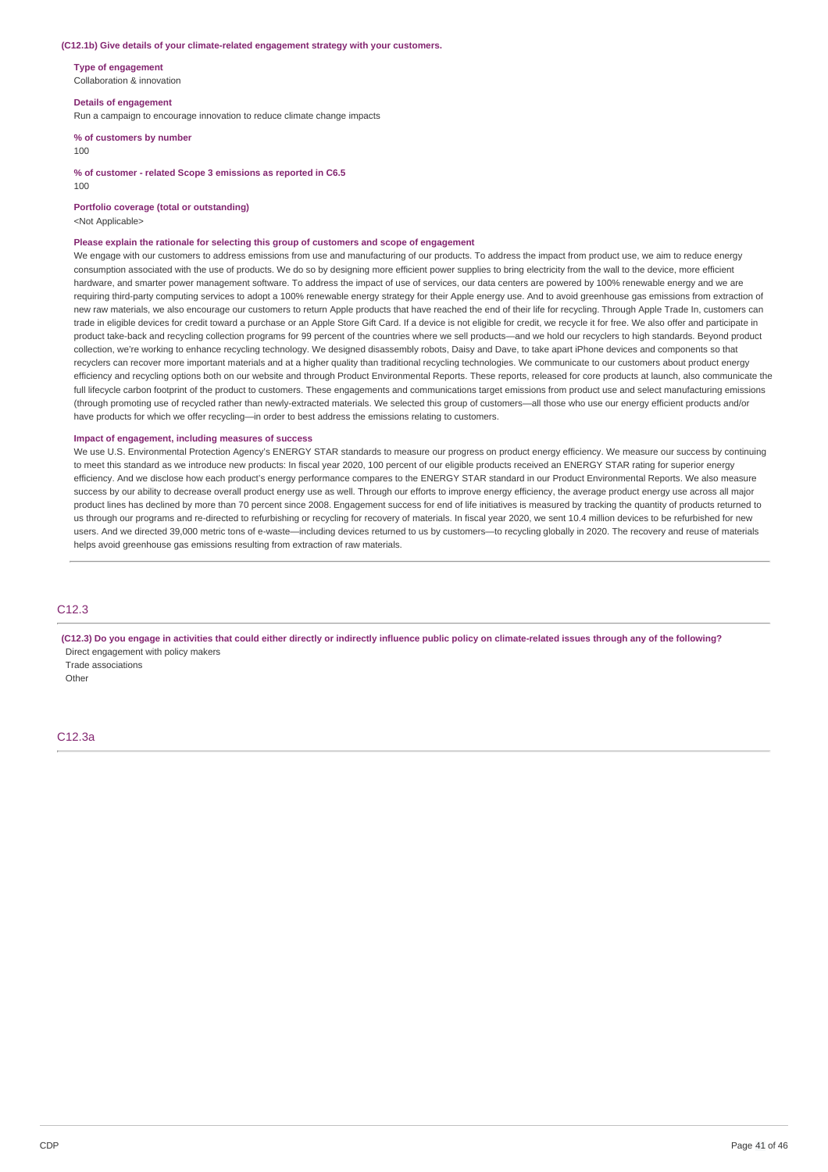#### **(C12.1b) Give details of your climate-related engagement strategy with your customers.**

**Type of engagement** Collaboration & innovation

**Details of engagement** Run a campaign to encourage innovation to reduce climate change impacts

**% of customers by number**

100

**% of customer - related Scope 3 emissions as reported in C6.5**

**Portfolio coverage (total or outstanding)**

<Not Applicable>

 $100$ 

#### **Please explain the rationale for selecting this group of customers and scope of engagement**

We engage with our customers to address emissions from use and manufacturing of our products. To address the impact from product use, we aim to reduce energy consumption associated with the use of products. We do so by designing more efficient power supplies to bring electricity from the wall to the device, more efficient hardware, and smarter power management software. To address the impact of use of services, our data centers are powered by 100% renewable energy and we are requiring third-party computing services to adopt a 100% renewable energy strategy for their Apple energy use. And to avoid greenhouse gas emissions from extraction of new raw materials, we also encourage our customers to return Apple products that have reached the end of their life for recycling. Through Apple Trade In, customers can trade in eligible devices for credit toward a purchase or an Apple Store Gift Card. If a device is not eligible for credit, we recycle it for free. We also offer and participate in product take-back and recycling collection programs for 99 percent of the countries where we sell products—and we hold our recyclers to high standards. Beyond product collection, we're working to enhance recycling technology. We designed disassembly robots, Daisy and Dave, to take apart iPhone devices and components so that recyclers can recover more important materials and at a higher quality than traditional recycling technologies. We communicate to our customers about product energy efficiency and recycling options both on our website and through Product Environmental Reports. These reports, released for core products at launch, also communicate the full lifecycle carbon footprint of the product to customers. These engagements and communications target emissions from product use and select manufacturing emissions (through promoting use of recycled rather than newly-extracted materials. We selected this group of customers—all those who use our energy efficient products and/or have products for which we offer recycling—in order to best address the emissions relating to customers.

### **Impact of engagement, including measures of success**

We use U.S. Environmental Protection Agency's ENERGY STAR standards to measure our progress on product energy efficiency. We measure our success by continuing to meet this standard as we introduce new products: In fiscal year 2020, 100 percent of our eligible products received an ENERGY STAR rating for superior energy efficiency. And we disclose how each product's energy performance compares to the ENERGY STAR standard in our Product Environmental Reports. We also measure success by our ability to decrease overall product energy use as well. Through our efforts to improve energy efficiency, the average product energy use across all major product lines has declined by more than 70 percent since 2008. Engagement success for end of life initiatives is measured by tracking the quantity of products returned to us through our programs and re-directed to refurbishing or recycling for recovery of materials. In fiscal year 2020, we sent 10.4 million devices to be refurbished for new users. And we directed 39,000 metric tons of e-waste—including devices returned to us by customers—to recycling globally in 2020. The recovery and reuse of materials helps avoid greenhouse gas emissions resulting from extraction of raw materials.

### C12.3

(C12.3) Do you engage in activities that could either directly or indirectly influence public policy on climate-related issues through any of the following? Direct engagement with policy makers

Trade associations **Other**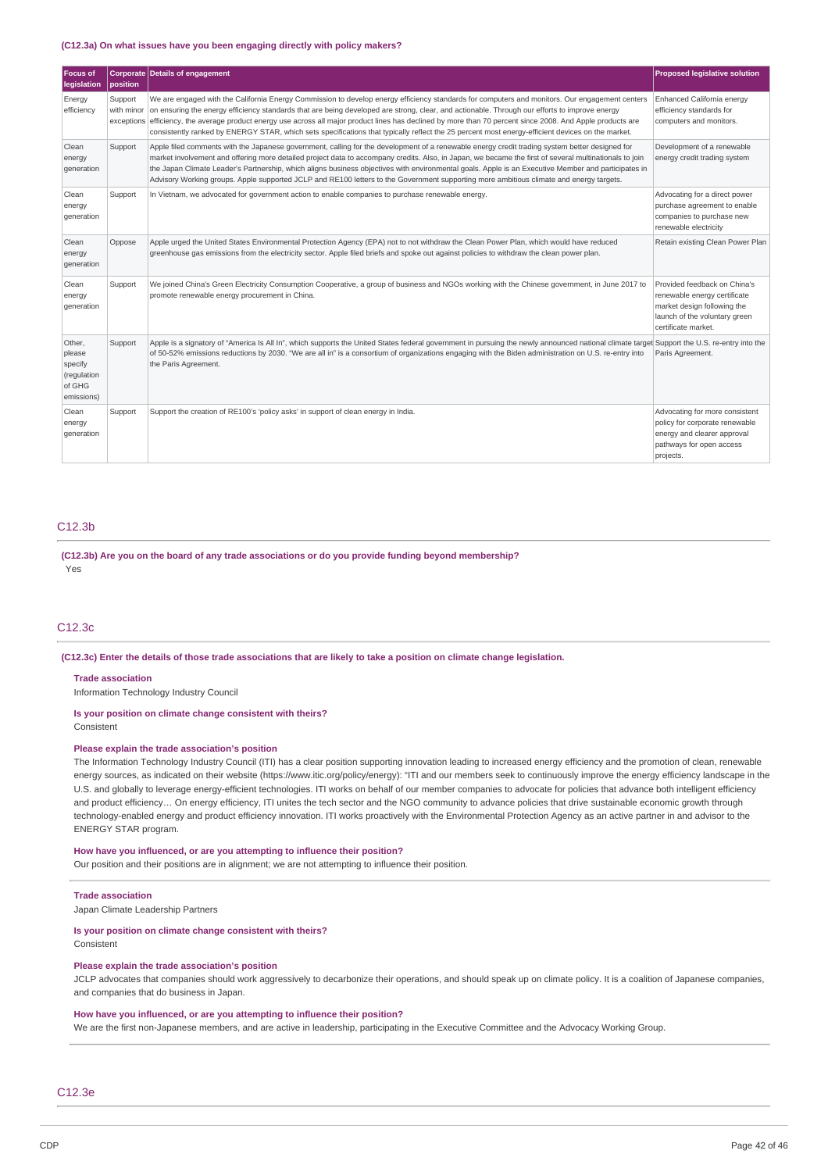#### **(C12.3a) On what issues have you been engaging directly with policy makers?**

| Focus of<br>legislation                                            | position              | Corporate Details of engagement                                                                                                                                                                                                                                                                                                                                                                                                                                                                                                                                                                                     | <b>Proposed legislative solution</b>                                                                                                                |
|--------------------------------------------------------------------|-----------------------|---------------------------------------------------------------------------------------------------------------------------------------------------------------------------------------------------------------------------------------------------------------------------------------------------------------------------------------------------------------------------------------------------------------------------------------------------------------------------------------------------------------------------------------------------------------------------------------------------------------------|-----------------------------------------------------------------------------------------------------------------------------------------------------|
| Energy<br>efficiency                                               | Support<br>with minor | We are engaged with the California Energy Commission to develop energy efficiency standards for computers and monitors. Our engagement centers<br>on ensuring the energy efficiency standards that are being developed are strong, clear, and actionable. Through our efforts to improve energy<br>exceptions efficiency, the average product energy use across all major product lines has declined by more than 70 percent since 2008. And Apple products are<br>consistently ranked by ENERGY STAR, which sets specifications that typically reflect the 25 percent most energy-efficient devices on the market. | Enhanced California energy<br>efficiency standards for<br>computers and monitors.                                                                   |
| Clean<br>energy<br>generation                                      | Support               | Apple filed comments with the Japanese government, calling for the development of a renewable energy credit trading system better designed for<br>market involvement and offering more detailed project data to accompany credits. Also, in Japan, we became the first of several multinationals to join<br>the Japan Climate Leader's Partnership, which aligns business objectives with environmental goals. Apple is an Executive Member and participates in<br>Advisory Working groups. Apple supported JCLP and RE100 letters to the Government supporting more ambitious climate and energy targets.          | Development of a renewable<br>energy credit trading system                                                                                          |
| Clean<br>energy<br>generation                                      | Support               | In Vietnam, we advocated for government action to enable companies to purchase renewable energy.                                                                                                                                                                                                                                                                                                                                                                                                                                                                                                                    | Advocating for a direct power<br>purchase agreement to enable<br>companies to purchase new<br>renewable electricity                                 |
| Clean<br>energy<br>generation                                      | Oppose                | Apple urged the United States Environmental Protection Agency (EPA) not to not withdraw the Clean Power Plan, which would have reduced<br>greenhouse gas emissions from the electricity sector. Apple filed briefs and spoke out against policies to withdraw the clean power plan.                                                                                                                                                                                                                                                                                                                                 | Retain existing Clean Power Plan                                                                                                                    |
| Clean<br>energy<br>generation                                      | Support               | We joined China's Green Electricity Consumption Cooperative, a group of business and NGOs working with the Chinese government, in June 2017 to<br>promote renewable energy procurement in China.                                                                                                                                                                                                                                                                                                                                                                                                                    | Provided feedback on China's<br>renewable energy certificate<br>market design following the<br>launch of the voluntary green<br>certificate market. |
| Other,<br>please<br>specify<br>(regulation<br>of GHG<br>emissions) | Support               | Apple is a signatory of "America Is All In", which supports the United States federal government in pursuing the newly announced national climate target Support the U.S. re-entry into the<br>of 50-52% emissions reductions by 2030. "We are all in" is a consortium of organizations engaging with the Biden administration on U.S. re-entry into<br>the Paris Agreement.                                                                                                                                                                                                                                        | Paris Agreement.                                                                                                                                    |
| Clean<br>energy<br>generation                                      | Support               | Support the creation of RE100's 'policy asks' in support of clean energy in India.                                                                                                                                                                                                                                                                                                                                                                                                                                                                                                                                  | Advocating for more consistent<br>policy for corporate renewable<br>energy and clearer approval<br>pathways for open access<br>projects.            |

### C12.3b

**(C12.3b) Are you on the board of any trade associations or do you provide funding beyond membership?** Yes

### C12.3c

(C12.3c) Enter the details of those trade associations that are likely to take a position on climate change legislation.

### **Trade association**

Information Technology Industry Council

#### **Is your position on climate change consistent with theirs?**

Consistent

### **Please explain the trade association's position**

The Information Technology Industry Council (ITI) has a clear position supporting innovation leading to increased energy efficiency and the promotion of clean, renewable energy sources, as indicated on their website (https://www.itic.org/policy/energy): "ITI and our members seek to continuously improve the energy efficiency landscape in the U.S. and globally to leverage energy-efficient technologies. ITI works on behalf of our member companies to advocate for policies that advance both intelligent efficiency and product efficiency... On energy efficiency, ITI unites the tech sector and the NGO community to advance policies that drive sustainable economic growth through technology-enabled energy and product efficiency innovation. ITI works proactively with the Environmental Protection Agency as an active partner in and advisor to the ENERGY STAR program.

#### **How have you influenced, or are you attempting to influence their position?**

Our position and their positions are in alignment; we are not attempting to influence their position.

#### **Trade association**

Japan Climate Leadership Partners

#### **Is your position on climate change consistent with theirs?**

Consistent

#### **Please explain the trade association's position**

JCLP advocates that companies should work aggressively to decarbonize their operations, and should speak up on climate policy. It is a coalition of Japanese companies, and companies that do business in Japan.

#### **How have you influenced, or are you attempting to influence their position?**

We are the first non-Japanese members, and are active in leadership, participating in the Executive Committee and the Advocacy Working Group.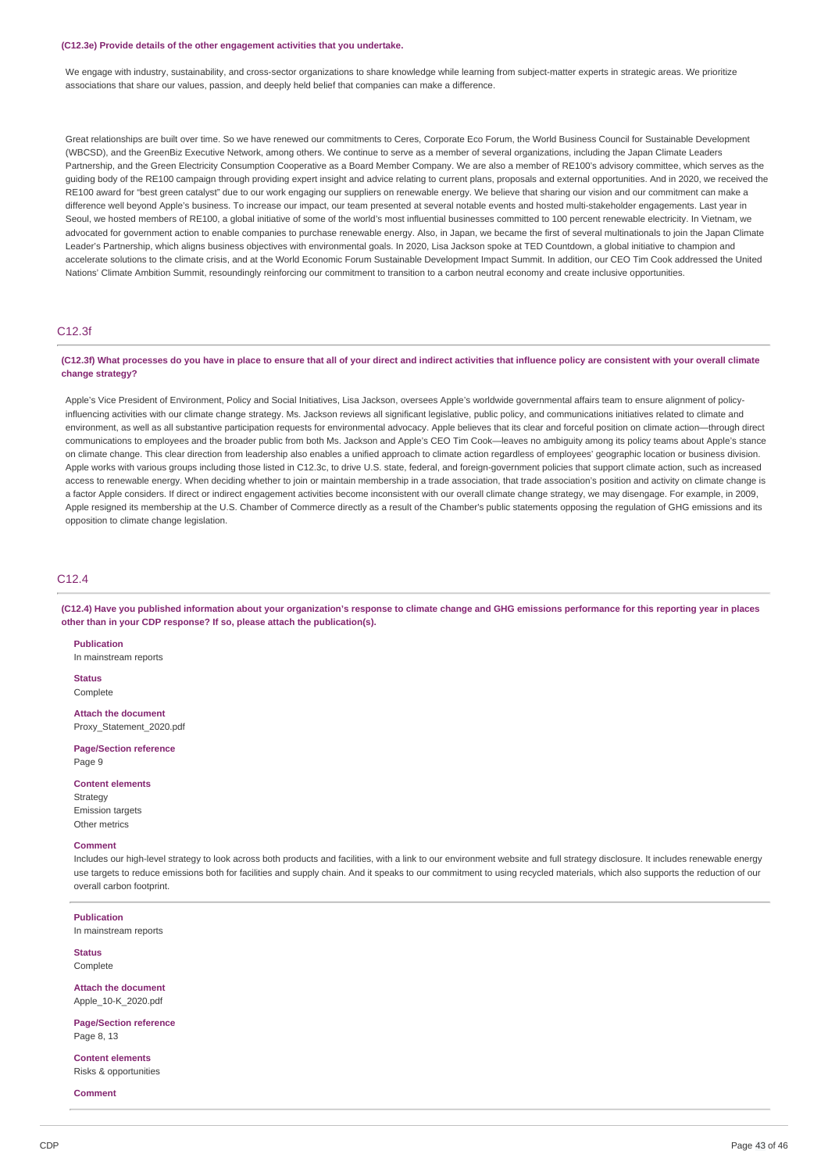#### **(C12.3e) Provide details of the other engagement activities that you undertake.**

We engage with industry, sustainability, and cross-sector organizations to share knowledge while learning from subject-matter experts in strategic areas. We prioritize associations that share our values, passion, and deeply held belief that companies can make a difference.

Great relationships are built over time. So we have renewed our commitments to Ceres, Corporate Eco Forum, the World Business Council for Sustainable Development (WBCSD), and the GreenBiz Executive Network, among others. We continue to serve as a member of several organizations, including the Japan Climate Leaders Partnership, and the Green Electricity Consumption Cooperative as a Board Member Company. We are also a member of RE100's advisory committee, which serves as the guiding body of the RE100 campaign through providing expert insight and advice relating to current plans, proposals and external opportunities. And in 2020, we received the RE100 award for "best green catalyst" due to our work engaging our suppliers on renewable energy. We believe that sharing our vision and our commitment can make a difference well beyond Apple's business. To increase our impact, our team presented at several notable events and hosted multi-stakeholder engagements. Last year in Seoul, we hosted members of RE100, a global initiative of some of the world's most influential businesses committed to 100 percent renewable electricity. In Vietnam, we advocated for government action to enable companies to purchase renewable energy. Also, in Japan, we became the first of several multinationals to join the Japan Climate Leader's Partnership, which aligns business objectives with environmental goals. In 2020, Lisa Jackson spoke at TED Countdown, a global initiative to champion and accelerate solutions to the climate crisis, and at the World Economic Forum Sustainable Development Impact Summit. In addition, our CEO Tim Cook addressed the United Nations' Climate Ambition Summit, resoundingly reinforcing our commitment to transition to a carbon neutral economy and create inclusive opportunities.

### C12.3f

### (C12.3f) What processes do you have in place to ensure that all of your direct and indirect activities that influence policy are consistent with your overall climate **change strategy?**

Apple's Vice President of Environment, Policy and Social Initiatives, Lisa Jackson, oversees Apple's worldwide governmental affairs team to ensure alignment of policyinfluencing activities with our climate change strategy. Ms. Jackson reviews all significant legislative, public policy, and communications initiatives related to climate and environment, as well as all substantive participation requests for environmental advocacy. Apple believes that its clear and forceful position on climate action—through direct communications to employees and the broader public from both Ms. Jackson and Apple's CEO Tim Cook—leaves no ambiguity among its policy teams about Apple's stance on climate change. This clear direction from leadership also enables a unified approach to climate action regardless of employees' geographic location or business division. Apple works with various groups including those listed in C12.3c, to drive U.S. state, federal, and foreign-government policies that support climate action, such as increased access to renewable energy. When deciding whether to join or maintain membership in a trade association, that trade association's position and activity on climate change is a factor Apple considers. If direct or indirect engagement activities become inconsistent with our overall climate change strategy, we may disengage. For example, in 2009, Apple resigned its membership at the U.S. Chamber of Commerce directly as a result of the Chamber's public statements opposing the regulation of GHG emissions and its opposition to climate change legislation.

### C12.4

(C12.4) Have you published information about your organization's response to climate change and GHG emissions performance for this reporting year in places **other than in your CDP response? If so, please attach the publication(s).**

**Publication**

In mainstream reports

**Status** Complete

**Attach the document** Proxy\_Statement\_2020.pdf

**Page/Section reference**

Page 9

**Content elements**

Strategy Emission targets Other metrics

#### **Comment**

Includes our high-level strategy to look across both products and facilities, with a link to our environment website and full strategy disclosure. It includes renewable energy use targets to reduce emissions both for facilities and supply chain. And it speaks to our commitment to using recycled materials, which also supports the reduction of our overall carbon footprint.

#### **Publication**

In mainstream reports

**Status** Complete

**Attach the document** Apple\_10-K\_2020.pdf

**Page/Section reference**

Page 8, 13

**Content elements** Risks & opportunities

**Comment**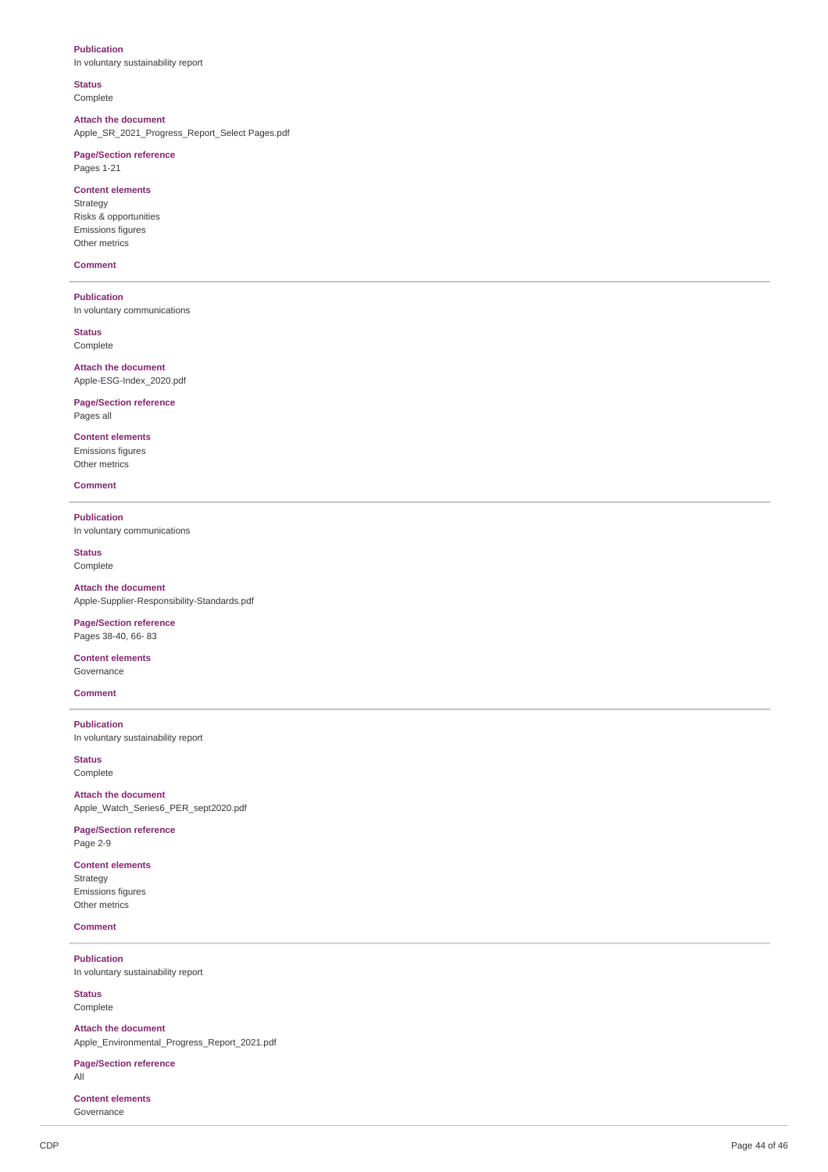### **Publication**

In voluntary sustainability report

### **Status**

Complete

**Attach the document** Apple\_SR\_2021\_Progress\_Report\_Select Pages.pdf

#### **Page/Section reference** Pages 1-21

**c c c elements** Strategy Risks & opportunities Emissions figures

# Other metrics **Comment**

**Publication** In voluntary communications

**Status** Complete

**Attach the document** Apple-ESG-Index 2020.pdf

**Page/Section reference** Pages all

**Content elements** Emissions figures Other metrics

**Comment** 

#### **Publication** In voluntary communications

**Status** Complete

**Attach the document** Apple-Supplier-Responsibility-Standards.pdf

#### **Page/Section reference** Pages 38-40, 66-83

**c c c elements** Governance

#### **Comment**

**Publication** In voluntary sustainability report

**Status** Complete

**Attach the document** Apple\_Watch\_Series6\_PER\_sept2020.pdf

**Page/Section reference** Page 2-9

# **c c c elements**

Strategy Emissions figures Other metrics

### **Comment**

**P u blic a tio n** In voluntary sustainability report

**Status** Complete

**Attach the document** Apple Environmental Progress Report 2021.pdf

**Page/Section reference** 

All

**c c c e n e n e n e n e n e n e n e n e n e n e n e n e n e n e n e n e n e n e n e n e n e n e n e n e n e n e** Governance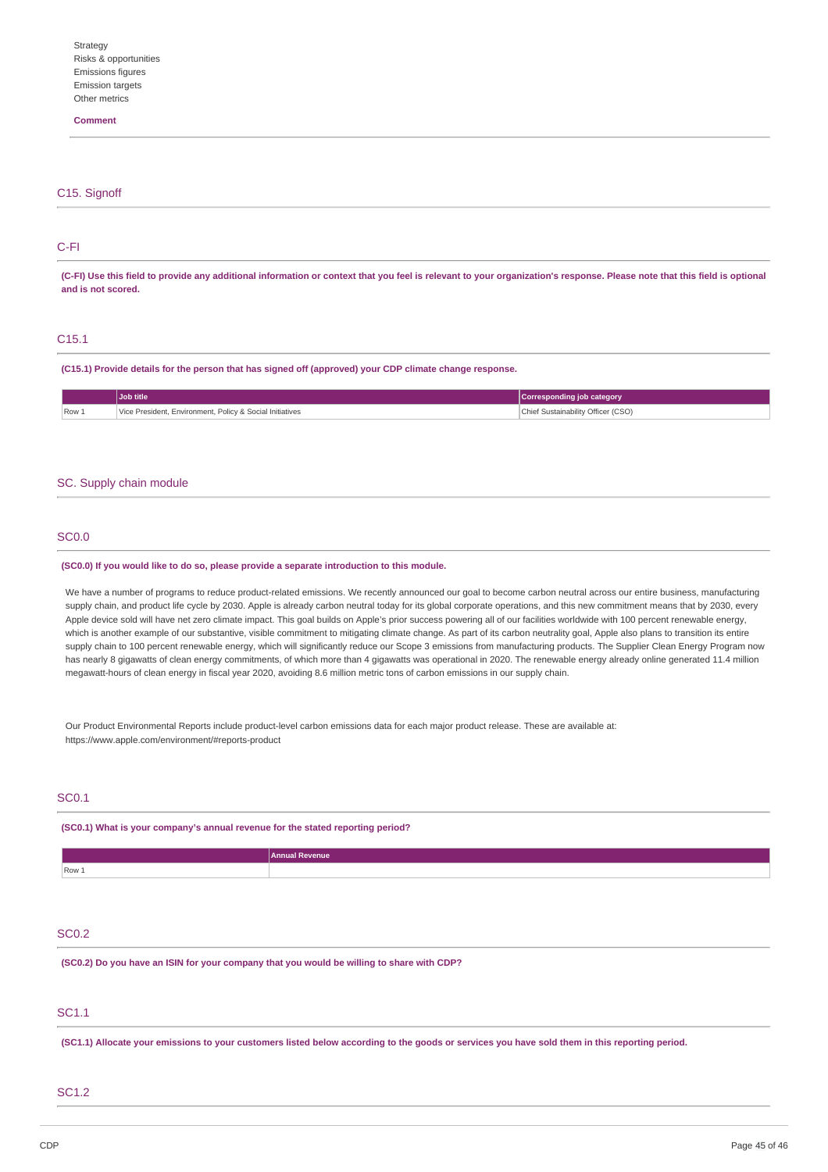### **Comment**

# C<sub>15</sub>. Signoff

### C-FI

(C-FI) Use this field to provide any additional information or context that you feel is relevant to your organization's response. Please note that this field is optional **and is not scored.**

### C15.1

**(C15.1) Provide details for the person that has signed off (approved) your CDP climate change response.**

|       | <b>Job title</b>                                         | Corresponding job category         |
|-------|----------------------------------------------------------|------------------------------------|
| Row 1 | Vice President, Environment, Policy & Social Initiatives | Chief Sustainability Officer (CSO) |

#### SC. Supply chain module

### SC0.0

#### **(SC0.0) If you would like to do so, please provide a separate introduction to this module.**

We have a number of programs to reduce product-related emissions. We recently announced our goal to become carbon neutral across our entire business, manufacturing supply chain, and product life cycle by 2030. Apple is already carbon neutral today for its global corporate operations, and this new commitment means that by 2030, every Apple device sold will have net zero climate impact. This goal builds on Apple's prior success powering all of our facilities worldwide with 100 percent renewable energy, which is another example of our substantive, visible commitment to mitigating climate change. As part of its carbon neutrality goal, Apple also plans to transition its entire supply chain to 100 percent renewable energy, which will significantly reduce our Scope 3 emissions from manufacturing products. The Supplier Clean Energy Program now has nearly 8 gigawatts of clean energy commitments, of which more than 4 gigawatts was operational in 2020. The renewable energy already online generated 11.4 million megawatt-hours of clean energy in fiscal year 2020, avoiding 8.6 million metric tons of carbon emissions in our supply chain.

Our Product Environmental Reports include product-level carbon emissions data for each major product release. These are available at: https://www.apple.com/environment/#reports-product

# SC0.1

### **(SC0.1) What is your company's annual revenue for the stated reporting period?**

|                                                                                           | <b>Annual Revenue</b>                                                                                                                          |
|-------------------------------------------------------------------------------------------|------------------------------------------------------------------------------------------------------------------------------------------------|
| Row 1                                                                                     |                                                                                                                                                |
|                                                                                           |                                                                                                                                                |
|                                                                                           |                                                                                                                                                |
|                                                                                           |                                                                                                                                                |
| <b>SC0.2</b>                                                                              |                                                                                                                                                |
|                                                                                           |                                                                                                                                                |
| (SC0.2) Do you have an ISIN for your company that you would be willing to share with CDP? |                                                                                                                                                |
|                                                                                           |                                                                                                                                                |
|                                                                                           |                                                                                                                                                |
| SC1.1                                                                                     |                                                                                                                                                |
|                                                                                           |                                                                                                                                                |
|                                                                                           |                                                                                                                                                |
|                                                                                           | (SC1.1) Allocate your emissions to your customers listed below according to the goods or services you have sold them in this reporting period. |

### SC1.2